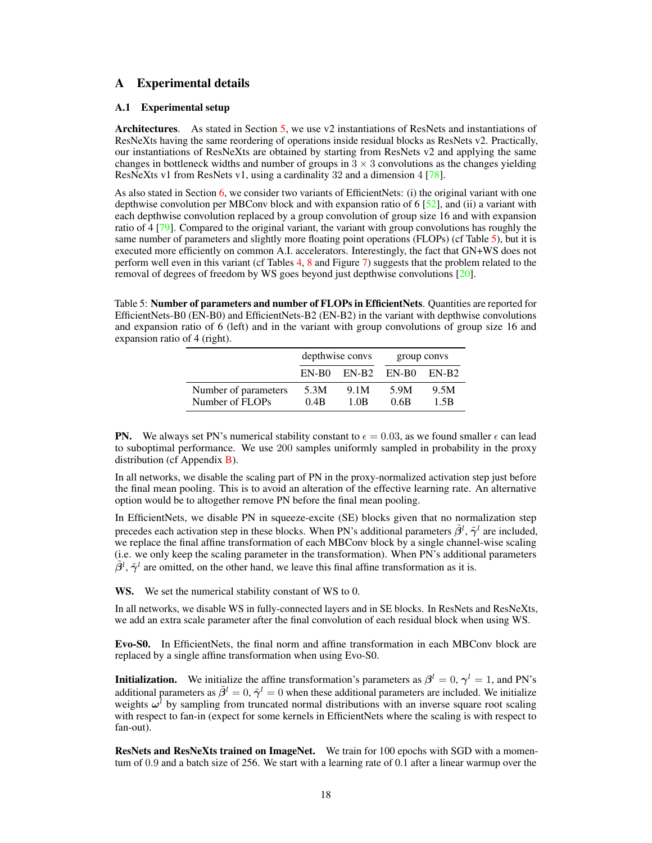## A Experimental details

### <span id="page-0-1"></span>A.1 Experimental setup

Architectures. As stated in Section [5,](#page--1-0) we use v2 instantiations of ResNets and instantiations of ResNeXts having the same reordering of operations inside residual blocks as ResNets v2. Practically, our instantiations of ResNeXts are obtained by starting from ResNets v2 and applying the same changes in bottleneck widths and number of groups in  $3 \times 3$  convolutions as the changes yielding ResNeXts v1 from ResNets v1, using a cardinality 32 and a dimension 4 [\[78\]](#page--1-1).

As also stated in Section  $6$ , we consider two variants of EfficientNets: (i) the original variant with one depthwise convolution per MBConv block and with expansion ratio of 6 [\[52\]](#page--1-3), and (ii) a variant with each depthwise convolution replaced by a group convolution of group size 16 and with expansion ratio of 4 [\[79\]](#page--1-4). Compared to the original variant, the variant with group convolutions has roughly the same number of parameters and slightly more floating point operations (FLOPs) (cf Table [5\)](#page-0-0), but it is executed more efficiently on common A.I. accelerators. Interestingly, the fact that GN+WS does not perform well even in this variant (cf Tables [4,](#page--1-5) [8](#page-5-0) and Figure [7\)](#page-5-1) suggests that the problem related to the removal of degrees of freedom by WS goes beyond just depthwise convolutions [\[20\]](#page--1-6).

<span id="page-0-0"></span>Table 5: Number of parameters and number of FLOPs in EfficientNets. Quantities are reported for EfficientNets-B0 (EN-B0) and EfficientNets-B2 (EN-B2) in the variant with depthwise convolutions and expansion ratio of 6 (left) and in the variant with group convolutions of group size 16 and expansion ratio of 4 (right).

|                                         |                                      | depthwise convs | group convs  |              |
|-----------------------------------------|--------------------------------------|-----------------|--------------|--------------|
|                                         | $EN-B2$ $EN-B0$<br>EN-B <sub>0</sub> |                 |              | EN-B2        |
| Number of parameters<br>Number of FLOPs | 5.3M<br>0.4B                         | 9.1M<br>1 OB    | 5.9M<br>0.6B | 9.5M<br>1.5B |

**PN.** We always set PN's numerical stability constant to  $\epsilon = 0.03$ , as we found smaller  $\epsilon$  can lead to suboptimal performance. We use 200 samples uniformly sampled in probability in the proxy distribution (cf Appendix  $\bf{B}$ ).

In all networks, we disable the scaling part of PN in the proxy-normalized activation step just before the final mean pooling. This is to avoid an alteration of the effective learning rate. An alternative option would be to altogether remove PN before the final mean pooling.

In EfficientNets, we disable PN in squeeze-excite (SE) blocks given that no normalization step precedes each activation step in these blocks. When PN's additional parameters  $\tilde{\beta}^l$ ,  $\tilde{\gamma}^l$  are included, we replace the final affine transformation of each MBConv block by a single channel-wise scaling (i.e. we only keep the scaling parameter in the transformation). When PN's additional parameters  $\tilde{\beta}^l$ ,  $\tilde{\gamma}^l$  are omitted, on the other hand, we leave this final affine transformation as it is.

WS. We set the numerical stability constant of WS to 0.

In all networks, we disable WS in fully-connected layers and in SE blocks. In ResNets and ResNeXts, we add an extra scale parameter after the final convolution of each residual block when using WS.

Evo-S0. In EfficientNets, the final norm and affine transformation in each MBConv block are replaced by a single affine transformation when using Evo-S0.

**Initialization.** We initialize the affine transformation's parameters as  $\beta^l = 0$ ,  $\gamma^l = 1$ , and PN's additional parameters as  $\tilde{\beta}^l=0, \tilde{\gamma}^l=0$  when these additional parameters are included. We initialize weights  $\omega^l$  by sampling from truncated normal distributions with an inverse square root scaling with respect to fan-in (expect for some kernels in EfficientNets where the scaling is with respect to fan-out).

ResNets and ResNeXts trained on ImageNet. We train for 100 epochs with SGD with a momentum of 0.9 and a batch size of 256. We start with a learning rate of 0.1 after a linear warmup over the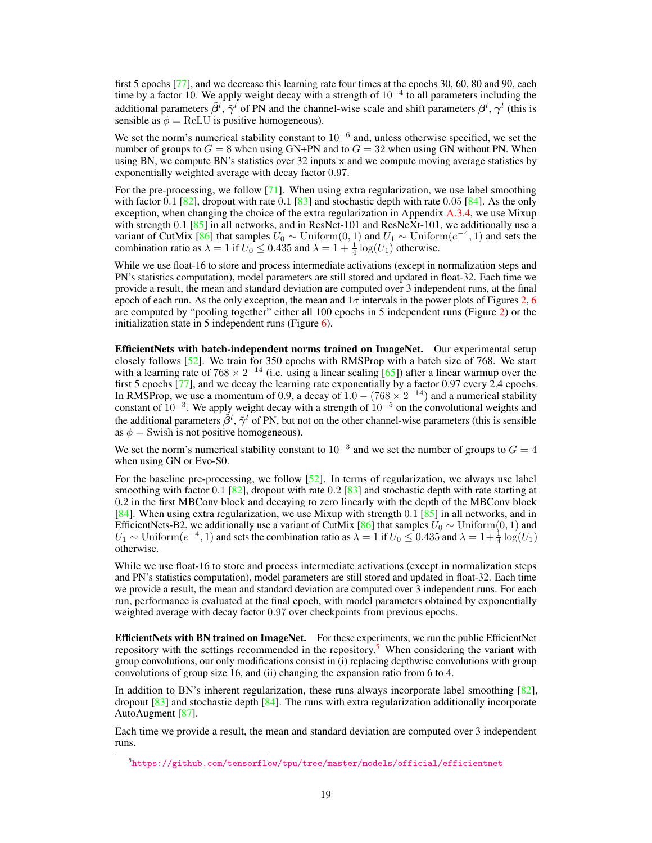first 5 epochs [\[77\]](#page--1-7), and we decrease this learning rate four times at the epochs 30, 60, 80 and 90, each time by a factor 10. We apply weight decay with a strength of  $10^{-4}$  to all parameters including the additional parameters  $\tilde{\beta}^l$ ,  $\tilde{\gamma}^l$  of PN and the channel-wise scale and shift parameters  $\beta^l$ ,  $\gamma^l$  (this is sensible as  $\phi = \text{ReLU}$  is positive homogeneous).

We set the norm's numerical stability constant to  $10^{-6}$  and, unless otherwise specified, we set the number of groups to  $G = 8$  when using GN+PN and to  $G = 32$  when using GN without PN. When using BN, we compute BN's statistics over 32 inputs x and we compute moving average statistics by exponentially weighted average with decay factor 0.97.

For the pre-processing, we follow [\[71\]](#page--1-8). When using extra regularization, we use label smoothing with factor  $0.1$  [\[82\]](#page--1-9), dropout with rate  $0.1$  [\[83\]](#page--1-10) and stochastic depth with rate  $0.05$  [\[84\]](#page--1-11). As the only exception, when changing the choice of the extra regularization in Appendix [A.3.4,](#page-7-0) we use Mixup with strength  $0.1$  [\[85\]](#page--1-12) in all networks, and in ResNet-101 and ResNeXt-101, we additionally use a variant of CutMix [\[86\]](#page--1-13) that samples  $U_0 \sim$  Uniform $(0, 1)$  and  $U_1 \sim$  Uniform $(e^{-4}, 1)$  and sets the combination ratio as  $\lambda = 1$  if  $U_0 \le 0.435$  and  $\lambda = 1 + \frac{1}{4} \log(U_1)$  otherwise.

While we use float-16 to store and process intermediate activations (except in normalization steps and PN's statistics computation), model parameters are still stored and updated in float-32. Each time we provide a result, the mean and standard deviation are computed over 3 independent runs, at the final epoch of each run. As the only exception, the mean and  $1\sigma$  intervals in the power plots of Figures [2,](#page--1-14) [6](#page-4-0) are computed by "pooling together" either all 100 epochs in 5 independent runs (Figure [2\)](#page--1-14) or the initialization state in 5 independent runs (Figure  $6$ ).

EfficientNets with batch-independent norms trained on ImageNet. Our experimental setup closely follows [\[52\]](#page--1-3). We train for 350 epochs with RMSProp with a batch size of 768. We start with a learning rate of  $768 \times 2^{-14}$  (i.e. using a linear scaling [\[65\]](#page--1-15)) after a linear warmup over the first 5 epochs [\[77\]](#page--1-7), and we decay the learning rate exponentially by a factor 0.97 every 2.4 epochs. In RMSProp, we use a momentum of 0.9, a decay of  $1.0 - (768 \times 2^{-14})$  and a numerical stability constant of  $10^{-3}$ . We apply weight decay with a strength of  $10^{-5}$  on the convolutional weights and the additional parameters  $\tilde{\beta}^l$ ,  $\tilde{\gamma}^l$  of PN, but not on the other channel-wise parameters (this is sensible as  $\phi$  = Swish is not positive homogeneous).

We set the norm's numerical stability constant to  $10^{-3}$  and we set the number of groups to  $G = 4$ when using GN or Evo-S0.

For the baseline pre-processing, we follow [\[52\]](#page--1-3). In terms of regularization, we always use label smoothing with factor 0.1 [\[82\]](#page--1-9), dropout with rate 0.2 [\[83\]](#page--1-10) and stochastic depth with rate starting at 0.2 in the first MBConv block and decaying to zero linearly with the depth of the MBConv block [\[84\]](#page--1-11). When using extra regularization, we use Mixup with strength  $0.1$  [\[85\]](#page--1-12) in all networks, and in EfficientNets-B2, we additionally use a variant of CutMix [\[86\]](#page--1-13) that samples  $U_0 \sim \text{Uniform}(0, 1)$  and  $U_1 \sim \text{Uniform}(e^{-4}, 1)$  and sets the combination ratio as  $\lambda = 1$  if  $U_0 \le 0.435$  and  $\lambda = 1 + \frac{1}{4} \log(U_1)$ otherwise.

While we use float-16 to store and process intermediate activations (except in normalization steps and PN's statistics computation), model parameters are still stored and updated in float-32. Each time we provide a result, the mean and standard deviation are computed over 3 independent runs. For each run, performance is evaluated at the final epoch, with model parameters obtained by exponentially weighted average with decay factor 0.97 over checkpoints from previous epochs.

EfficientNets with BN trained on ImageNet. For these experiments, we run the public EfficientNet repository with the settings recommended in the repository.<sup>[5](#page-1-0)</sup> When considering the variant with group convolutions, our only modifications consist in (i) replacing depthwise convolutions with group convolutions of group size 16, and (ii) changing the expansion ratio from 6 to 4.

In addition to BN's inherent regularization, these runs always incorporate label smoothing [\[82\]](#page--1-9), dropout  $[83]$  and stochastic depth  $[84]$ . The runs with extra regularization additionally incorporate AutoAugment [\[87\]](#page--1-16).

Each time we provide a result, the mean and standard deviation are computed over 3 independent runs.

<span id="page-1-0"></span><sup>5</sup> <https://github.com/tensorflow/tpu/tree/master/models/official/efficientnet>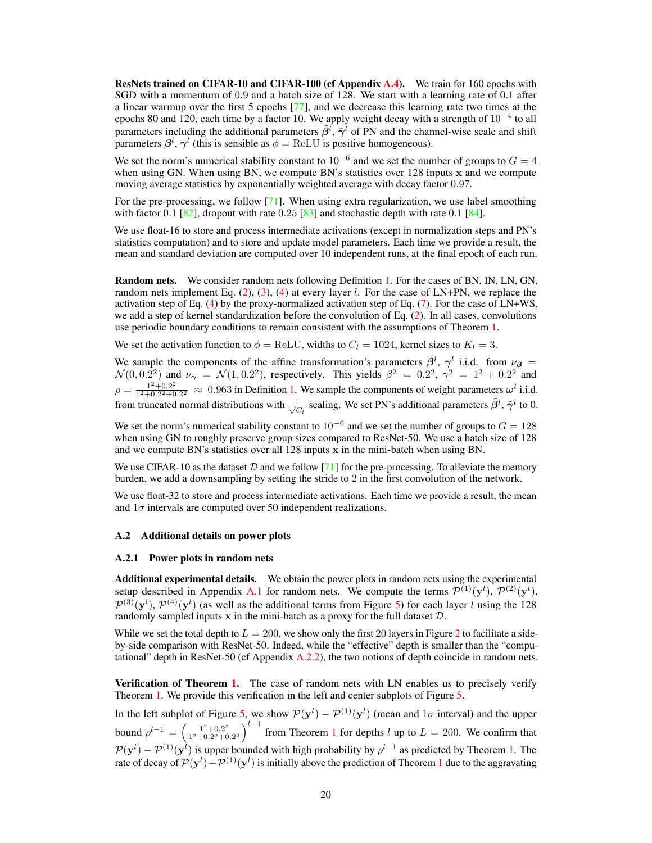ResNets trained on CIFAR-10 and CIFAR-100 (cf Appendix [A.4\)](#page-8-0). We train for 160 epochs with SGD with a momentum of 0.9 and a batch size of 128. We start with a learning rate of 0.1 after a linear warmup over the first 5 epochs [\[77\]](#page--1-7), and we decrease this learning rate two times at the epochs 80 and 120, each time by a factor 10. We apply weight decay with a strength of  $10^{-4}$  to all parameters including the additional parameters  $\tilde{\beta}^l$ ,  $\tilde{\gamma}^l$  of PN and the channel-wise scale and shift parameters  $\beta^l$ ,  $\gamma^l$  (this is sensible as  $\phi = \text{ReLU}$  is positive homogeneous).

We set the norm's numerical stability constant to  $10^{-6}$  and we set the number of groups to  $G = 4$ when using GN. When using BN, we compute BN's statistics over 128 inputs x and we compute moving average statistics by exponentially weighted average with decay factor 0.97.

For the pre-processing, we follow [\[71\]](#page--1-8). When using extra regularization, we use label smoothing with factor  $0.1 \, \lceil \frac{82}{1} \rceil$ , dropout with rate  $0.25 \, \lceil \frac{83}{1} \rceil$  and stochastic depth with rate  $0.1 \, \lceil \frac{84}{1} \rceil$ .

We use float-16 to store and process intermediate activations (except in normalization steps and PN's statistics computation) and to store and update model parameters. Each time we provide a result, the mean and standard deviation are computed over 10 independent runs, at the final epoch of each run.

Random nets. We consider random nets following Definition [1.](#page--1-17) For the cases of BN, IN, LN, GN, random nets implement Eq.  $(2)$ ,  $(3)$ ,  $(4)$  at every layer l. For the case of LN+PN, we replace the activation step of Eq. [\(4\)](#page--1-20) by the proxy-normalized activation step of Eq. [\(7\)](#page--1-21). For the case of LN+WS, we add a step of kernel standardization before the convolution of Eq. [\(2\)](#page--1-18). In all cases, convolutions use periodic boundary conditions to remain consistent with the assumptions of Theorem [1.](#page--1-22)

We set the activation function to  $\phi = \text{ReLU}$ , widths to  $C_l = 1024$ , kernel sizes to  $K_l = 3$ .

We sample the components of the affine transformation's parameters  $\beta^l$ ,  $\gamma^l$  i.i.d. from  $\nu_\beta$  =  $\mathcal{N}(0, 0.2^2)$  and  $\nu_{\gamma} = \mathcal{N}(1, 0.2^2)$ , respectively. This yields  $\beta^2 = 0.2^2$ ,  $\gamma^2 = 1^2 + 0.2^2$  and  $\rho = \frac{1^2 + 0.2^2}{1^2 + 0.2^2 + 0.2^2}$  $\frac{1^2+0.2^2}{1^2+0.2^2+0.2^2} \approx 0.963$  in Definition [1.](#page--1-17) We sample the components of weight parameters  $\omega^l$  i.i.d. from truncated normal distributions with  $\frac{1}{\sqrt{6}}$  $\frac{1}{C_l}$  scaling. We set PN's additional parameters  $\tilde{\beta}^l$ ,  $\tilde{\gamma}^l$  to 0.

We set the norm's numerical stability constant to  $10^{-6}$  and we set the number of groups to  $G = 128$ when using GN to roughly preserve group sizes compared to ResNet-50. We use a batch size of 128 and we compute BN's statistics over all 128 inputs x in the mini-batch when using BN.

We use CIFAR-10 as the dataset  $D$  and we follow [\[71\]](#page--1-8) for the pre-processing. To alleviate the memory burden, we add a downsampling by setting the stride to 2 in the first convolution of the network.

We use float-32 to store and process intermediate activations. Each time we provide a result, the mean and  $1\sigma$  intervals are computed over 50 independent realizations.

#### A.2 Additional details on power plots

#### A.2.1 Power plots in random nets

Additional experimental details. We obtain the power plots in random nets using the experimental setup described in Appendix [A.1](#page-0-1) for random nets. We compute the terms  $\mathcal{P}^{(1)}(\mathbf{y}^l)$ ,  $\mathcal{P}^{(2)}(\mathbf{y}^l)$ ,  $\mathcal{P}^{(3)}(\mathbf{y}^l), \mathcal{P}^{(4)}(\mathbf{y}^l)$  (as well as the additional terms from Figure [5\)](#page-3-0) for each layer l using the 128 randomly sampled inputs  $x$  in the mini-batch as a proxy for the full dataset  $D$ .

While we set the total depth to  $L = 200$  $L = 200$  $L = 200$ , we show only the first 20 layers in Figure 2 to facilitate a sideby-side comparison with ResNet-50. Indeed, while the "effective" depth is smaller than the "computational" depth in ResNet-50 (cf Appendix  $A(2,2)$ ), the two notions of depth coincide in random nets.

Verification of Theorem [1.](#page--1-22) The case of random nets with LN enables us to precisely verify Theorem [1.](#page--1-22) We provide this verification in the left and center subplots of Figure [5.](#page-3-0)

In the left subplot of Figure [5,](#page-3-0) we show  $\mathcal{P}(\mathbf{y}^l) - \mathcal{P}^{(1)}(\mathbf{y}^l)$  (mean and  $1\sigma$  interval) and the upper bound  $\rho^{l-1} = \left(\frac{1^2 + 0.2^2}{1^2 + 0.2^2 + 0.2^2}\right)$  $\frac{1^2+0.2^2}{1^2+0.2^2+0.2^2}$  $\frac{1^2+0.2^2}{1^2+0.2^2+0.2^2}$  $\frac{1^2+0.2^2}{1^2+0.2^2+0.2^2}$  from Theorem 1 for depths l up to  $L = 200$ . We confirm that  $\mathcal{P}(\mathbf{y}^l) - \mathcal{P}^{(1)}(\mathbf{y}^l)$  is upper bounded with high probability by  $\rho^{l-1}$  as predicted by Theorem [1.](#page--1-22) The rate of decay of  $\mathcal{P}(\mathbf{y}^l) - \mathcal{P}^{(1)}(\mathbf{y}^l)$  $\mathcal{P}(\mathbf{y}^l) - \mathcal{P}^{(1)}(\mathbf{y}^l)$  $\mathcal{P}(\mathbf{y}^l) - \mathcal{P}^{(1)}(\mathbf{y}^l)$  is initially above the prediction of Theorem 1 due to the aggravating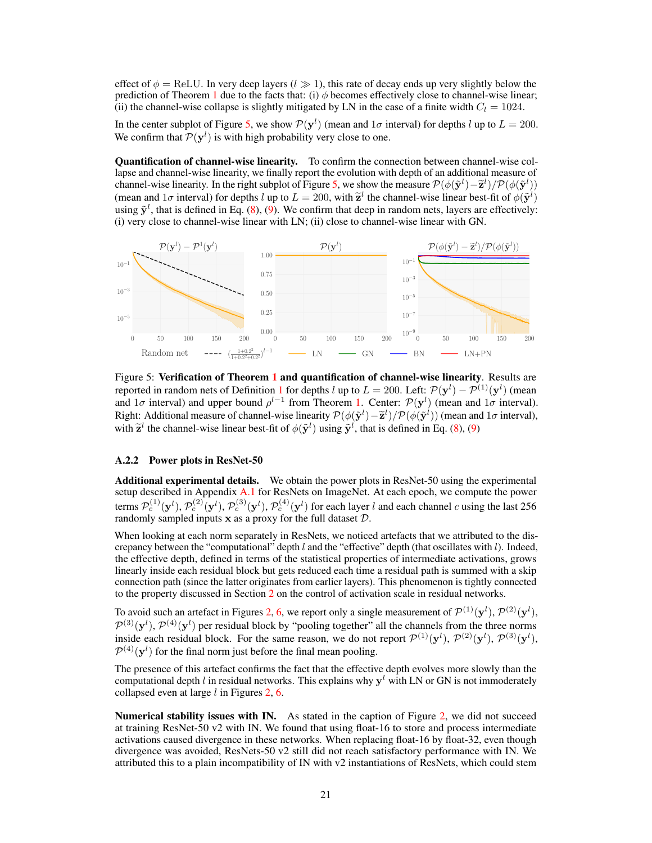effect of  $\phi = \text{ReLU}$ . In very deep layers  $(l \geq 1)$ , this rate of decay ends up very slightly below the prediction of Theorem [1](#page--1-22) due to the facts that: (i)  $\phi$  becomes effectively close to channel-wise linear; (ii) the channel-wise collapse is slightly mitigated by LN in the case of a finite width  $C_l = 1024$ .

In the center subplot of Figure [5,](#page-3-0) we show  $\mathcal{P}(\mathbf{y}^l)$  (mean and  $1\sigma$  interval) for depths l up to  $L = 200$ . We confirm that  $P(\mathbf{y}^l)$  is with high probability very close to one.

Quantification of channel-wise linearity. To confirm the connection between channel-wise collapse and channel-wise linearity, we finally report the evolution with depth of an additional measure of channel-wise linearity. In the right subplot of Figure [5,](#page-3-0) we show the measure  $\mathcal{P}(\phi(\tilde{\mathbf{y}}^l) - \tilde{\mathbf{z}}^l)/\mathcal{P}(\phi(\tilde{\mathbf{y}}^l))$ (mean and 1*σ* interval) for depths *l* up to  $L = 200$ , with  $\tilde{\mathbf{z}}^l$  the channel-wise linear best-fit of  $\phi(\tilde{\mathbf{y}}^l)$ using  $\tilde{\mathbf{y}}^l$ , that is defined in Eq. [\(8\)](#page-11-0), [\(9\)](#page-11-1). We confirm that deep in random nets, layers are effectively: (i) very close to channel-wise linear with LN; (ii) close to channel-wise linear with GN.

<span id="page-3-0"></span>

Figure 5: Verification of Theorem [1](#page--1-22) and quantification of channel-wise linearity. Results are reported in random nets of Definition [1](#page--1-17) for depths l up to  $L = 200$ . Left:  $\mathcal{P}(\mathbf{y}^l) - \mathcal{P}^{(1)}(\mathbf{y}^l)$  (mean and 1 $\sigma$  interval) and upper bound  $\rho^{l-1}$  from Theorem [1.](#page--1-22) Center:  $\mathcal{P}(\mathbf{y}^l)$  (mean and 1 $\sigma$  interval). Right: Additional measure of channel-wise linearity  $\mathcal{P}(\phi(\tilde{\mathbf{y}}^l) - \tilde{\mathbf{z}}^l)/\mathcal{P}(\phi(\tilde{\mathbf{y}}^l))$  (mean and  $1\sigma$  interval), with  $\tilde{\mathbf{z}}^l$  the channel-wise linear best-fit of  $\phi(\tilde{\mathbf{y}}^l)$  using  $\tilde{\mathbf{y}}^l$ , that is defined in Eq. [\(8\)](#page-11-0), [\(9\)](#page-11-1)

### <span id="page-3-1"></span>A.2.2 Power plots in ResNet-50

Additional experimental details. We obtain the power plots in ResNet-50 using the experimental setup described in Appendix [A.1](#page-0-1) for ResNets on ImageNet. At each epoch, we compute the power terms  $\mathcal{P}_c^{(1)}(\mathbf{y}^l), \mathcal{P}_c^{(2)}(\mathbf{y}^l), \mathcal{P}_c^{(3)}(\mathbf{y}^l), \mathcal{P}_c^{(4)}(\mathbf{y}^l)$  for each layer l and each channel c using the last 256 randomly sampled inputs  $x$  as a proxy for the full dataset  $D$ .

When looking at each norm separately in ResNets, we noticed artefacts that we attributed to the discrepancy between the "computational" depth  $l$  and the "effective" depth (that oscillates with  $l$ ). Indeed, the effective depth, defined in terms of the statistical properties of intermediate activations, grows linearly inside each residual block but gets reduced each time a residual path is summed with a skip connection path (since the latter originates from earlier layers). This phenomenon is tightly connected to the property discussed in Section [2](#page--1-0) on the control of activation scale in residual networks.

To avoid such an artefact in Figures [2,](#page--1-14) [6,](#page-4-0) we report only a single measurement of  $\mathcal{P}^{(1)}(\mathbf{y}^l), \mathcal{P}^{(2)}(\mathbf{y}^l),$  $\mathcal{P}^{(3)}(\mathbf{y}^l), \mathcal{P}^{(4)}(\mathbf{y}^l)$  per residual block by "pooling together" all the channels from the three norms inside each residual block. For the same reason, we do not report  $\mathcal{P}^{(1)}(\mathbf{y}^{l}), \mathcal{P}^{(2)}(\mathbf{y}^{l}), \mathcal{P}^{(3)}(\mathbf{y}^{l}),$  $\mathcal{P}^{(4)}(\mathbf{y}^l)$  for the final norm just before the final mean pooling.

The presence of this artefact confirms the fact that the effective depth evolves more slowly than the computational depth l in residual networks. This explains why  $y<sup>l</sup>$  with LN or GN is not immoderately collapsed even at large  $l$  in Figures [2,](#page--1-14) [6.](#page-4-0)

Numerical stability issues with IN. As stated in the caption of Figure [2,](#page--1-14) we did not succeed at training ResNet-50 v2 with IN. We found that using float-16 to store and process intermediate activations caused divergence in these networks. When replacing float-16 by float-32, even though divergence was avoided, ResNets-50 v2 still did not reach satisfactory performance with IN. We attributed this to a plain incompatibility of IN with v2 instantiations of ResNets, which could stem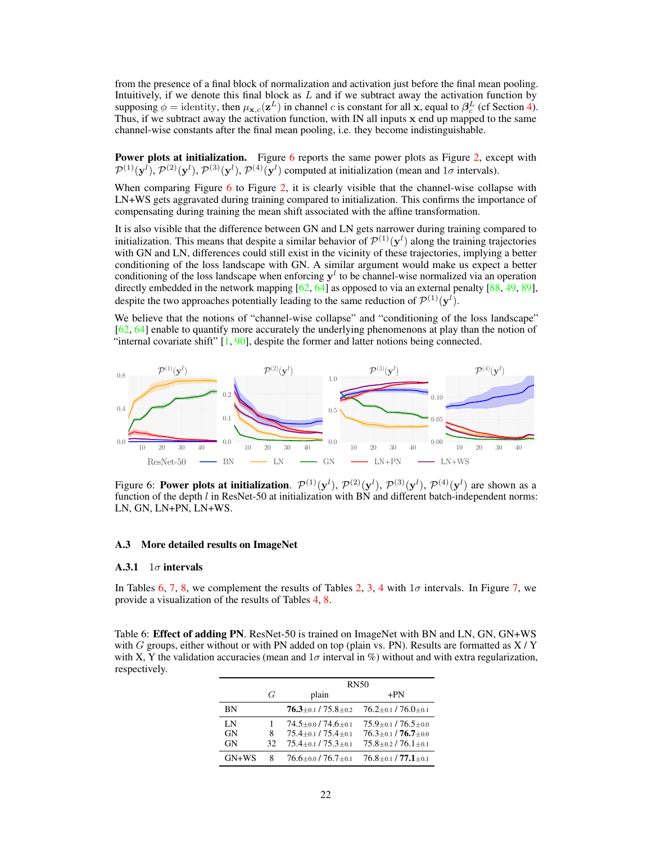from the presence of a final block of normalization and activation just before the final mean pooling. Intuitively, if we denote this final block as  $L$  and if we subtract away the activation function by supposing  $\phi =$  identity, then  $\mu_{\mathbf{x},c}(\mathbf{z}^L)$  in channel c is constant for all x, equal to  $\beta_c^L$  (cf Section [4\)](#page--1-23). Thus, if we subtract away the activation function, with IN all inputs x end up mapped to the same channel-wise constants after the final mean pooling, i.e. they become indistinguishable.

**Power plots at initialization.** Figure  $\overline{6}$  $\overline{6}$  $\overline{6}$  reports the same power plots as Figure [2,](#page--1-14) except with  $\mathcal{P}^{(1)}(\mathbf{y}^{l}), \mathcal{P}^{(2)}(\mathbf{y}^{l}), \mathcal{P}^{(3)}(\mathbf{y}^{l}), \mathcal{P}^{(4)}(\mathbf{y}^{l})$  computed at initialization (mean and  $1\sigma$  intervals).

When comparing Figure [6](#page-4-0) to Figure [2,](#page--1-14) it is clearly visible that the channel-wise collapse with LN+WS gets aggravated during training compared to initialization. This confirms the importance of compensating during training the mean shift associated with the affine transformation.

It is also visible that the difference between GN and LN gets narrower during training compared to initialization. This means that despite a similar behavior of  $\mathcal{P}^{(1)}(\mathbf{y}^l)$  along the training trajectories with GN and LN, differences could still exist in the vicinity of these trajectories, implying a better conditioning of the loss landscape with GN. A similar argument would make us expect a better conditioning of the loss landscape when enforcing  $y<sup>l</sup>$  to be channel-wise normalized via an operation directly embedded in the network mapping  $[62, 64]$  $[62, 64]$  $[62, 64]$  as opposed to via an external penalty  $[88, 49, 89]$  $[88, 49, 89]$  $[88, 49, 89]$  $[88, 49, 89]$  $[88, 49, 89]$ , despite the two approaches potentially leading to the same reduction of  $\mathcal{P}^{(1)}(\mathbf{y}^l)$ .

We believe that the notions of "channel-wise collapse" and "conditioning of the loss landscape" [\[62,](#page--1-24) [64\]](#page--1-25) enable to quantify more accurately the underlying phenomenons at play than the notion of "internal covariate shift" [\[1,](#page--1-29) [90\]](#page--1-30), despite the former and latter notions being connected.

<span id="page-4-0"></span>

Figure 6: **Power plots at initialization**.  $\mathcal{P}^{(1)}(\mathbf{y}^{l}), \mathcal{P}^{(2)}(\mathbf{y}^{l}), \mathcal{P}^{(3)}(\mathbf{y}^{l}), \mathcal{P}^{(4)}(\mathbf{y}^{l})$  are shown as a function of the depth  $l$  in ResNet-50 at initialization with BN and different batch-independent norms: LN, GN, LN+PN, LN+WS.

### A.3 More detailed results on ImageNet

#### A.3.1  $1\sigma$  intervals

In Tables [6,](#page-4-1) [7,](#page-5-1) [8,](#page-5-0) we complement the results of Tables [2,](#page--1-31) [3,](#page--1-32) [4](#page--1-5) with  $1\sigma$  intervals. In Figure 7, we provide a visualization of the results of Tables [4,](#page--1-5) [8.](#page-5-0)

<span id="page-4-1"></span>Table 6: **Effect of adding PN**. ResNet-50 is trained on ImageNet with BN and LN, GN, GN+WS with G groups, either without or with PN added on top (plain vs. PN). Results are formatted as  $X/Y$ with X, Y the validation accuracies (mean and  $1\sigma$  interval in %) without and with extra regularization, respectively.

|                |     | <b>RN50</b>                                               |                               |  |  |
|----------------|-----|-----------------------------------------------------------|-------------------------------|--|--|
|                | G   | plain                                                     | $+PN$                         |  |  |
| ΒN             |     | $76.3 \scriptstyle \pm 0.1$ / $75.8 \scriptstyle \pm 0.2$ | $76.2 \pm 0.1 / 76.0 \pm 0.1$ |  |  |
| L <sub>N</sub> |     | $74.5 + 0.0 / 74.6 + 0.1$                                 | $75.9 + 0.1 / 76.5 + 0.0$     |  |  |
| <b>GN</b>      | 8   | $75.4 + 0.1 / 75.4 + 0.1$                                 | $76.3 + 0.1 / 76.7 + 0.0$     |  |  |
| GN             | 32. | $75.4 \pm 0.1 / 75.3 \pm 0.1$                             | $75.8 \pm 0.2 / 76.1 \pm 0.1$ |  |  |
| $GN+WS$        | 8   | $76.6 \pm 0.0$ / $76.7 \pm 0.1$                           | $76.8 \pm 0.1 / 77.1 \pm 0.1$ |  |  |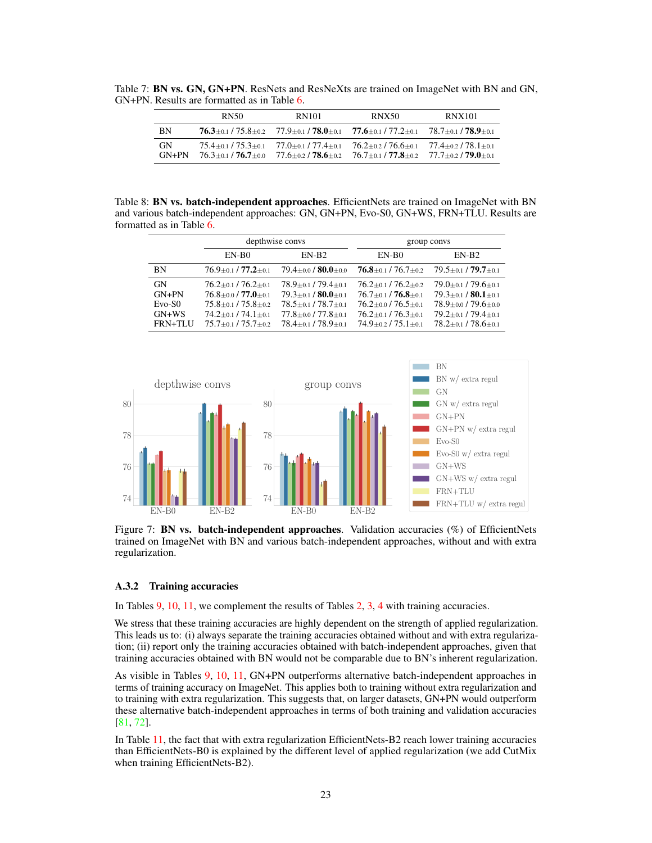<span id="page-5-2"></span>Table 7: BN vs. GN, GN+PN. ResNets and ResNeXts are trained on ImageNet with BN and GN, GN+PN. Results are formatted as in Table [6.](#page-4-1)

|                      | RN50 | <b>RN101</b>                                                                                                           | <b>RNX50</b>                                                                                                            | <b>RNX101</b>             |
|----------------------|------|------------------------------------------------------------------------------------------------------------------------|-------------------------------------------------------------------------------------------------------------------------|---------------------------|
| BN                   |      |                                                                                                                        | $76.3 \pm 0.1 / 75.8 \pm 0.2$ $77.9 \pm 0.1 / 78.0 \pm 0.1$ $77.6 \pm 0.1 / 77.2 \pm 0.1$ $78.7 \pm 0.1 / 78.9 \pm 0.1$ |                           |
| <b>GN</b><br>$GN+PN$ |      | $75.4 + 0.1$ / $75.3 + 0.1$ $77.0 + 0.1$ / $77.4 + 0.1$<br>$76.3 \pm 0.1 / 76.7 \pm 0.0$ $77.6 \pm 0.2 / 78.6 \pm 0.2$ | $76.2 + 0.2 / 76.6 + 0.1$<br>$76.7 + 0.1$ / $77.8 + 0.2$ $77.7 + 0.2$ / $79.0 + 0.1$                                    | $77.4 + 0.2 / 78.1 + 0.1$ |

<span id="page-5-0"></span>Table 8: **BN vs. batch-independent approaches**. EfficientNets are trained on ImageNet with BN and various batch-independent approaches: GN, GN+PN, Evo-S0, GN+WS, FRN+TLU. Results are formatted as in Table [6.](#page-4-1)

|                                                        |                                                                                                                                                   | depthwise convs                                                                                                                               | group convs                                                                                                                                   |                                                                                                                                                     |  |
|--------------------------------------------------------|---------------------------------------------------------------------------------------------------------------------------------------------------|-----------------------------------------------------------------------------------------------------------------------------------------------|-----------------------------------------------------------------------------------------------------------------------------------------------|-----------------------------------------------------------------------------------------------------------------------------------------------------|--|
|                                                        | EN-B <sub>0</sub>                                                                                                                                 | $EN-B2$                                                                                                                                       | EN-B <sub>0</sub>                                                                                                                             | $EN-B2$                                                                                                                                             |  |
| BN                                                     | $76.9 \pm 0.1 / 77.2 \pm 0.1$                                                                                                                     | $79.4 \pm 0.0 / 80.0 \pm 0.0$                                                                                                                 | $76.8 \pm 0.1 / 76.7 \pm 0.2$                                                                                                                 | $79.5 \pm 0.1 / 79.7 \pm 0.1$                                                                                                                       |  |
| <b>GN</b><br>$GN+PN$<br>$Evo-S0$<br>$GN+WS$<br>FRN+TLU | $76.2 \pm 0.1 / 76.2 \pm 0.1$<br>$76.8 + 0.0 / 77.0 + 0.1$<br>$75.8 + 0.1 / 75.8 + 0.2$<br>$74.2 + 0.1 / 74.1 + 0.1$<br>$75.7 + 0.1 / 75.7 + 0.2$ | $78.9 + 0.1 / 79.4 + 0.1$<br>$79.3 + 0.1 / 80.0 + 0.1$<br>$78.5 + 0.1 / 78.7 + 0.1$<br>$77.8 + 0.0 / 77.8 + 0.1$<br>$78.4 + 0.1 / 78.9 + 0.1$ | $76.2 + 0.1 / 76.2 + 0.2$<br>$76.7 + 0.1 / 76.8 + 0.1$<br>$76.2 + 0.0 / 76.5 + 0.1$<br>$76.2 + 0.1 / 76.3 + 0.1$<br>$74.9 + 0.2 / 75.1 + 0.1$ | $79.0 \pm 0.1 / 79.6 \pm 0.1$<br>$79.3 \pm 0.1 / 80.1 \pm 0.1$<br>$78.9 + 0.0179.6 + 0.0$<br>$79.2 + 0.1 / 79.4 + 0.1$<br>$78.2 + 0.1 / 78.6 + 0.1$ |  |

<span id="page-5-1"></span>

Figure 7: BN vs. batch-independent approaches. Validation accuracies (%) of EfficientNets trained on ImageNet with BN and various batch-independent approaches, without and with extra regularization.

### A.3.2 Training accuracies

In Tables [9,](#page-6-0) [10,](#page-6-1) [11,](#page-6-2) we complement the results of Tables [2,](#page--1-31) [3,](#page--1-32) [4](#page--1-5) with training accuracies.

We stress that these training accuracies are highly dependent on the strength of applied regularization. This leads us to: (i) always separate the training accuracies obtained without and with extra regularization; (ii) report only the training accuracies obtained with batch-independent approaches, given that training accuracies obtained with BN would not be comparable due to BN's inherent regularization.

As visible in Tables [9,](#page-6-0) [10,](#page-6-1) [11,](#page-6-2) GN+PN outperforms alternative batch-independent approaches in terms of training accuracy on ImageNet. This applies both to training without extra regularization and to training with extra regularization. This suggests that, on larger datasets, GN+PN would outperform these alternative batch-independent approaches in terms of both training and validation accuracies [\[81,](#page--1-25) [72\]](#page--1-33).

In Table [11,](#page-6-2) the fact that with extra regularization EfficientNets-B2 reach lower training accuracies than EfficientNets-B0 is explained by the different level of applied regularization (we add CutMix when training EfficientNets-B2).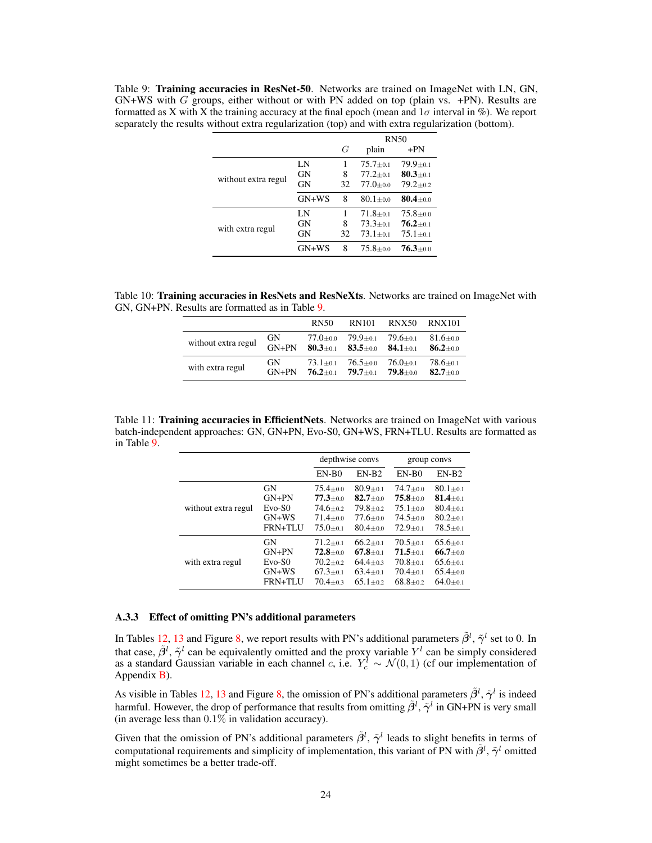<span id="page-6-0"></span>Table 9: Training accuracies in ResNet-50. Networks are trained on ImageNet with LN, GN,  $GN+WS$  with G groups, either without or with PN added on top (plain vs.  $+PN$ ). Results are formatted as X with X the training accuracy at the final epoch (mean and  $1\sigma$  interval in %). We report separately the results without extra regularization (top) and with extra regularization (bottom).

|                     |           |    | <b>RN50</b>  |                |  |
|---------------------|-----------|----|--------------|----------------|--|
|                     |           | G  | plain        | $+PN$          |  |
|                     | LN        |    | $75.7 + 0.1$ | $79.9 \pm 0.1$ |  |
|                     | <b>GN</b> | 8  | $77.2 + 0.1$ | $80.3 \pm 0.1$ |  |
| without extra regul | <b>GN</b> | 32 | $77.0 + 0.0$ | $79.2 + 0.2$   |  |
|                     | $GN+WS$   | 8  | $80.1 + 0.0$ | $80.4 \pm 0.0$ |  |
|                     | LN        |    | $71.8 + 0.1$ | $75.8 + 0.0$   |  |
|                     | GN        | 8  | $73.3 + 0.1$ | $76.2 \pm 0.1$ |  |
| with extra regul    | <b>GN</b> | 32 | $73.1 + 0.1$ | $75.1 \pm 0.1$ |  |
|                     | $GN+WS$   | 8  | $75.8 + 0.0$ | $76.3 + 0.0$   |  |

<span id="page-6-1"></span>Table 10: Training accuracies in ResNets and ResNeXts. Networks are trained on ImageNet with GN, GN+PN. Results are formatted as in Table [9.](#page-6-0)

|                     |         | RN50         | RN101          | <b>RNX50</b> | <b>RNX101</b>  |
|---------------------|---------|--------------|----------------|--------------|----------------|
| without extra regul | GN      | $77.0 + 0.0$ | $79.9 \pm 0.1$ | $79.6 + 0.1$ | $81.6 \pm 0.0$ |
|                     | $GN+PN$ | $80.3 + 0.1$ | $83.5 \pm 0.0$ | $84.1 + 0.1$ | $86.2 + 0.0$   |
| with extra regul    | GN      | $73.1 + 0.1$ | $76.5 + 0.0$   | $76.0 + 0.1$ | $78.6 + 0.1$   |
|                     | $GN+PN$ | $76.2 + 0.1$ | $79.7 + 0.1$   | $79.8 + 0.0$ | $82.7 + 0.0$   |

<span id="page-6-2"></span>Table 11: Training accuracies in EfficientNets. Networks are trained on ImageNet with various batch-independent approaches: GN, GN+PN, Evo-S0, GN+WS, FRN+TLU. Results are formatted as in Table [9.](#page-6-0)

|                     |                |                | depthwise convs |                             | group convs  |
|---------------------|----------------|----------------|-----------------|-----------------------------|--------------|
|                     |                | $EN-B0$        | $EN-B2$         | $EN-B0$                     | $EN-B2$      |
| without extra regul | GN             | $75.4 + 0.0$   | $80.9 + 0.1$    | $74.7 + 0.0$                | $80.1 + 0.1$ |
|                     | $GN+PN$        | $77.3 + 0.0$   | $82.7 + 0.0$    | $75.8{\scriptstyle \pm0.0}$ | $81.4 + 0.1$ |
|                     | $Evo-S0$       | $74.6 + 0.2$   | $79.8 \pm 0.2$  | $75.1 \pm 0.0$              | $80.4 + 0.1$ |
|                     | $GN+WS$        | $71.4 + 0.0$   | $77.6 + 0.0$    | $74.5 + 0.0$                | $80.2 + 0.1$ |
|                     | FRN+TLU        | $75.0 + 0.1$   | $80.4 + 0.0$    | $72.9 + 0.1$                | $78.5 + 0.1$ |
| with extra regul    | GN             | $71.2 \pm 0.1$ | $66.2 + 0.1$    | $70.5 + 0.1$                | $65.6 + 0.1$ |
|                     | $GN+PN$        | $72.8 \pm 0.0$ | $67.8 + 0.1$    | $71.5 + 0.1$                | $66.7 + 0.0$ |
|                     | $Evo-S0$       | $70.2 + 0.2$   | $64.4 + 0.3$    | $70.8 + 0.1$                | $65.6 + 0.1$ |
|                     | $GN+WS$        | $67.3 + 0.1$   | $63.4 + 0.1$    | $70.4 + 0.1$                | $65.4 + 0.0$ |
|                     | <b>FRN+TLU</b> | $70.4 \pm 0.3$ | $65.1 + 0.2$    | $68.8 + 0.2$                | $64.0 + 0.1$ |

### A.3.3 Effect of omitting PN's additional parameters

In Tables [12,](#page-7-1) [13](#page-7-2) and Figure [8,](#page-7-3) we report results with PN's additional parameters  $\tilde{\beta}^l$ ,  $\tilde{\gamma}^l$  set to 0. In that case,  $\tilde{\beta}^l$ ,  $\tilde{\gamma}^l$  can be equivalently omitted and the proxy variable  $Y^l$  can be simply considered as a standard Gaussian variable in each channel c, i.e.  $Y_c^l \sim \mathcal{N}(0, 1)$  (cf our implementation of Appendix [B\)](#page-9-0).

As visible in Tables [12,](#page-7-1) [13](#page-7-2) and Figure [8,](#page-7-3) the omission of PN's additional parameters  $\tilde{\beta}^l$ ,  $\tilde{\gamma}^l$  is indeed harmful. However, the drop of performance that results from omitting  $\tilde{\beta}^l$ ,  $\tilde{\gamma}^l$  in GN+PN is very small (in average less than  $0.1\%$  in validation accuracy).

Given that the omission of PN's additional parameters  $\tilde{\beta}^l$ ,  $\tilde{\gamma}^l$  leads to slight benefits in terms of computational requirements and simplicity of implementation, this variant of PN with  $\tilde{\beta}^l$ ,  $\tilde{\gamma}^l$  omitted might sometimes be a better trade-off.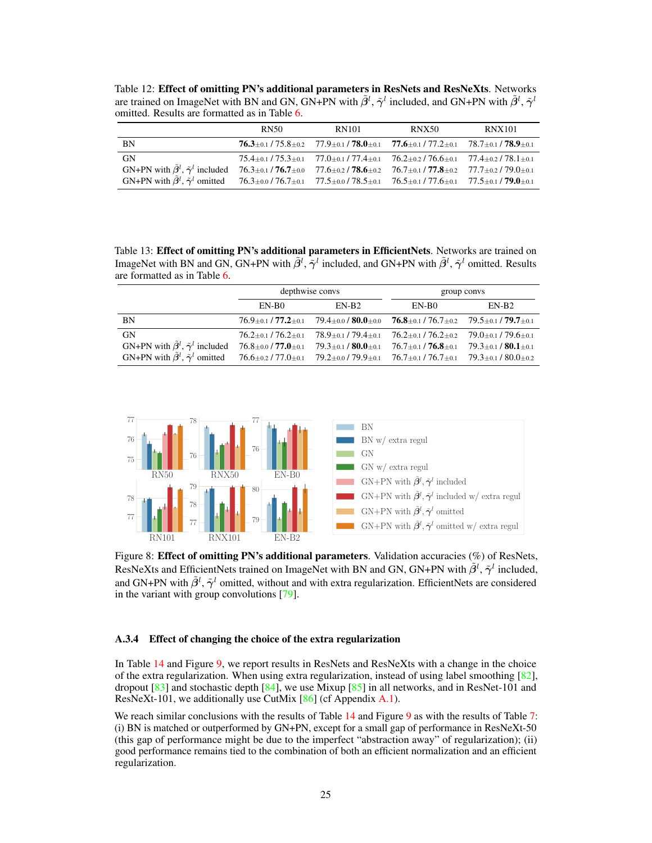<span id="page-7-1"></span>Table 12: Effect of omitting PN's additional parameters in ResNets and ResNeXts. Networks are trained on ImageNet with BN and GN, GN+PN with  $\tilde{\beta}^l$ ,  $\tilde{\gamma}^l$  included, and GN+PN with  $\tilde{\beta}^l$ ,  $\tilde{\gamma}^l$ omitted. Results are formatted as in Table [6.](#page-4-1)

|                                                                                                                                                                  | RN50 | RN101 | <b>RNX50</b>                                                                                                            | <b>RNX101</b> |
|------------------------------------------------------------------------------------------------------------------------------------------------------------------|------|-------|-------------------------------------------------------------------------------------------------------------------------|---------------|
| <b>BN</b>                                                                                                                                                        |      |       | $76.3 \pm 0.1 / 75.8 \pm 0.2$ $77.9 \pm 0.1 / 78.0 \pm 0.1$ $77.6 \pm 0.1 / 77.2 \pm 0.1$ $78.7 \pm 0.1 / 78.9 \pm 0.1$ |               |
| GN                                                                                                                                                               |      |       | $75.4\pm 0.1$ / $75.3\pm 0.1$ $77.0\pm 0.1$ / $77.4\pm 0.1$ $76.2\pm 0.2$ / $76.6\pm 0.1$ $77.4\pm 0.2$ / $78.1\pm 0.1$ |               |
| GN+PN with $\tilde{\beta}^l$ , $\tilde{\gamma}^l$ included 76.3±0.1/76.7±0.0 77.6±0.2/78.6±0.2 76.7±0.1/77.8±0.2 77.7±0.2/79.0±0.1                               |      |       |                                                                                                                         |               |
| GN+PN with $\tilde{\beta}^l$ , $\tilde{\gamma}^l$ omitted $76.3 \pm 0.076.7 \pm 0.177.5 \pm 0.0778.5 \pm 0.1776.5 \pm 0.1777.6 \pm 0.1775.6 \pm 0.179.0 \pm 0.1$ |      |       |                                                                                                                         |               |

<span id="page-7-2"></span>Table 13: Effect of omitting PN's additional parameters in EfficientNets. Networks are trained on ImageNet with BN and GN, GN+PN with  $\tilde{\beta}^l$ ,  $\tilde{\gamma}^l$  included, and GN+PN with  $\tilde{\beta}^l$ ,  $\tilde{\gamma}^l$  omitted. Results are formatted as in Table [6.](#page-4-1)

|                                                            | depthwise convs                 |                                                                                                                         |                                                           | group convs                                               |
|------------------------------------------------------------|---------------------------------|-------------------------------------------------------------------------------------------------------------------------|-----------------------------------------------------------|-----------------------------------------------------------|
|                                                            | EN-B <sub>0</sub>               | $EN-B2$                                                                                                                 | EN-B0                                                     | $EN-B2$                                                   |
| <b>BN</b>                                                  |                                 | $76.9\pm 0.1$ / $77.2\pm 0.1$ $79.4\pm 0.0$ / $80.0\pm 0.0$ $76.8\pm 0.1$ / $76.7\pm 0.2$ $79.5\pm 0.1$ / $79.7\pm 0.1$ |                                                           |                                                           |
| GN                                                         |                                 | $76.2 \pm 0.1 / 76.2 \pm 0.1$ $78.9 \pm 0.1 / 79.4 \pm 0.1$                                                             | $76.2{\scriptstyle \pm0.1}$ / $76.2{\scriptstyle \pm0.2}$ | $79.0 \scriptstyle \pm 0.1$ / $79.6 \scriptstyle \pm 0.1$ |
| GN+PN with $\tilde{\beta}^l$ , $\tilde{\gamma}^l$ included | $76.8 \pm 0.0$ / $77.0 \pm 0.1$ | $79.3 \pm 0.1 / 80.0 \pm 0.1$                                                                                           | $76.7 \pm 0.1 / 76.8 \pm 0.1$                             | $79.3 \pm 0.1 / 80.1 \pm 0.1$                             |
| GN+PN with $\tilde{\beta}^l$ , $\tilde{\gamma}^l$ omitted  |                                 | $76.6 \pm 0.2$ / 77.0 $\pm$ 0.1 $79.2 \pm 0.0$ / 79.9 $\pm$ 0.1 $76.7 \pm 0.1$ / 76.7 $\pm$ 0.1                         |                                                           | $79.3 \pm 0.1 / 80.0 \pm 0.2$                             |

<span id="page-7-3"></span>

Figure 8: Effect of omitting PN's additional parameters. Validation accuracies (%) of ResNets, ResNeXts and EfficientNets trained on ImageNet with BN and GN, GN+PN with  $\tilde{\beta}^l$ ,  $\tilde{\gamma}^l$  included, and GN+PN with  $\tilde{\beta}^l$ ,  $\tilde{\gamma}^l$  omitted, without and with extra regularization. EfficientNets are considered in the variant with group convolutions [\[79\]](#page--1-4).

### <span id="page-7-0"></span>A.3.4 Effect of changing the choice of the extra regularization

In Table [14](#page-8-1) and Figure [9,](#page-8-2) we report results in ResNets and ResNeXts with a change in the choice of the extra regularization. When using extra regularization, instead of using label smoothing  $[82]$ , dropout  $\lceil 83 \rceil$  and stochastic depth  $\lceil 84 \rceil$ , we use Mixup  $\lceil 85 \rceil$  in all networks, and in ResNet-101 and ResNeXt-101, we additionally use CutMix  $[86]$  (cf Appendix [A.1\)](#page-0-1).

We reach similar conclusions with the results of Table [14](#page-8-1) and Figure [9](#page-8-2) as with the results of Table [7:](#page-5-2) (i) BN is matched or outperformed by GN+PN, except for a small gap of performance in ResNeXt-50 (this gap of performance might be due to the imperfect "abstraction away" of regularization); (ii) good performance remains tied to the combination of both an efficient normalization and an efficient regularization.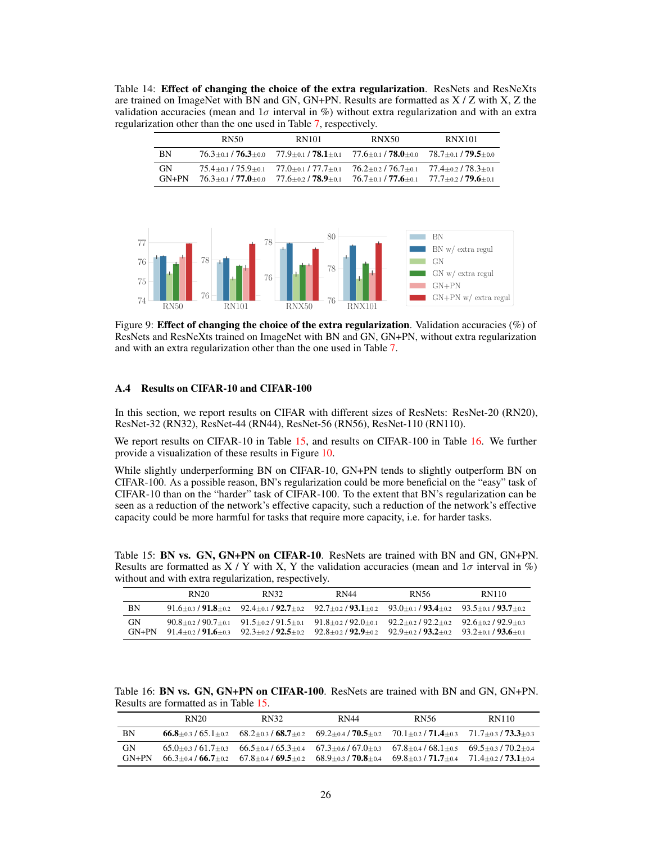<span id="page-8-1"></span>Table 14: Effect of changing the choice of the extra regularization. ResNets and ResNeXts are trained on ImageNet with BN and GN, GN+PN. Results are formatted as X / Z with X, Z the validation accuracies (mean and  $1\sigma$  interval in %) without extra regularization and with an extra regularization other than the one used in Table [7,](#page-5-2) respectively.

|                      | RN50                      | RN101                                                                                | <b>RNX50</b>                                                                                                            | <b>RNX101</b> |
|----------------------|---------------------------|--------------------------------------------------------------------------------------|-------------------------------------------------------------------------------------------------------------------------|---------------|
| BN                   |                           |                                                                                      | $76.3 \pm 0.1 / 76.3 \pm 0.0$ $77.9 \pm 0.1 / 78.1 \pm 0.1$ $77.6 \pm 0.1 / 78.0 \pm 0.0$ $78.7 \pm 0.1 / 79.5 \pm 0.0$ |               |
| <b>GN</b><br>$GN+PN$ | $76.3 + 0.1 / 77.0 + 0.0$ | $75.4 + 0.1$ / $75.9 + 0.1$ $77.0 + 0.1$ / $77.7 + 0.1$<br>$77.6 + 0.2 / 78.9 + 0.1$ | $76.2 + 0.2 / 76.7 + 0.1$ $77.4 + 0.2 / 78.3 + 0.1$<br>$76.7 + 0.1$ / $77.6 + 0.1$ $77.7 + 0.2$ / $79.6 + 0.1$          |               |

<span id="page-8-2"></span>

Figure 9: **Effect of changing the choice of the extra regularization**. Validation accuracies  $(\%)$  of ResNets and ResNeXts trained on ImageNet with BN and GN, GN+PN, without extra regularization and with an extra regularization other than the one used in Table [7.](#page-5-2)

### <span id="page-8-0"></span>A.4 Results on CIFAR-10 and CIFAR-100

In this section, we report results on CIFAR with different sizes of ResNets: ResNet-20 (RN20), ResNet-32 (RN32), ResNet-44 (RN44), ResNet-56 (RN56), ResNet-110 (RN110).

We report results on CIFAR-10 in Table [15,](#page-8-3) and results on CIFAR-100 in Table [16.](#page-8-4) We further provide a visualization of these results in Figure [10.](#page-9-1)

While slightly underperforming BN on CIFAR-10, GN+PN tends to slightly outperform BN on CIFAR-100. As a possible reason, BN's regularization could be more beneficial on the "easy" task of CIFAR-10 than on the "harder" task of CIFAR-100. To the extent that BN's regularization can be seen as a reduction of the network's effective capacity, such a reduction of the network's effective capacity could be more harmful for tasks that require more capacity, i.e. for harder tasks.

<span id="page-8-3"></span>Table 15: BN vs. GN, GN+PN on CIFAR-10. ResNets are trained with BN and GN, GN+PN. Results are formatted as  $X / Y$  with X, Y the validation accuracies (mean and  $1\sigma$  interval in %) without and with extra regularization, respectively.

|                      | RN <sub>20</sub> | RN32                                                                                                                                                                                     | <b>RN44</b> | RN56                                                        | RN110 |
|----------------------|------------------|------------------------------------------------------------------------------------------------------------------------------------------------------------------------------------------|-------------|-------------------------------------------------------------|-------|
| <b>BN</b>            |                  | $91.6\pm 0.3$ / $91.8\pm 0.2$ $92.4\pm 0.1$ / $92.7\pm 0.2$ $92.7\pm 0.2$ / $93.1\pm 0.2$ $93.0\pm 0.1$ / $93.4\pm 0.2$ $93.5\pm 0.1$ / $93.7\pm 0.2$                                    |             |                                                             |       |
| <b>GN</b><br>$GN+PN$ |                  | $90.8 + 0.2/90.7 + 0.1$ $91.5 + 0.2/91.5 + 0.1$ $91.8 + 0.2/92.0 + 0.1$<br>$91.4+0.2$ $91.6+0.3$ $92.3+0.2$ $92.5+0.2$ $92.8+0.2$ $92.9+0.2$ $92.9+0.2$ $93.2+0.2$ $93.2+0.1$ $93.6+0.1$ |             | $92.2\pm 0.2$ / $92.2\pm 0.2$ $92.6\pm 0.2$ / $92.9\pm 0.3$ |       |

<span id="page-8-4"></span>Table 16: BN vs. GN, GN+PN on CIFAR-100. ResNets are trained with BN and GN, GN+PN. Results are formatted as in Table [15.](#page-8-3)

|               | RN20 | RN32                                                                                                                                                                                                     | RN44 | <b>RN56</b>               | RN110                     |
|---------------|------|----------------------------------------------------------------------------------------------------------------------------------------------------------------------------------------------------------|------|---------------------------|---------------------------|
| BN            |      | $66.8 + 0.3/65.1 + 0.2$ $68.2 + 0.3/68.7 + 0.2$ $69.2 + 0.4/70.5 + 0.2$ $70.1 + 0.2/71.4 + 0.3$ $71.7 + 0.3/73.3 + 0.3$                                                                                  |      |                           |                           |
| GN<br>$GN+PN$ |      | $65.0 + 0.3/61.7 + 0.3$ $66.5 + 0.4/65.3 + 0.4$ $67.3 + 0.6/67.0 + 0.3$ $67.8 + 0.4/68.1 + 0.5$ $69.5 + 0.3/70.2 + 0.4$<br>$66.3 + 0.4 / 66.7 + 0.2$ $67.8 + 0.4 / 69.5 + 0.2$ $68.9 + 0.3 / 70.8 + 0.4$ |      | $69.8 + 0.3 / 71.7 + 0.4$ | $71.4 + 0.2 / 73.1 + 0.4$ |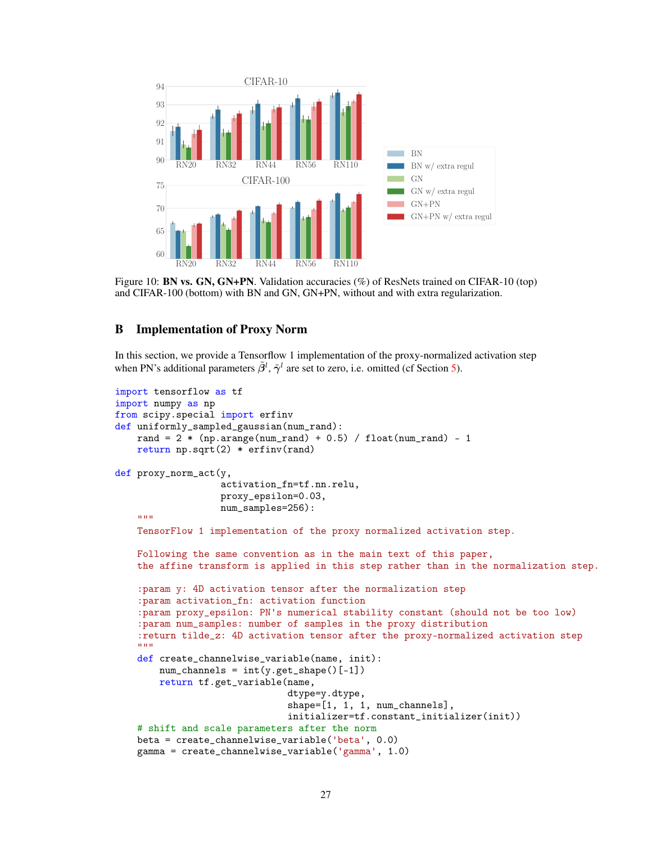<span id="page-9-1"></span>

Figure 10: **BN vs. GN, GN+PN**. Validation accuracies (%) of ResNets trained on CIFAR-10 (top) and CIFAR-100 (bottom) with BN and GN, GN+PN, without and with extra regularization.

# <span id="page-9-0"></span>B Implementation of Proxy Norm

In this section, we provide a Tensorflow 1 implementation of the proxy-normalized activation step when PN's additional parameters  $\tilde{\beta}^l$ ,  $\tilde{\gamma}^l$  are set to zero, i.e. omitted (cf Section [5\)](#page--1-0).

```
import tensorflow as tf
import numpy as np
from scipy.special import erfinv
def uniformly_sampled_gaussian(num_rand):
    rand = 2 * (np.arange(num\_rand) + 0.5) / float(num\_rand) - 1return np.sqrt(2) * erfinv(rand)
def proxy_norm_act(y,
                   activation_fn=tf.nn.relu,
                   proxy_epsilon=0.03,
                   num_samples=256):
    "'' ""
    TensorFlow 1 implementation of the proxy normalized activation step.
    Following the same convention as in the main text of this paper,
    the affine transform is applied in this step rather than in the normalization step.
    :param y: 4D activation tensor after the normalization step
    :param activation_fn: activation function
    :param proxy_epsilon: PN's numerical stability constant (should not be too low)
    :param num_samples: number of samples in the proxy distribution
    :return tilde_z: 4D activation tensor after the proxy-normalized activation step
    "'' ""
    def create_channelwise_variable(name, init):
        num_{\text{channels}} = int(y.get_{\text{shape}}()[-1])return tf.get_variable(name,
                                dtype=y.dtype,
                                shape=[1, 1, 1, num_{channels}],initializer=tf.constant_initializer(init))
    # shift and scale parameters after the norm
    beta = create_channelwise_variable('beta', 0.0)
    gamma = create_channelwise_variable('gamma', 1.0)
```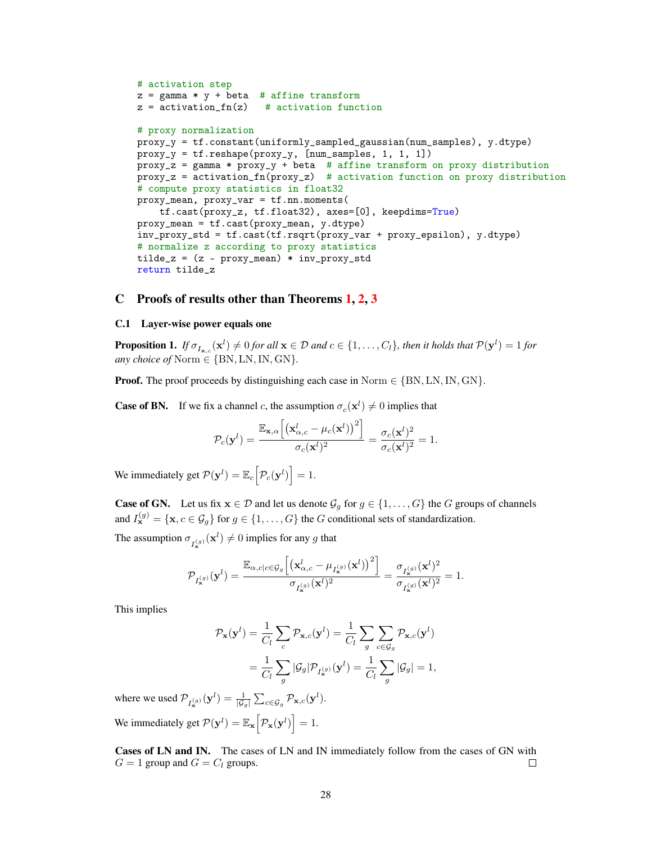```
# activation step
z = gamma * y + beta # affine transform
z = activation_fn(z) # activation function
# proxy normalization
proxy_y = tf.constant(uniformly_sampled_gaussian(num_samples), y.dtype)
proxy_y = tf.reshape(proxy_y, [num_samples, 1, 1, 1])
proxy_z = gamma * proxy_y + beta # affine transform on proxy distribution
proxy_z = activation_fn(proxy_z) # activation function on proxy distribution
# compute proxy statistics in float32
proxy_mean, proxy_var = tf.nn.moments(
    tf.cast(proxy_z, tf.float32), axes=[0], keepdims=True)
proxy_mean = tf.cast(proxy_mean, y.dtype)
inv_proxy_std = tf.cast(tf.rsqrt(proxy_var + proxy_epsilon), y.dtype)
# normalize z according to proxy statistics
tilde{z} = (z - proxy_mean) * inv_proxy\_stdreturn tilde_z
```
## C Proofs of results other than Theorems [1,](#page--1-22) [2,](#page--1-34) [3](#page--1-13)

### C.1 Layer-wise power equals one

<span id="page-10-0"></span>**Proposition 1.** If  $\sigma_{I_{\mathbf{x},c}}(\mathbf{x}^l) \neq 0$  for all  $\mathbf{x} \in \mathcal{D}$  and  $c \in \{1,\ldots,C_l\}$ , then it holds that  $\mathcal{P}(\mathbf{y}^l) = 1$  for *any choice of* Norm  $\in$  {BN, LN, IN, GN}.

**Proof.** The proof proceeds by distinguishing each case in Norm  $\in \{BN, LN, IN, GN\}$ .

**Case of BN.** If we fix a channel c, the assumption  $\sigma_c(\mathbf{x}^l) \neq 0$  implies that

$$
\mathcal{P}_c(\mathbf{y}^l)=\frac{\mathbb{E}_{\mathbf{x},\alpha}\Big[\big(\mathbf{x}_{\alpha,c}^l-\mu_c(\mathbf{x}^l)\big)^2\Big]}{\sigma_c(\mathbf{x}^l)^2}=\frac{\sigma_c(\mathbf{x}^l)^2}{\sigma_c(\mathbf{x}^l)^2}=1.
$$

We immediately get  $\mathcal{P}(\mathbf{y}^l) = \mathbb{E}_c \Big[ \mathcal{P}_c(\mathbf{y}^l) \Big] = 1.$ 

**Case of GN.** Let us fix  $x \in \mathcal{D}$  and let us denote  $\mathcal{G}_g$  for  $g \in \{1, \ldots, G\}$  the G groups of channels and  $I_{\mathbf{x}}^{(g)} = {\mathbf{x}, c \in \mathcal{G}_g}$  for  $g \in \{1, ..., G\}$  the G conditional sets of standardization.

The assumption  $\sigma_{I_{\mathbf{x}}^{(g)}}(\mathbf{x}^l) \neq 0$  implies for any g that

$$
\mathcal{P}_{I_\mathbf{x}^{(g)}}(\mathbf{y}^l)=\frac{\mathbb{E}_{\alpha,c|c\in\mathcal{G}_g}\Big[\big(\mathbf{x}_{\alpha,c}^l-\mu_{I_\mathbf{x}^{(g)}}(\mathbf{x}^l)\big)^2\Big]}{\sigma_{I_\mathbf{x}^{(g)}}(\mathbf{x}^l)^2}=\frac{\sigma_{I_\mathbf{x}^{(g)}}(\mathbf{x}^l)^2}{\sigma_{I_\mathbf{x}^{(g)}}(\mathbf{x}^l)^2}=1.
$$

This implies

$$
\mathcal{P}_{\mathbf{x}}(\mathbf{y}^l) = \frac{1}{C_l} \sum_c \mathcal{P}_{\mathbf{x},c}(\mathbf{y}^l) = \frac{1}{C_l} \sum_g \sum_{c \in \mathcal{G}_g} \mathcal{P}_{\mathbf{x},c}(\mathbf{y}^l)
$$

$$
= \frac{1}{C_l} \sum_g |\mathcal{G}_g| \mathcal{P}_{I_{\mathbf{x}}^{(g)}}(\mathbf{y}^l) = \frac{1}{C_l} \sum_g |\mathcal{G}_g| = 1,
$$

where we used  $\mathcal{P}_{I_{\mathbf{x}}^{(g)}}(\mathbf{y}^l) = \frac{1}{|\mathcal{G}_g|} \sum_{c \in \mathcal{G}_g} \mathcal{P}_{\mathbf{x},c}(\mathbf{y}^l).$ We immediately get  $\mathcal{P}(\mathbf{y}^l) = \mathbb{E}_{\mathbf{x}} \left[ \mathcal{P}_{\mathbf{x}}(\mathbf{y}^l) \right] = 1.$ 

Cases of LN and IN. The cases of LN and IN immediately follow from the cases of GN with  $G = 1$  group and  $G = C_l$  groups. □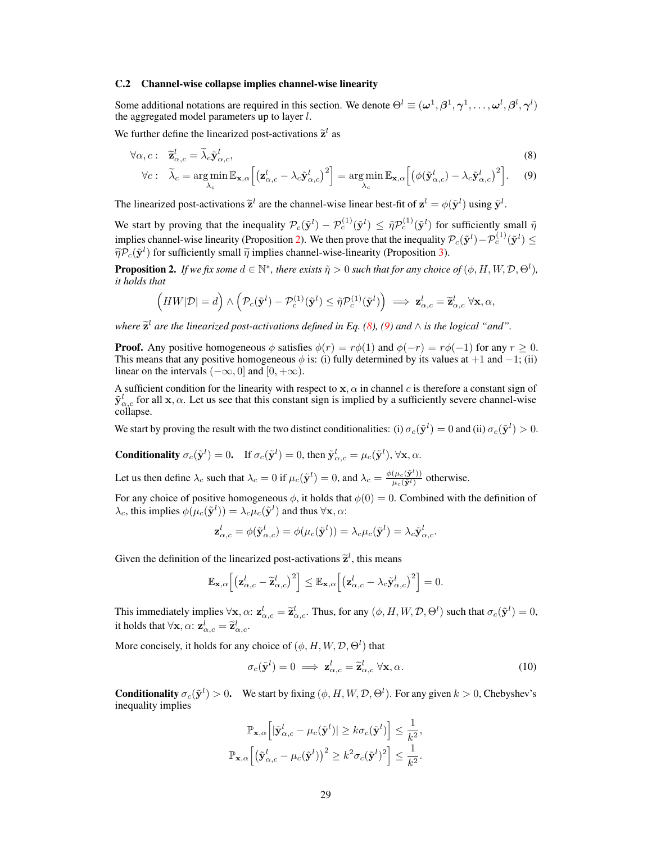### C.2 Channel-wise collapse implies channel-wise linearity

Some additional notations are required in this section. We denote  $\Theta^l \equiv (\omega^1, \beta^1, \gamma^1, \dots, \omega^l, \beta^l, \gamma^l)$ the aggregated model parameters up to layer  $l$ .

We further define the linearized post-activations  $\tilde{\mathbf{z}}^l$  as

<span id="page-11-0"></span>
$$
\forall \alpha, c: \quad \widetilde{\mathbf{z}}_{\alpha,c}^l = \widetilde{\lambda}_c \widetilde{\mathbf{y}}_{\alpha,c}^l, \tag{8}
$$
\n
$$
\forall c: \quad \widetilde{\lambda}_c = \arg\min_{\lambda_c} \mathbb{E}_{\mathbf{x},\alpha} \Big[ \big( \mathbf{z}_{\alpha,c}^l - \lambda_c \widetilde{\mathbf{y}}_{\alpha,c}^l \big)^2 \Big] = \arg\min_{\lambda_c} \mathbb{E}_{\mathbf{x},\alpha} \Big[ \big( \phi(\widetilde{\mathbf{y}}_{\alpha,c}^l) - \lambda_c \widetilde{\mathbf{y}}_{\alpha,c}^l \big)^2 \Big]. \tag{9}
$$

The linearized post-activations  $\tilde{\mathbf{z}}^l$  are the channel-wise linear best-fit of  $\mathbf{z}^l = \phi(\tilde{\mathbf{y}}^l)$  using  $\tilde{\mathbf{y}}^l$ .

We start by proving that the inequality  $\mathcal{P}_c(\tilde{\mathbf{y}}^l) - \mathcal{P}_c^{(1)}(\tilde{\mathbf{y}}^l) \leq \tilde{\eta} \mathcal{P}_c^{(1)}(\tilde{\mathbf{y}}^l)$  for sufficiently small  $\tilde{\eta}$ implies channel-wise linearity (Proposition [2\)](#page-11-2). We then prove that the inequality  $\mathcal{P}_c(\tilde{\mathbf{y}}^l) - \mathcal{P}_c^{(1)}(\tilde{\mathbf{y}}^l) \leq$  $\tilde{\eta} \mathcal{P}_c(\tilde{\mathbf{y}}^l)$  for sufficiently small  $\tilde{\eta}$  implies channel-wise-linearity (Proposition [3\)](#page-13-0).

<span id="page-11-2"></span>**Proposition 2.** *If we fix some*  $d \in \mathbb{N}^*$ , *there exists*  $\tilde{\eta} > 0$  *such that for any choice of*  $(\phi, H, W, \mathcal{D}, \Theta^l)$ , *it holds that*

<span id="page-11-1"></span>
$$
(HW|\mathcal{D}| = d) \wedge \left(\mathcal{P}_c(\tilde{\mathbf{y}}^l) - \mathcal{P}_c^{(1)}(\tilde{\mathbf{y}}^l) \leq \tilde{\eta} \mathcal{P}_c^{(1)}(\tilde{\mathbf{y}}^l)\right) \implies \mathbf{z}_{\alpha,c}^l = \tilde{\mathbf{z}}_{\alpha,c}^l \ \forall \mathbf{x}, \alpha,
$$

 $w$ here  $\widetilde{\mathbf{z}}^l$  are the linearized post-activations defined in Eq. [\(8\)](#page-11-0), [\(9\)](#page-11-1) and  $\wedge$  is the logical "and".

**Proof.** Any positive homogeneous  $\phi$  satisfies  $\phi(r) = r\phi(1)$  and  $\phi(-r) = r\phi(-1)$  for any  $r > 0$ . This means that any positive homogeneous  $\phi$  is: (i) fully determined by its values at +1 and −1; (ii) linear on the intervals  $(-\infty, 0]$  and  $[0, +\infty)$ .

A sufficient condition for the linearity with respect to  $x, \alpha$  in channel c is therefore a constant sign of  $\tilde{\mathbf{y}}_{\alpha,c}^l$  for all  $\mathbf{x}, \alpha$ . Let us see that this constant sign is implied by a sufficiently severe channel-wise collapse.

We start by proving the result with the two distinct conditionalities: (i)  $\sigma_c(\tilde{\mathbf{y}}^l) = 0$  and (ii)  $\sigma_c(\tilde{\mathbf{y}}^l) > 0$ .

**Conditionality**  $\sigma_c(\tilde{\mathbf{y}}^l) = 0$ . If  $\sigma_c(\tilde{\mathbf{y}}^l) = 0$ , then  $\tilde{\mathbf{y}}_{\alpha,c}^l = \mu_c(\tilde{\mathbf{y}}^l)$ ,  $\forall \mathbf{x}, \alpha$ .

Let us then define  $\lambda_c$  such that  $\lambda_c = 0$  if  $\mu_c(\tilde{\mathbf{y}}^l) = 0$ , and  $\lambda_c = \frac{\phi(\mu_c(\tilde{\mathbf{y}}^l))}{\mu_c(\tilde{\mathbf{y}}^l)}$  otherwise.

For any choice of positive homogeneous  $\phi$ , it holds that  $\phi(0) = 0$ . Combined with the definition of  $\lambda_c$ , this implies  $\phi(\mu_c(\tilde{\mathbf{y}}^l)) = \lambda_c \mu_c(\tilde{\mathbf{y}}^l)$  and thus  $\forall \mathbf{x}, \alpha$ :

$$
\mathbf{z}_{\alpha,c}^l = \phi(\tilde{\mathbf{y}}_{\alpha,c}^l) = \phi(\mu_c(\tilde{\mathbf{y}}^l)) = \lambda_c \mu_c(\tilde{\mathbf{y}}^l) = \lambda_c \tilde{\mathbf{y}}_{\alpha,c}^l.
$$

Given the definition of the linearized post-activations  $\tilde{\mathbf{z}}^l$ , this means

$$
\mathbb{E}_{\mathbf{x},\alpha}\Big[\big(\mathbf{z}_{\alpha,c}^l-\widetilde{\mathbf{z}}_{\alpha,c}^l\big)^2\Big]\leq \mathbb{E}_{\mathbf{x},\alpha}\Big[\big(\mathbf{z}_{\alpha,c}^l-\lambda_c\widetilde{\mathbf{y}}_{\alpha,c}^l\big)^2\Big]=0.
$$

This immediately implies  $\forall x, \alpha: \mathbf{z}_{\alpha,c}^l = \widetilde{\mathbf{z}}_{\alpha,c}^l$ . Thus, for any  $(\phi, H, W, \mathcal{D}, \Theta^l)$  such that  $\sigma_c(\widetilde{\mathbf{y}}^l) = 0$ , it holds that  $\forall \mathbf{x}, \alpha$ :  $\mathbf{z}^l_{\alpha,c} = \widetilde{\mathbf{z}}^l_{\alpha,c}$ .

More concisely, it holds for any choice of  $(\phi, H, W, \mathcal{D}, \Theta^l)$  that

<span id="page-11-3"></span>
$$
\sigma_c(\tilde{\mathbf{y}}^l) = 0 \implies \mathbf{z}_{\alpha,c}^l = \tilde{\mathbf{z}}_{\alpha,c}^l \ \forall \mathbf{x}, \alpha. \tag{10}
$$

**Conditionality**  $\sigma_c(\tilde{\mathbf{y}}^l) > 0$ . We start by fixing  $(\phi, H, W, \mathcal{D}, \Theta^l)$ . For any given  $k > 0$ , Chebyshev's inequality implies

$$
\mathbb{P}_{\mathbf{x},\alpha}\Big[|\tilde{\mathbf{y}}_{\alpha,c}^l - \mu_c(\tilde{\mathbf{y}}^l)| \geq k \sigma_c(\tilde{\mathbf{y}}^l)\Big] \leq \frac{1}{k^2},
$$
  

$$
\mathbb{P}_{\mathbf{x},\alpha}\Big[\big(\tilde{\mathbf{y}}_{\alpha,c}^l - \mu_c(\tilde{\mathbf{y}}^l)\big)^2 \geq k^2 \sigma_c(\tilde{\mathbf{y}}^l)^2\Big] \leq \frac{1}{k^2}.
$$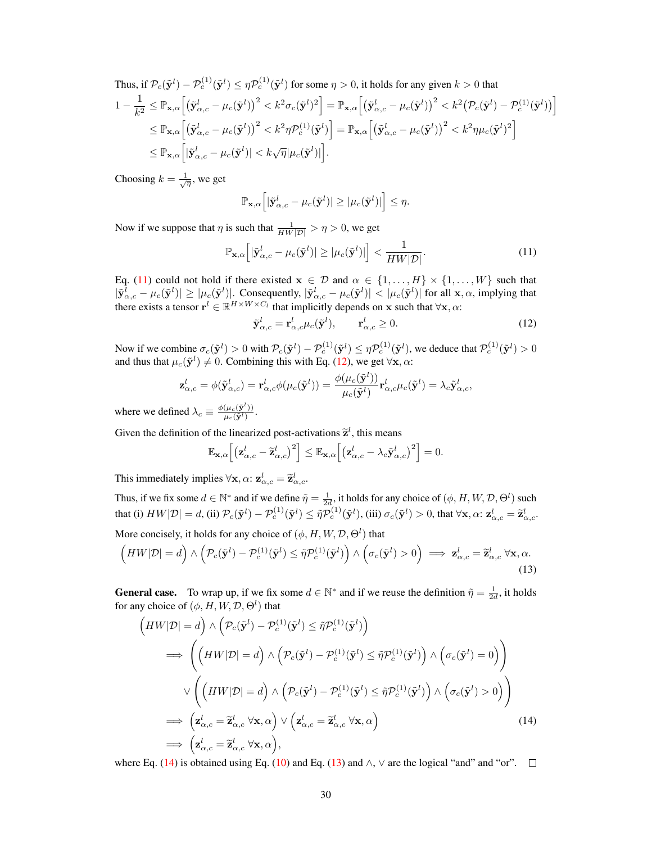Thus, if 
$$
\mathcal{P}_c(\tilde{\mathbf{y}}^l) - \mathcal{P}_c^{(1)}(\tilde{\mathbf{y}}^l) \le \eta \mathcal{P}_c^{(1)}(\tilde{\mathbf{y}}^l)
$$
 for some  $\eta > 0$ , it holds for any given  $k > 0$  that  
\n
$$
1 - \frac{1}{k^2} \le \mathbb{P}_{\mathbf{x},\alpha} \Big[ \big(\tilde{\mathbf{y}}_{\alpha,c}^l - \mu_c(\tilde{\mathbf{y}}^l)\big)^2 < k^2 \sigma_c(\tilde{\mathbf{y}}^l)^2 \Big] = \mathbb{P}_{\mathbf{x},\alpha} \Big[ \big(\tilde{\mathbf{y}}_{\alpha,c}^l - \mu_c(\tilde{\mathbf{y}}^l)\big)^2 < k^2 \big(\mathcal{P}_c(\tilde{\mathbf{y}}^l) - \mathcal{P}_c^{(1)}(\tilde{\mathbf{y}}^l)\big) \Big] \le \mathbb{P}_{\mathbf{x},\alpha} \Big[ \big(\tilde{\mathbf{y}}_{\alpha,c}^l - \mu_c(\tilde{\mathbf{y}}^l)\big)^2 < k^2 \eta \mathcal{P}_c^{(1)}(\tilde{\mathbf{y}}^l) \Big] = \mathbb{P}_{\mathbf{x},\alpha} \Big[ \big(\tilde{\mathbf{y}}_{\alpha,c}^l - \mu_c(\tilde{\mathbf{y}}^l)\big)^2 < k^2 \eta \mu_c(\tilde{\mathbf{y}}^l)^2 \Big] \le \mathbb{P}_{\mathbf{x},\alpha} \Big[ |\tilde{\mathbf{y}}_{\alpha,c}^l - \mu_c(\tilde{\mathbf{y}}^l)| < k \sqrt{\eta} |\mu_c(\tilde{\mathbf{y}}^l)| \Big].
$$

Choosing  $k = \frac{1}{\sqrt{\eta}}$ , we get

$$
\mathbb{P}_{\mathbf{x},\alpha}\Big[|\tilde{\mathbf{y}}_{\alpha,c}^l - \mu_c(\tilde{\mathbf{y}}^l)| \geq |\mu_c(\tilde{\mathbf{y}}^l)|\Big] \leq \eta.
$$

Now if we suppose that  $\eta$  is such that  $\frac{1}{HW|\mathcal{D}|} > \eta > 0$ , we get

$$
\mathbb{P}_{\mathbf{x},\alpha}\left[|\tilde{\mathbf{y}}_{\alpha,c}^{l} - \mu_{c}(\tilde{\mathbf{y}}^{l})| \geq |\mu_{c}(\tilde{\mathbf{y}}^{l})| \right] < \frac{1}{HW|\mathcal{D}|}.\tag{11}
$$

Eq. [\(11\)](#page-12-0) could not hold if there existed  $x \in \mathcal{D}$  and  $\alpha \in \{1, ..., H\} \times \{1, ..., W\}$  such that  $|\tilde{\mathbf{y}}_{\alpha,c}^l - \mu_c(\tilde{\mathbf{y}}^l)| \geq |\mu_c(\tilde{\mathbf{y}}^l)|$ . Consequently,  $|\tilde{\mathbf{y}}_{\alpha,c}^l - \mu_c(\tilde{\mathbf{y}}^l)| < |\mu_c(\tilde{\mathbf{y}}^l)|$  for all  $\mathbf{x}, \alpha$ , implying that there exists a tensor  $\mathbf{r}^l \in \mathbb{R}^{H \times W \times C_l}$  that implicitly depends on x such that  $\forall \mathbf{x}, \alpha$ :

<span id="page-12-1"></span><span id="page-12-0"></span>
$$
\tilde{\mathbf{y}}_{\alpha,c}^{l} = \mathbf{r}_{\alpha,c}^{l} \mu_c(\tilde{\mathbf{y}}^l), \qquad \mathbf{r}_{\alpha,c}^{l} \ge 0.
$$
\n(12)

Now if we combine  $\sigma_c(\tilde{\mathbf{y}}^l) > 0$  with  $\mathcal{P}_c(\tilde{\mathbf{y}}^l) - \mathcal{P}_c^{(1)}(\tilde{\mathbf{y}}^l) \leq \eta \mathcal{P}_c^{(1)}(\tilde{\mathbf{y}}^l)$ , we deduce that  $\mathcal{P}_c^{(1)}(\tilde{\mathbf{y}}^l) > 0$ and thus that  $\mu_c(\tilde{\mathbf{y}}^l) \neq 0$ . Combining this with Eq. [\(12\)](#page-12-1), we get  $\forall \mathbf{x}, \alpha$ :

$$
\mathbf{z}_{\alpha,c}^l = \phi(\tilde{\mathbf{y}}_{\alpha,c}^l) = \mathbf{r}_{\alpha,c}^l \phi(\mu_c(\tilde{\mathbf{y}}^l)) = \frac{\phi(\mu_c(\tilde{\mathbf{y}}^l))}{\mu_c(\tilde{\mathbf{y}}^l)} \mathbf{r}_{\alpha,c}^l \mu_c(\tilde{\mathbf{y}}^l) = \lambda_c \tilde{\mathbf{y}}_{\alpha,c}^l,
$$

where we defined  $\lambda_c \equiv \frac{\phi(\mu_c(\tilde{\mathbf{y}}^l))}{\mu_c(\tilde{\mathbf{y}}^l)}$ .

Given the definition of the linearized post-activations  $\tilde{\mathbf{z}}^l$ , this means

<span id="page-12-3"></span>
$$
\mathbb{E}_{\mathbf{x},\alpha}\Big[\big(\mathbf{z}_{\alpha,c}^{l}-\widetilde{\mathbf{z}}_{\alpha,c}^{l}\big)^{2}\Big]\leq\mathbb{E}_{\mathbf{x},\alpha}\Big[\big(\mathbf{z}_{\alpha,c}^{l}-\lambda_{c}\widetilde{\mathbf{y}}_{\alpha,c}^{l}\big)^{2}\Big]=0.
$$

This immediately implies  $\forall \mathbf{x}, \alpha$ :  $\mathbf{z}_{\alpha,c}^l = \widetilde{\mathbf{z}}_{\alpha,c}^l$ .

Thus, if we fix some  $d \in \mathbb{N}^*$  and if we define  $\tilde{\eta} = \frac{1}{2d}$ , it holds for any choice of  $(\phi, H, W, \mathcal{D}, \Theta^l)$  such that (i)  $HW|\mathcal{D}| = d$ , (ii)  $\mathcal{P}_c(\tilde{\mathbf{y}}^l) - \mathcal{P}_c^{(1)}(\tilde{\mathbf{y}}^l) \leq \tilde{\eta} \mathcal{P}_c^{(1)}(\tilde{\mathbf{y}}^l)$ , (iii)  $\sigma_c(\tilde{\mathbf{y}}^l) > 0$ , that  $\forall \mathbf{x}, \alpha$ :  $\mathbf{z}_{\alpha,c}^l = \tilde{\mathbf{z}}_{\alpha,c}^l$ .

More concisely, it holds for any choice of  $(\phi, H, W, \mathcal{D}, \Theta^l)$  that

$$
\left(HW|\mathcal{D}|=d\right) \wedge \left(\mathcal{P}_c(\tilde{\mathbf{y}}^l)-\mathcal{P}_c^{(1)}(\tilde{\mathbf{y}}^l)\leq \tilde{\eta}\mathcal{P}_c^{(1)}(\tilde{\mathbf{y}}^l)\right) \wedge \left(\sigma_c(\tilde{\mathbf{y}}^l)>0\right) \implies \mathbf{z}_{\alpha,c}^l=\tilde{\mathbf{z}}_{\alpha,c}^l \,\forall \mathbf{x},\alpha. \tag{13}
$$

**General case.** To wrap up, if we fix some  $d \in \mathbb{N}^*$  and if we reuse the definition  $\tilde{\eta} = \frac{1}{2d}$ , it holds for any choice of  $(\phi, H, W, \mathcal{D}, \Theta^l)$  that

<span id="page-12-2"></span>
$$
\left(HW|\mathcal{D}|=d\right) \wedge \left(\mathcal{P}_c(\tilde{\mathbf{y}}^l) - \mathcal{P}_c^{(1)}(\tilde{\mathbf{y}}^l) \leq \tilde{\eta} \mathcal{P}_c^{(1)}(\tilde{\mathbf{y}}^l)\right)
$$
\n
$$
\implies \left(\left(HW|\mathcal{D}|=d\right) \wedge \left(\mathcal{P}_c(\tilde{\mathbf{y}}^l) - \mathcal{P}_c^{(1)}(\tilde{\mathbf{y}}^l) \leq \tilde{\eta} \mathcal{P}_c^{(1)}(\tilde{\mathbf{y}}^l)\right) \wedge \left(\sigma_c(\tilde{\mathbf{y}}^l) = 0\right)\right)
$$
\n
$$
\vee \left(\left(HW|\mathcal{D}|=d\right) \wedge \left(\mathcal{P}_c(\tilde{\mathbf{y}}^l) - \mathcal{P}_c^{(1)}(\tilde{\mathbf{y}}^l) \leq \tilde{\eta} \mathcal{P}_c^{(1)}(\tilde{\mathbf{y}}^l)\right) \wedge \left(\sigma_c(\tilde{\mathbf{y}}^l) > 0\right)\right)
$$
\n
$$
\implies \left(\mathbf{z}_{\alpha,c}^l = \tilde{\mathbf{z}}_{\alpha,c}^l \ \forall \mathbf{x}, \alpha\right) \vee \left(\mathbf{z}_{\alpha,c}^l = \tilde{\mathbf{z}}_{\alpha,c}^l \ \forall \mathbf{x}, \alpha\right) \qquad (14)
$$
\n
$$
\implies \left(\mathbf{z}_{\alpha,c}^l = \tilde{\mathbf{z}}_{\alpha,c}^l \ \forall \mathbf{x}, \alpha\right),
$$

where Eq. [\(14\)](#page-12-2) is obtained using Eq. [\(10\)](#page-11-3) and Eq. [\(13\)](#page-12-3) and  $\wedge$ ,  $\vee$  are the logical "and" and "or".  $\square$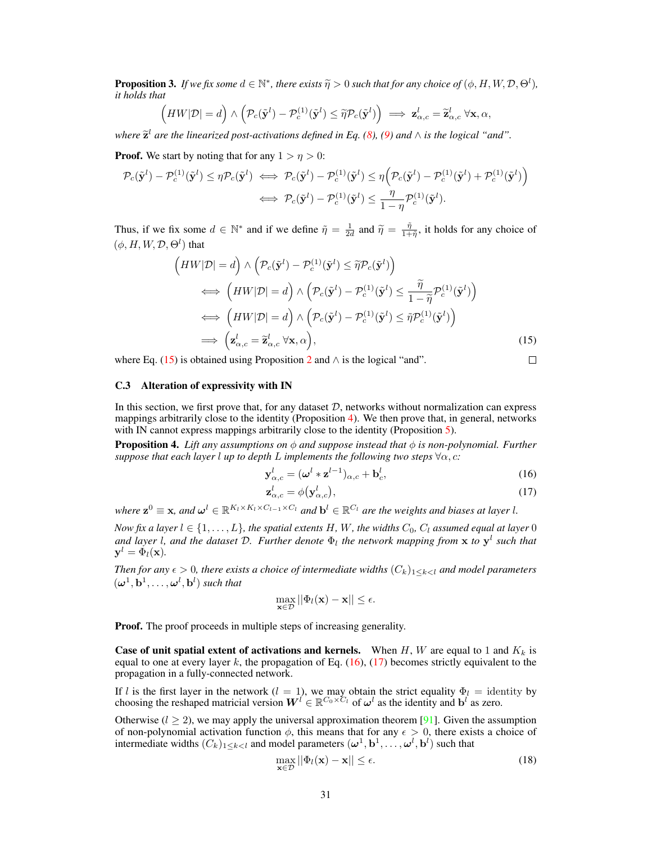<span id="page-13-0"></span>**Proposition 3.** *If we fix some*  $d \in \mathbb{N}^*$ , *there exists*  $\widetilde{\eta} > 0$  *such that for any choice of*  $(\phi, H, W, \mathcal{D}, \Theta^l)$ , *it holds that it holds that*

$$
(HW|\mathcal{D}| = d) \wedge \left(\mathcal{P}_c(\tilde{\mathbf{y}}^l) - \mathcal{P}_c^{(1)}(\tilde{\mathbf{y}}^l) \leq \tilde{\eta} \mathcal{P}_c(\tilde{\mathbf{y}}^l)\right) \implies \mathbf{z}_{\alpha,c}^l = \tilde{\mathbf{z}}_{\alpha,c}^l \ \forall \mathbf{x}, \alpha,
$$

*where*  $\tilde{\mathbf{z}}^l$  are the linearized post-activations defined in Eq. [\(8\)](#page-11-0), [\(9\)](#page-11-1) and  $\wedge$  is the logical "and".

**Proof.** We start by noting that for any  $1 > \eta > 0$ :

$$
\mathcal{P}_c(\tilde{\mathbf{y}}^l) - \mathcal{P}_c^{(1)}(\tilde{\mathbf{y}}^l) \leq \eta \mathcal{P}_c(\tilde{\mathbf{y}}^l) \iff \mathcal{P}_c(\tilde{\mathbf{y}}^l) - \mathcal{P}_c^{(1)}(\tilde{\mathbf{y}}^l) \leq \eta \Big( \mathcal{P}_c(\tilde{\mathbf{y}}^l) - \mathcal{P}_c^{(1)}(\tilde{\mathbf{y}}^l) + \mathcal{P}_c^{(1)}(\tilde{\mathbf{y}}^l) \Big) \n\iff \mathcal{P}_c(\tilde{\mathbf{y}}^l) - \mathcal{P}_c^{(1)}(\tilde{\mathbf{y}}^l) \leq \frac{\eta}{1 - \eta} \mathcal{P}_c^{(1)}(\tilde{\mathbf{y}}^l).
$$

Thus, if we fix some  $d \in \mathbb{N}^*$  and if we define  $\tilde{\eta} = \frac{1}{2d}$  and  $\tilde{\eta} = \frac{\tilde{\eta}}{1+\tilde{\eta}}$ , it holds for any choice of  $(\phi, H, W, \mathcal{D}, \Theta^l)$  that

$$
\left(HW|\mathcal{D}| = d\right) \wedge \left(\mathcal{P}_c(\tilde{\mathbf{y}}^l) - \mathcal{P}_c^{(1)}(\tilde{\mathbf{y}}^l) \leq \tilde{\eta}\mathcal{P}_c(\tilde{\mathbf{y}}^l)\right)
$$
\n
$$
\iff \left(HW|\mathcal{D}| = d\right) \wedge \left(\mathcal{P}_c(\tilde{\mathbf{y}}^l) - \mathcal{P}_c^{(1)}(\tilde{\mathbf{y}}^l) \leq \frac{\tilde{\eta}}{1 - \tilde{\eta}}\mathcal{P}_c^{(1)}(\tilde{\mathbf{y}}^l)\right)
$$
\n
$$
\iff \left(HW|\mathcal{D}| = d\right) \wedge \left(\mathcal{P}_c(\tilde{\mathbf{y}}^l) - \mathcal{P}_c^{(1)}(\tilde{\mathbf{y}}^l) \leq \tilde{\eta}\mathcal{P}_c^{(1)}(\tilde{\mathbf{y}}^l)\right)
$$
\n
$$
\implies \left(\mathbf{z}_{\alpha,c}^l = \tilde{\mathbf{z}}_{\alpha,c}^l \ \forall \mathbf{x}, \alpha\right), \tag{15}
$$

where Eq. [\(15\)](#page-13-1) is obtained using Proposition [2](#page-11-2) and  $\wedge$  is the logical "and".

### C.3 Alteration of expressivity with IN

In this section, we first prove that, for any dataset  $D$ , networks without normalization can express mappings arbitrarily close to the identity (Proposition [4\)](#page-13-2). We then prove that, in general, networks with IN cannot express mappings arbitrarily close to the identity (Proposition [5\)](#page-14-0).

<span id="page-13-2"></span>**Proposition 4.** *Lift any assumptions on*  $\phi$  *and suppose instead that*  $\phi$  *is non-polynomial. Further suppose that each layer l up to depth* L *implements the following two steps*  $\forall \alpha, c$ *:* 

$$
\mathbf{y}_{\alpha,c}^l = (\boldsymbol{\omega}^l * \mathbf{z}^{l-1})_{\alpha,c} + \mathbf{b}_c^l,
$$
\n(16)

<span id="page-13-4"></span><span id="page-13-3"></span><span id="page-13-1"></span> $\Box$ 

$$
\mathbf{z}_{\alpha,c}^l = \phi(\mathbf{y}_{\alpha,c}^l),\tag{17}
$$

where  $\mathbf{z}^0 \equiv \mathbf{x}$ , and  $\boldsymbol{\omega}^l \in \mathbb{R}^{K_l \times K_l \times C_{l-1} \times C_l}$  and  $\mathbf{b}^l \in \mathbb{R}^{C_l}$  are the weights and biases at layer *l*.

*Now fix a layer*  $l \in \{1, \ldots, L\}$ *, the spatial extents*  $H$ *, W<sub>r</sub>*, the widths  $C_0$ *,*  $C_l$  *assumed equal at layer* 0 *and layer l, and the dataset* D. Further denote  $\Phi_l$  the network mapping from x to  $y^l$  such that  $y^l = \Phi_l(\mathbf{x})$ .

*Then for any*  $\epsilon > 0$ , there exists a choice of intermediate widths  $(C_k)_{1 \leq k \leq l}$  and model parameters  $(\boldsymbol{\omega}^1, \mathbf{b}^1, \dots, \boldsymbol{\omega}^l, \mathbf{b}^l)$  such that

$$
\max_{\mathbf{x}\in\mathcal{D}}||\Phi_l(\mathbf{x})-\mathbf{x}||\leq\epsilon.
$$

Proof. The proof proceeds in multiple steps of increasing generality.

**Case of unit spatial extent of activations and kernels.** When H, W are equal to 1 and  $K_k$  is equal to one at every layer k, the propagation of Eq.  $(16)$ ,  $(17)$  becomes strictly equivalent to the propagation in a fully-connected network.

If l is the first layer in the network  $(l = 1)$ , we may obtain the strict equality  $\Phi_l =$  identity by choosing the reshaped matricial version  $W^l \in \mathbb{R}^{C_0 \times C_l}$  of  $\omega^l$  as the identity and  $\mathbf{b}^l$  as zero.

Otherwise ( $l \geq 2$ ), we may apply the universal approximation theorem [\[91\]](#page--1-35). Given the assumption of non-polynomial activation function  $\phi$ , this means that for any  $\epsilon > 0$ , there exists a choice of intermediate widths  $(C_k)_{1 \leq k < l}$  and model parameters  $(\omega^1, \mathbf{b}^1, \dots, \omega^l, \mathbf{b}^l)$  such that

<span id="page-13-5"></span>
$$
\max_{\mathbf{x} \in \mathcal{D}} ||\Phi_l(\mathbf{x}) - \mathbf{x}|| \le \epsilon.
$$
 (18)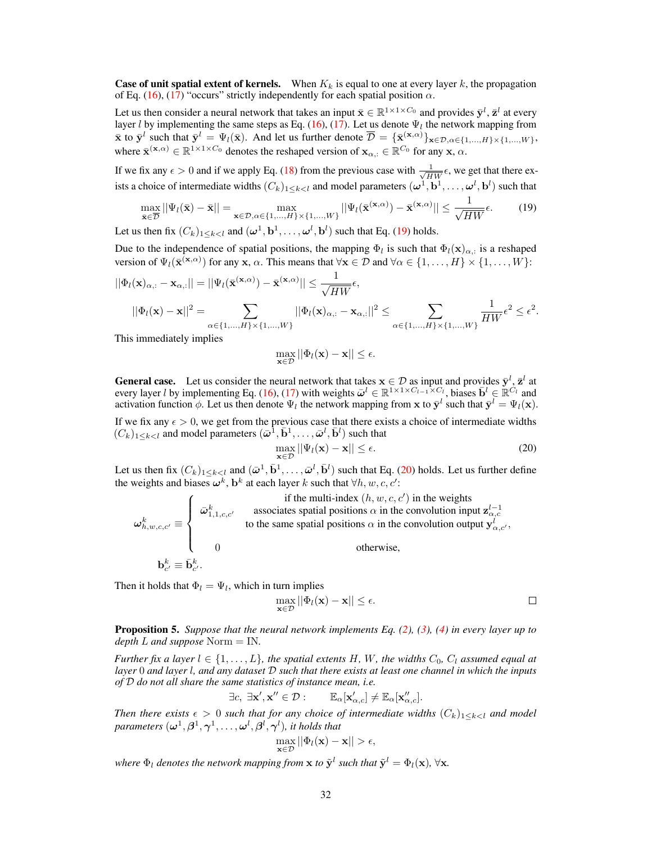**Case of unit spatial extent of kernels.** When  $K_k$  is equal to one at every layer k, the propagation of Eq. [\(16\)](#page-13-3), [\(17\)](#page-13-4) "occurs" strictly independently for each spatial position  $\alpha$ .

Let us then consider a neural network that takes an input  $\bar{\mathbf{x}} \in \mathbb{R}^{1 \times 1 \times C_0}$  and provides  $\bar{\mathbf{y}}^l$ ,  $\bar{\mathbf{z}}^l$  at every layer *l* by implementing the same steps as Eq. [\(16\)](#page-13-3), [\(17\)](#page-13-4). Let us denote  $\Psi_l$  the network mapping from  $\bar{\mathbf{x}}$  to  $\bar{\mathbf{y}}^l$  such that  $\bar{\mathbf{y}}^l = \Psi_l(\bar{\mathbf{x}})$ . And let us further denote  $\bar{\mathcal{D}} = {\{\bar{\mathbf{x}}_{\mathbf{x}}^{(\mathbf{x},\alpha)}\}_{\mathbf{x} \in \mathcal{D}, \alpha \in \{1,\dots,H\} \times \{1,\dots,W\}}$ , where  $\bar{\mathbf{x}}^{(\mathbf{x},\alpha)} \in \mathbb{R}^{1 \times 1 \times C_0}$  denotes the reshaped version of  $\mathbf{x}_{\alpha,:} \in \mathbb{R}^{C_0}$  for any  $\mathbf{x}, \alpha$ .

If we fix any  $\epsilon > 0$  and if we apply Eq. [\(18\)](#page-13-5) from the previous case with  $\frac{1}{\sqrt{HW}}\epsilon$ , we get that there exists a choice of intermediate widths  $(C_k)_{1\leq k< l}$  and model parameters  $(\omega^1,\mathbf{b}^1,\ldots,\omega^l,\mathbf{b}^l)$  such that

$$
\max_{\bar{\mathbf{x}} \in \overline{\mathcal{D}}} ||\Psi_l(\bar{\mathbf{x}}) - \bar{\mathbf{x}}|| = \max_{\mathbf{x} \in \mathcal{D}, \alpha \in \{1, \dots, H\} \times \{1, \dots, W\}} ||\Psi_l(\bar{\mathbf{x}}^{(\mathbf{x}, \alpha)}) - \bar{\mathbf{x}}^{(\mathbf{x}, \alpha)}|| \le \frac{1}{\sqrt{HW}}\epsilon.
$$
 (19)

Let us then fix  $(C_k)_{1 \leq k < l}$  and  $(\boldsymbol{\omega}^1, \mathbf{b}^1, \dots, \boldsymbol{\omega}^l, \mathbf{b}^l)$  such that Eq. [\(19\)](#page-14-1) holds.

Due to the independence of spatial positions, the mapping  $\Phi_l$  is such that  $\Phi_l(\mathbf{x})_{\alpha,:}$  is a reshaped version of  $\Psi_l(\bar{\mathbf{x}}^{(\mathbf{x},\alpha)})$  for any  $\mathbf{x}, \alpha$ . This means that  $\forall \mathbf{x} \in \mathcal{D}$  and  $\forall \alpha \in \{1,\dots,H\} \times \{1,\dots,W\}$ :

$$
||\Phi_l(\mathbf{x})_{\alpha,:} - \mathbf{x}_{\alpha,:}|| = ||\Psi_l(\bar{\mathbf{x}}^{(\mathbf{x},\alpha)}) - \bar{\mathbf{x}}^{(\mathbf{x},\alpha)}|| \le \frac{1}{\sqrt{HW}}\epsilon,
$$
  

$$
||\Phi_l(\mathbf{x}) - \mathbf{x}||^2 = \sum_{\alpha \in \{1,\dots,H\} \times \{1,\dots,W\}} ||\Phi_l(\mathbf{x})_{\alpha,:} - \mathbf{x}_{\alpha,:}||^2 \le \sum_{\alpha \in \{1,\dots,H\} \times \{1,\dots,W\}} \frac{1}{HW}\epsilon^2 \le \epsilon^2.
$$

This immediately implies

<span id="page-14-1"></span>
$$
\max_{\mathbf{x}\in\mathcal{D}}||\Phi_l(\mathbf{x})-\mathbf{x}||\leq\epsilon.
$$

**General case.** Let us consider the neural network that takes  $\mathbf{x} \in \mathcal{D}$  as input and provides  $\bar{\mathbf{y}}^l, \bar{\mathbf{z}}^l$  at every layer l by implementing Eq. [\(16\)](#page-13-3), [\(17\)](#page-13-4) with weights  $\bar{\omega}^l \in \mathbb{R}^{\bar{1} \times 1 \times C_{l-1} \times C_l}$ , biases  $\bar{\mathbf{b}}^l \in \mathbb{R}^{C_l}$  and activation function  $\phi$ . Let us then denote  $\Psi_l$  the network mapping from x to  $\bar{\mathbf{y}}^l$  such that  $\bar{\mathbf{y}}^l = \Psi_l(\mathbf{x})$ .

If we fix any  $\epsilon > 0$ , we get from the previous case that there exists a choice of intermediate widths  $(C_k)_{1 \leq k \leq l}$  and model parameters  $(\bar{\omega}^1, \bar{\mathbf{b}}^1, \ldots, \bar{\omega}^l, \bar{\mathbf{b}}^l)$  such that

<span id="page-14-2"></span>
$$
\max_{\mathbf{x}\in\mathcal{D}}||\Psi_l(\mathbf{x}) - \mathbf{x}|| \le \epsilon.
$$
 (20)

Let us then fix  $(C_k)_{1 \leq k < l}$  and  $(\bar{\omega}^1, \bar{\mathbf{b}}^1, \dots, \bar{\omega}^l, \bar{\mathbf{b}}^l)$  such that Eq. [\(20\)](#page-14-2) holds. Let us further define the weights and biases  $\boldsymbol{\omega}^k$ ,  $\mathbf{b}^k$  at each layer k such that  $\forall h, w, c, c'$ :

$$
\omega_{h,w,c,c'}^k \equiv \begin{cases}\n\bar{\omega}_{1,1,c,c'}^k & \text{associates spatial positions } \alpha \text{ in the two initial conditions } \alpha \text{ in the convolution input } \mathbf{z}_{\alpha,c}^{l-1} \\
\vdots & \text{to the same spatial positions } \alpha \text{ in the convolution output } \mathbf{y}_{\alpha,c'}^{l-1}, \\
0 & \text{otherwise,} \n\end{cases}
$$

Then it holds that  $\Phi_l = \Psi_l$ , which in turn implies

$$
\max_{\mathbf{x}\in\mathcal{D}}||\Phi_l(\mathbf{x})-\mathbf{x}||\leq\epsilon.
$$

<span id="page-14-0"></span>Proposition 5. *Suppose that the neural network implements Eq. [\(2\)](#page--1-18), [\(3\)](#page--1-19), [\(4\)](#page--1-20) in every layer up to depth* L *and suppose* Norm = IN*.*

*Further fix a layer*  $l \in \{1, \ldots, L\}$ *, the spatial extents* H, W, the widths  $C_0$ ,  $C_l$  assumed equal at *layer* 0 *and layer* l*, and any dataset* D *such that there exists at least one channel in which the inputs of* D *do not all share the same statistics of instance mean, i.e.*

$$
\exists c, \ \exists \mathbf{x}', \mathbf{x}'' \in \mathcal{D} : \qquad \mathbb{E}_{\alpha}[\mathbf{x}'_{\alpha,c}] \neq \mathbb{E}_{\alpha}[\mathbf{x}''_{\alpha,c}].
$$

*Then there exists*  $\epsilon > 0$  *such that for any choice of intermediate widths*  $(C_k)_{1 \leq k \leq l}$  *and model* parameters  $(\bm{\omega}^1, \bm{\beta}^1, \bm{\gamma}^1, \dots, \bm{\omega}^l, \bm{\beta}^l, \bm{\gamma}^l),$  it holds that

$$
\max_{\mathbf{x}\in\mathcal{D}}||\Phi_l(\mathbf{x})-\mathbf{x}||>\epsilon,
$$

where  $\Phi_l$  denotes the network mapping from  ${\bf x}$  to  $\tilde{{\bf y}}^l$  such that  $\tilde{{\bf y}}^l = \Phi_l({\bf x}),\,\forall {\bf x}.$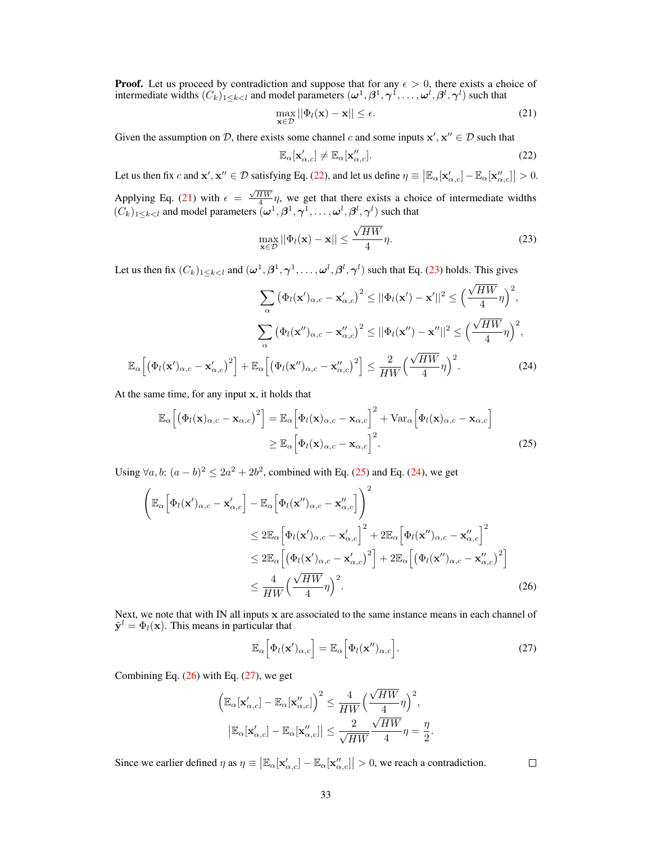**Proof.** Let us proceed by contradiction and suppose that for any  $\epsilon > 0$ , there exists a choice of intermediate widths  $(C_k)_{1 \leq k \leq l}$  and model parameters  $(\omega^1, \beta^1, \gamma^1, \ldots, \omega^l, \beta^l, \gamma^l)$  such that

<span id="page-15-1"></span>
$$
\max_{\mathbf{x}\in\mathcal{D}}||\Phi_l(\mathbf{x}) - \mathbf{x}|| \le \epsilon.
$$
\n(21)

Given the assumption on D, there exists some channel c and some inputs  $x', x'' \in \mathcal{D}$  such that

<span id="page-15-2"></span><span id="page-15-0"></span>
$$
\mathbb{E}_{\alpha}[\mathbf{x}'_{\alpha,c}] \neq \mathbb{E}_{\alpha}[\mathbf{x}''_{\alpha,c}].
$$
\n(22)

Let us then fix c and  $\mathbf{x}', \mathbf{x}'' \in \mathcal{D}$  satisfying Eq. [\(22\)](#page-15-0), and let us define  $\eta \equiv \left| \mathbb{E}_{\alpha}[\mathbf{x}'_{\alpha,c}] - \mathbb{E}_{\alpha}[\mathbf{x}''_{\alpha,c}] \right| > 0$ . Applying Eq. [\(21\)](#page-15-1) with  $\epsilon = \frac{\sqrt{HW}}{4} \eta$ , we get that there exists a choice of intermediate widths  $(C_k)_{1 \leq k < l}$  and model parameters  $(\omega^1, \beta^1, \gamma^1, \ldots, \omega^l, \beta^l, \gamma^l)$  such that

<span id="page-15-4"></span>
$$
\max_{\mathbf{x}\in\mathcal{D}}||\Phi_l(\mathbf{x}) - \mathbf{x}|| \le \frac{\sqrt{HW}}{4}\eta.
$$
 (23)

Let us then fix  $(C_k)_{1\leq k< l}$  and  $(\omega^1,\beta^1,\gamma^1,\ldots,\omega^l,\beta^l,\gamma^l)$  such that Eq. [\(23\)](#page-15-2) holds. This gives

$$
\sum_{\alpha} \left(\Phi_l(\mathbf{x}')_{\alpha,c} - \mathbf{x}'_{\alpha,c}\right)^2 \le ||\Phi_l(\mathbf{x}') - \mathbf{x}'||^2 \le \left(\frac{\sqrt{HW}}{4}\eta\right)^2,
$$

$$
\sum_{\alpha} \left(\Phi_l(\mathbf{x}'')_{\alpha,c} - \mathbf{x}''_{\alpha,c}\right)^2 \le ||\Phi_l(\mathbf{x}'') - \mathbf{x}''||^2 \le \left(\frac{\sqrt{HW}}{4}\eta\right)^2,
$$

$$
\mathbb{E}_{\alpha}\left[\left(\Phi_l(\mathbf{x}')_{\alpha,c} - \mathbf{x}'_{\alpha,c}\right)^2\right] + \mathbb{E}_{\alpha}\left[\left(\Phi_l(\mathbf{x}'')_{\alpha,c} - \mathbf{x}''_{\alpha,c}\right)^2\right] \le \frac{2}{HW}\left(\frac{\sqrt{HW}}{4}\eta\right)^2.
$$
(24)

At the same time, for any input x, it holds that

$$
\mathbb{E}_{\alpha}\left[\left(\Phi_{l}(\mathbf{x})_{\alpha,c} - \mathbf{x}_{\alpha,c}\right)^{2}\right] = \mathbb{E}_{\alpha}\left[\Phi_{l}(\mathbf{x})_{\alpha,c} - \mathbf{x}_{\alpha,c}\right]^{2} + \text{Var}_{\alpha}\left[\Phi_{l}(\mathbf{x})_{\alpha,c} - \mathbf{x}_{\alpha,c}\right]
$$
\n
$$
\geq \mathbb{E}_{\alpha}\left[\Phi_{l}(\mathbf{x})_{\alpha,c} - \mathbf{x}_{\alpha,c}\right]^{2}.
$$
\n(25)

Using ∀*a*, *b*:  $(a - b)^2 \le 2a^2 + 2b^2$ , combined with Eq. [\(25\)](#page-15-3) and Eq. [\(24\)](#page-15-4), we get

$$
\begin{split}\n\left(\mathbb{E}_{\alpha}\Big[\Phi_{l}(\mathbf{x}')_{\alpha,c} - \mathbf{x}'_{\alpha,c}\Big] - \mathbb{E}_{\alpha}\Big[\Phi_{l}(\mathbf{x}'')_{\alpha,c} - \mathbf{x}''_{\alpha,c}\Big]\right)^{2} \\
&\leq 2\mathbb{E}_{\alpha}\Big[\Phi_{l}(\mathbf{x}')_{\alpha,c} - \mathbf{x}'_{\alpha,c}\Big]^{2} + 2\mathbb{E}_{\alpha}\Big[\Phi_{l}(\mathbf{x}'')_{\alpha,c} - \mathbf{x}''_{\alpha,c}\Big]^{2} \\
&\leq 2\mathbb{E}_{\alpha}\Big[\big(\Phi_{l}(\mathbf{x}')_{\alpha,c} - \mathbf{x}'_{\alpha,c}\big)^{2}\Big] + 2\mathbb{E}_{\alpha}\Big[\big(\Phi_{l}(\mathbf{x}'')_{\alpha,c} - \mathbf{x}''_{\alpha,c}\big)^{2}\Big] \\
&\leq \frac{4}{HW}\Big(\frac{\sqrt{HW}}{4}\eta\Big)^{2}.\n\end{split} \tag{26}
$$

Next, we note that with IN all inputs x are associated to the same instance means in each channel of  $\tilde{\mathbf{y}}^l = \Phi_l(\mathbf{x})$ . This means in particular that

$$
\mathbb{E}_{\alpha}\Big[\Phi_l(\mathbf{x}')_{\alpha,c}\Big] = \mathbb{E}_{\alpha}\Big[\Phi_l(\mathbf{x}'')_{\alpha,c}\Big].
$$
\n(27)

Combining Eq.  $(26)$  with Eq.  $(27)$ , we get

$$
\begin{aligned} \Big( \mathbb{E}_\alpha[\mathbf{x}'_{\alpha,c}] - \mathbb{E}_\alpha[\mathbf{x}''_{\alpha,c}] \Big)^2 &\leq \frac{4}{HW} \Big( \frac{\sqrt{HW}}{4} \eta \Big)^2, \\ \big| \mathbb{E}_\alpha[\mathbf{x}'_{\alpha,c}] - \mathbb{E}_\alpha[\mathbf{x}''_{\alpha,c}] \big| &\leq \frac{2}{\sqrt{HW}} \frac{\sqrt{HW}}{4} \eta = \frac{\eta}{2}. \end{aligned}
$$

Since we earlier defined  $\eta$  as  $\eta \equiv \left| \mathbb{E}_{\alpha}[\mathbf{x}'_{\alpha,c}] - \mathbb{E}_{\alpha}[\mathbf{x}'_{\alpha,c}] \right| > 0$ , we reach a contradiction.

<span id="page-15-6"></span><span id="page-15-5"></span><span id="page-15-3"></span> $\Box$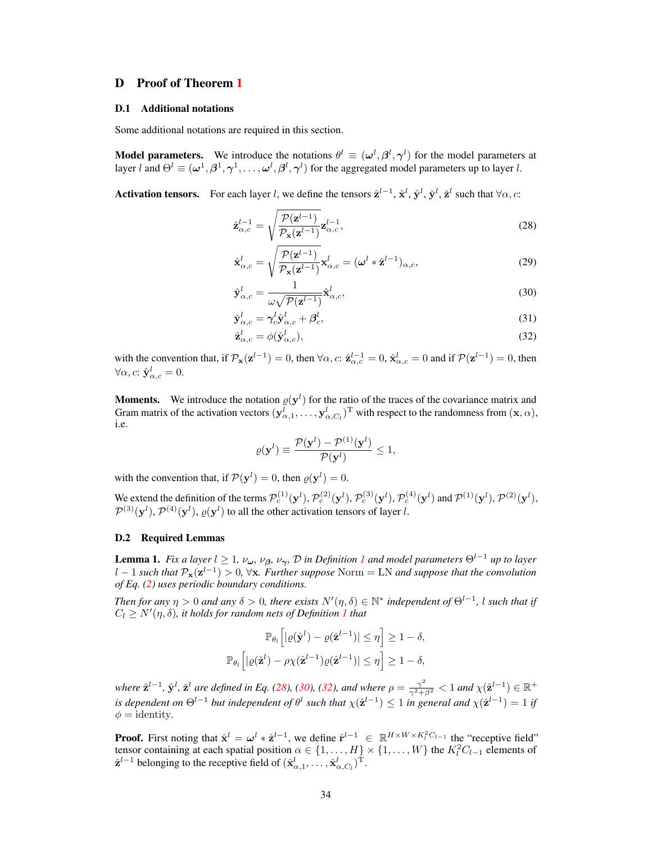### D Proof of Theorem [1](#page--1-22)

### D.1 Additional notations

Some additional notations are required in this section.

**Model parameters.** We introduce the notations  $\theta^l \equiv (\omega^l, \beta^l, \gamma^l)$  for the model parameters at layer l and  $\Theta^l \equiv (\omega^1, \beta^1, \gamma^1, \dots, \omega^l, \beta^l, \gamma^l)$  for the aggregated model parameters up to layer l.

Activation tensors. For each layer *l*, we define the tensors  $\hat{\mathbf{z}}^{l-1}$ ,  $\hat{\mathbf{x}}^l$ ,  $\hat{\mathbf{y}}^l$ ,  $\check{\mathbf{z}}^l$  such that  $\forall \alpha, c$ :

<span id="page-16-0"></span>
$$
\hat{\mathbf{z}}_{\alpha,c}^{l-1} = \sqrt{\frac{\mathcal{P}(\mathbf{z}^{l-1})}{\mathcal{P}_{\mathbf{x}}(\mathbf{z}^{l-1})}} \mathbf{z}_{\alpha,c}^{l-1},\tag{28}
$$

$$
\hat{\mathbf{x}}_{\alpha,c}^{l} = \sqrt{\frac{\mathcal{P}(\mathbf{z}^{l-1})}{\mathcal{P}_{\mathbf{x}}(\mathbf{z}^{l-1})}} \mathbf{x}_{\alpha,c}^{l} = (\boldsymbol{\omega}^{l} * \hat{\mathbf{z}}^{l-1})_{\alpha,c},
$$
\n(29)

$$
\hat{\mathbf{y}}_{\alpha,c}^{l} = \frac{1}{\omega \sqrt{\mathcal{P}(\mathbf{z}^{l-1})}} \hat{\mathbf{x}}_{\alpha,c}^{l},\tag{30}
$$

<span id="page-16-1"></span>
$$
\check{\mathbf{y}}_{\alpha,c}^l = \gamma_c^l \hat{\mathbf{y}}_{\alpha,c}^l + \beta_c^l,\tag{31}
$$

<span id="page-16-3"></span><span id="page-16-2"></span>
$$
\check{\mathbf{z}}_{\alpha,c}^l = \phi(\check{\mathbf{y}}_{\alpha,c}^l),\tag{32}
$$

with the convention that, if  $\mathcal{P}_{\mathbf{x}}(\mathbf{z}^{l-1}) = 0$ , then  $\forall \alpha, c: \hat{\mathbf{z}}_{\alpha,c}^{l-1} = 0$ ,  $\hat{\mathbf{x}}_{\alpha,c}^{l} = 0$  and if  $\mathcal{P}(\mathbf{z}^{l-1}) = 0$ , then  $\forall \alpha, c: \hat{\mathbf{y}}_{\alpha,c}^l = 0.$ 

**Moments.** We introduce the notation  $\varrho(\mathbf{y}^l)$  for the ratio of the traces of the covariance matrix and Gram matrix of the activation vectors  $(\mathbf{y}^l_{\alpha,1},\ldots,\mathbf{y}^l_{\alpha,C_l})^{\mathrm{T}}$  with respect to the randomness from  $(\mathbf{x},\alpha)$ , i.e.

$$
\varrho(\mathbf{y}^l) \equiv \frac{\mathcal{P}(\mathbf{y}^l) - \mathcal{P}^{(1)}(\mathbf{y}^l)}{\mathcal{P}(\mathbf{y}^l)} \le 1,
$$

with the convention that, if  $P(y^l) = 0$ , then  $\varrho(y^l) = 0$ .

We extend the definition of the terms  $\mathcal{P}_c^{(1)}(\mathbf{y}^l), \mathcal{P}_c^{(2)}(\mathbf{y}^l), \mathcal{P}_c^{(3)}(\mathbf{y}^l), \mathcal{P}_c^{(4)}(\mathbf{y}^l)$  and  $\mathcal{P}^{(1)}(\mathbf{y}^l), \mathcal{P}^{(2)}(\mathbf{y}^l),$  $\mathcal{P}^{(3)}(\mathbf{y}^l), \mathcal{P}^{(4)}(\mathbf{y}^l), \varrho(\mathbf{y}^l)$  to all the other activation tensors of layer l.

### D.2 Required Lemmas

<span id="page-16-4"></span>**Lemma [1](#page--1-17).** *Fix a layer*  $l \geq 1$ *,*  $\nu_{\omega}$ *,*  $\nu_{\beta}$ *,*  $\nu_{\gamma}$ *,*  $\mathcal{D}$  *<i>in Definition 1 and model parameters*  $\Theta^{l-1}$  *up to layer* l − 1 *such that* Px(z l−1 ) > 0*,* ∀x*. Further suppose* Norm = LN *and suppose that the convolution of Eq. [\(2\)](#page--1-18) uses periodic boundary conditions.*

*Then for any*  $\eta > 0$  *and any*  $\delta > 0$ , there exists  $N'(\eta, \delta) \in \mathbb{N}^*$  independent of  $\Theta^{l-1}$ , *l such that if*  $C_l \geq N'(\eta, \delta)$ , it holds for random nets of Definition [1](#page--1-17) that

$$
\mathbb{P}_{\theta_l}\left[|\varrho(\hat{\mathbf{y}}^l) - \varrho(\hat{\mathbf{z}}^{l-1})| \leq \eta\right] \geq 1 - \delta,
$$
  

$$
\mathbb{P}_{\theta_l}\left[|\varrho(\tilde{\mathbf{z}}^l) - \rho\chi(\hat{\mathbf{z}}^{l-1})\varrho(\hat{\mathbf{z}}^{l-1})| \leq \eta\right] \geq 1 - \delta,
$$

*where*  $\hat{\mathbf{z}}^{l-1}$ ,  $\hat{\mathbf{y}}^l$ ,  $\check{\mathbf{z}}^l$  are defined in Eq. [\(28\)](#page-16-0), [\(30\)](#page-16-1), [\(32\)](#page-16-2), and where  $\rho = \frac{\gamma^2}{\gamma^2 + \beta^2} < 1$  and  $\chi(\hat{\mathbf{z}}^{l-1}) \in \mathbb{R}^+$ *is dependent on*  $\Theta^{l-1}$  *but independent of*  $\theta^l$  *such that*  $\chi(\hat{\mathbf{z}}^{l-1}) \leq 1$  *in general and*  $\chi(\hat{\mathbf{z}}^{l-1}) = 1$  *if*  $\phi =$  identity.

**Proof.** First noting that  $\hat{\mathbf{x}}^l = \boldsymbol{\omega}^l * \hat{\mathbf{z}}^{l-1}$ , we define  $\hat{\mathbf{r}}^{l-1} \in \mathbb{R}^{H \times W \times K_l^2 C_{l-1}}$  the "receptive field" tensor containing at each spatial position  $\alpha \in \{1, \dots, H\} \times \{1, \dots, W\}$  the  $K_l^2 C_{l-1}$  elements of  $\hat{\mathbf{z}}^{l-1}$  belonging to the receptive field of  $(\hat{\mathbf{x}}_{\alpha,1}^l, \dots, \hat{\mathbf{x}}_{\alpha,C_l}^l)^{\mathrm{T}}$ .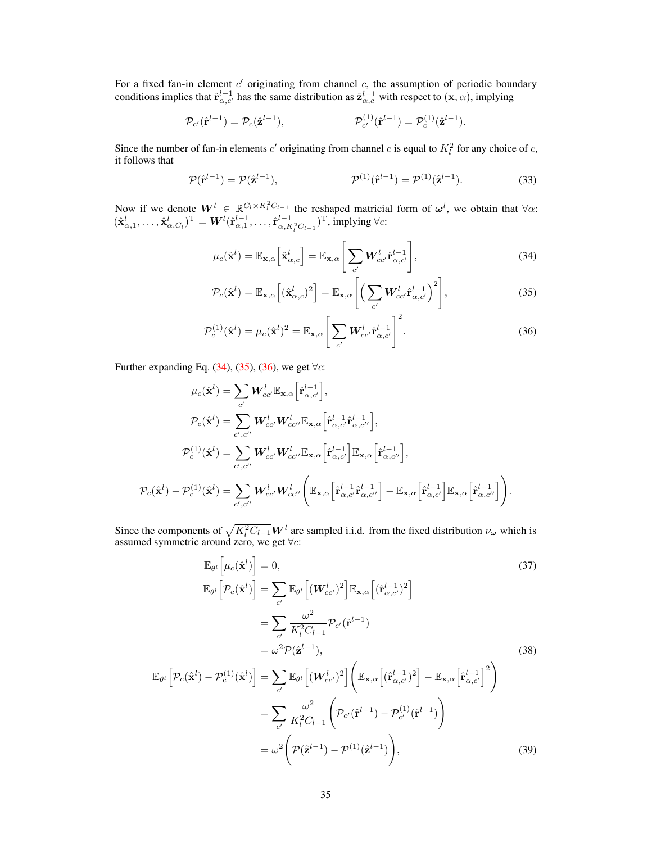For a fixed fan-in element  $c'$  originating from channel  $c$ , the assumption of periodic boundary conditions implies that  $\hat{\mathbf{r}}_{\alpha,c'}^{l-1}$  has the same distribution as  $\hat{\mathbf{z}}_{\alpha,c}^{l-1}$  with respect to  $(\mathbf{x},\alpha)$ , implying

$$
\mathcal{P}_{c'}(\hat{\mathbf{r}}^{l-1}) = \mathcal{P}_c(\hat{\mathbf{z}}^{l-1}), \qquad \mathcal{P}_{c'}^{(1)}(\hat{\mathbf{r}}^{l-1}) = \mathcal{P}_c^{(1)}(\hat{\mathbf{z}}^{l-1}).
$$

Since the number of fan-in elements c' originating from channel c is equal to  $K_l^2$  for any choice of c, it follows that

$$
\mathcal{P}(\hat{\mathbf{r}}^{l-1}) = \mathcal{P}(\hat{\mathbf{z}}^{l-1}), \qquad \mathcal{P}^{(1)}(\hat{\mathbf{r}}^{l-1}) = \mathcal{P}^{(1)}(\hat{\mathbf{z}}^{l-1}). \tag{33}
$$

Now if we denote  $W^l \in \mathbb{R}^{C_l \times K_l^2 C_{l-1}}$  the reshaped matricial form of  $\omega^l$ , we obtain that  $\forall \alpha$ :  $(\hat{\mathbf{x}}_{\alpha,1}^l, \ldots, \hat{\mathbf{x}}_{\alpha,C_l}^l)^{\mathrm{T}} = \mathbf{W}^l (\hat{\mathbf{r}}_{\alpha,1}^{l-1}, \ldots, \hat{\mathbf{r}}_{\alpha,K_l^2 C_{l-1}}^{l-1})^{\mathrm{T}}$ , implying  $\forall c$ :

<span id="page-17-3"></span><span id="page-17-0"></span>
$$
\mu_c(\hat{\mathbf{x}}^l) = \mathbb{E}_{\mathbf{x},\alpha} \left[ \hat{\mathbf{x}}^l_{\alpha,c} \right] = \mathbb{E}_{\mathbf{x},\alpha} \left[ \sum_{c'} \mathbf{W}^l_{cc'} \hat{\mathbf{r}}^{l-1}_{\alpha,c'} \right],\tag{34}
$$

<span id="page-17-2"></span><span id="page-17-1"></span>
$$
\mathcal{P}_c(\hat{\mathbf{x}}^l) = \mathbb{E}_{\mathbf{x}, \alpha} \left[ (\hat{\mathbf{x}}_{\alpha, c}^l)^2 \right] = \mathbb{E}_{\mathbf{x}, \alpha} \left[ \left( \sum_{c'} \mathbf{W}_{cc'}^l \hat{\mathbf{r}}_{\alpha, c'}^{l-1} \right)^2 \right],
$$
\n(35)

$$
\mathcal{P}_c^{(1)}(\hat{\mathbf{x}}^l) = \mu_c(\hat{\mathbf{x}}^l)^2 = \mathbb{E}_{\mathbf{x},\alpha} \left[ \sum_{c'} \mathbf{W}_{cc'}^l \hat{\mathbf{r}}_{\alpha,c'}^{l-1} \right]^2.
$$
 (36)

Further expanding Eq. [\(34\)](#page-17-0), [\(35\)](#page-17-1), [\(36\)](#page-17-2), we get  $\forall c$ :

$$
\mu_c(\hat{\mathbf{x}}^l) = \sum_{c'} \mathbf{W}_{cc'}^l \mathbb{E}_{\mathbf{x},\alpha} \Big[ \hat{\mathbf{r}}_{\alpha,c'}^{l-1} \Big],
$$
  
\n
$$
\mathcal{P}_c(\hat{\mathbf{x}}^l) = \sum_{c',c''} \mathbf{W}_{cc'}^l \mathbf{W}_{cc''}^l \mathbb{E}_{\mathbf{x},\alpha} \Big[ \hat{\mathbf{r}}_{\alpha,c'}^{l-1} \hat{\mathbf{r}}_{\alpha,c''}^{l-1} \Big],
$$
  
\n
$$
\mathcal{P}_c^{(1)}(\hat{\mathbf{x}}^l) = \sum_{c',c''} \mathbf{W}_{cc'}^l \mathbf{W}_{cc''}^l \mathbb{E}_{\mathbf{x},\alpha} \Big[ \hat{\mathbf{r}}_{\alpha,c'}^{l-1} \Big] \mathbb{E}_{\mathbf{x},\alpha} \Big[ \hat{\mathbf{r}}_{\alpha,c''}^{l-1} \Big],
$$
  
\n
$$
\mathcal{P}_c(\hat{\mathbf{x}}^l) - \mathcal{P}_c^{(1)}(\hat{\mathbf{x}}^l) = \sum_{c',c''} \mathbf{W}_{cc'}^l \mathbf{W}_{cc''}^l \Big( \mathbb{E}_{\mathbf{x},\alpha} \Big[ \hat{\mathbf{r}}_{\alpha,c'}^{l-1} \hat{\mathbf{r}}_{\alpha,c''}^{l-1} \Big] - \mathbb{E}_{\mathbf{x},\alpha} \Big[ \hat{\mathbf{r}}_{\alpha,c'}^{l-1} \Big] \mathbb{E}_{\mathbf{x},\alpha} \Big[ \hat{\mathbf{r}}_{\alpha,c'}^{l-1} \Big] \mathbb{E}_{\mathbf{x},\alpha} \Big[ \hat{\mathbf{r}}_{\alpha,c'}^{l-1} \Big] \mathbb{E}_{\mathbf{x},\alpha} \Big[ \hat{\mathbf{r}}_{\alpha,c'}^{l-1} \Big] \Big).
$$

Since the components of  $\sqrt{K_l^2 C_{l-1}} \mathbf{W}^l$  are sampled i.i.d. from the fixed distribution  $\nu_\omega$  which is assumed symmetric around zero, we get  $\forall c$ :

<span id="page-17-6"></span><span id="page-17-5"></span><span id="page-17-4"></span>
$$
\mathbb{E}_{\theta^{l}}\left[\mu_{c}(\hat{\mathbf{x}}^{l})\right] = 0, \qquad (37)
$$
\n
$$
\mathbb{E}_{\theta^{l}}\left[\mathcal{P}_{c}(\hat{\mathbf{x}}^{l})\right] = \sum_{c'} \mathbb{E}_{\theta^{l}}\left[(\mathbf{W}_{cc'}^{l})^{2}\right] \mathbb{E}_{\mathbf{x},\alpha}\left[(\hat{\mathbf{r}}_{\alpha,c'}^{l-1})^{2}\right]
$$
\n
$$
= \sum_{c'} \frac{\omega^{2}}{K_{l}^{2}C_{l-1}} \mathcal{P}_{c'}(\hat{\mathbf{r}}^{l-1})
$$
\n
$$
= \omega^{2} \mathcal{P}(\hat{\mathbf{z}}^{l-1}), \qquad (38)
$$
\n
$$
\mathbb{E}_{\theta^{l}}\left[\mathcal{P}_{c}(\hat{\mathbf{x}}^{l}) - \mathcal{P}_{c}^{(1)}(\hat{\mathbf{x}}^{l})\right] = \sum_{c'} \mathbb{E}_{\theta^{l}}\left[(\mathbf{W}_{cc'}^{l})^{2}\right] \left(\mathbb{E}_{\mathbf{x},\alpha}\left[(\hat{\mathbf{r}}_{\alpha,c'}^{l-1})^{2}\right] - \mathbb{E}_{\mathbf{x},\alpha}\left[\hat{\mathbf{r}}_{\alpha,c'}^{l-1}\right]^{2}\right)
$$
\n
$$
= \sum_{c'} \frac{\omega^{2}}{K_{l}^{2}C_{l-1}} \left(\mathcal{P}_{c'}(\hat{\mathbf{r}}^{l-1}) - \mathcal{P}_{c'}^{(1)}(\hat{\mathbf{r}}^{l-1})\right)
$$
\n
$$
= \omega^{2} \left(\mathcal{P}(\hat{\mathbf{z}}^{l-1}) - \mathcal{P}^{(1)}(\hat{\mathbf{z}}^{l-1})\right), \qquad (39)
$$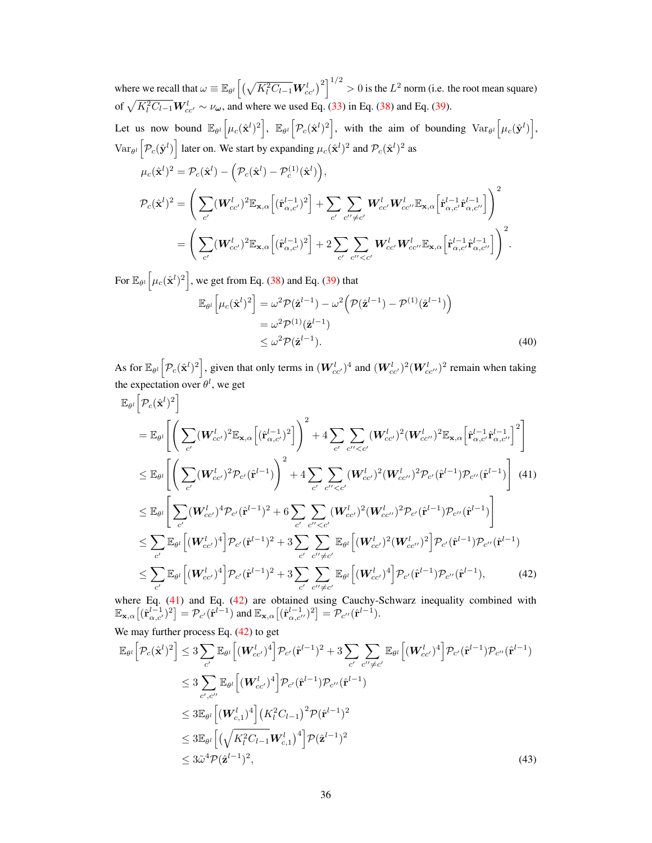where we recall that  $\omega \equiv \mathbb{E}_{\theta^l}\Big[\big(\sqrt{K_l^2C_{l-1}}\bm{W}^l_{cc'}\big)^2\Big]^{1/2}>0$  is the  $L^2$  norm (i.e. the root mean square) of  $\sqrt{K_l^2 C_{l-1}} W_{cc'}^l \sim \nu_{\omega}$ , and where we used Eq. [\(33\)](#page-17-3) in Eq. [\(38\)](#page-17-4) and Eq. [\(39\)](#page-17-5).

Let us now bound  $\mathbb{E}_{\theta^l} \left[ \mu_c(\hat{\mathbf{x}}^l)^2 \right]$ ,  $\mathbb{E}_{\theta^l} \left[ \mathcal{P}_c(\hat{\mathbf{x}}^l)^2 \right]$ , with the aim of bounding  $\text{Var}_{\theta^l} \left[ \mu_c(\hat{\mathbf{y}}^l) \right]$ ,  $\text{Var}_{\theta^l} \left[ \mathcal{P}_c(\hat{\mathbf{y}}^l) \right]$  later on. We start by expanding  $\mu_c(\hat{\mathbf{x}}^l)^2$  and  $\mathcal{P}_c(\hat{\mathbf{x}}^l)^2$  as

$$
\mu_c(\hat{\mathbf{x}}^l)^2 = \mathcal{P}_c(\hat{\mathbf{x}}^l) - (\mathcal{P}_c(\hat{\mathbf{x}}^l) - \mathcal{P}_c^{(1)}(\hat{\mathbf{x}}^l)),
$$
\n
$$
\mathcal{P}_c(\hat{\mathbf{x}}^l)^2 = \left(\sum_{c'} (\mathbf{W}_{cc'}^l)^2 \mathbb{E}_{\mathbf{x},\alpha} \left[(\hat{\mathbf{r}}_{\alpha,c'}^{l-1})^2\right] + \sum_{c'} \sum_{c'' \neq c'} \mathbf{W}_{cc'}^l \mathbf{W}_{cc'}^l \mathbb{E}_{\mathbf{x},\alpha} \left[\hat{\mathbf{r}}_{\alpha,c'}^{l-1} \hat{\mathbf{r}}_{\alpha,c'}^{l-1}\right]\right)^2
$$
\n
$$
= \left(\sum_{c'} (\mathbf{W}_{cc'}^l)^2 \mathbb{E}_{\mathbf{x},\alpha} \left[(\hat{\mathbf{r}}_{\alpha,c'}^{l-1})^2\right] + 2 \sum_{c'} \sum_{c'' < c'} \mathbf{W}_{cc'}^l \mathbf{W}_{cc'}^l \mathbb{E}_{\mathbf{x},\alpha} \left[\hat{\mathbf{r}}_{\alpha,c'}^{l-1} \hat{\mathbf{r}}_{\alpha,c'}^{l-1}\right]\right)^2.
$$

For  $\mathbb{E}_{\theta^l}\left[\mu_c(\hat{\mathbf{x}}^l)^2\right]$ , we get from Eq. [\(38\)](#page-17-4) and Eq. [\(39\)](#page-17-5) that

<span id="page-18-2"></span><span id="page-18-0"></span>
$$
\mathbb{E}_{\theta^l} \left[ \mu_c(\hat{\mathbf{x}}^l)^2 \right] = \omega^2 \mathcal{P}(\hat{\mathbf{z}}^{l-1}) - \omega^2 \left( \mathcal{P}(\hat{\mathbf{z}}^{l-1}) - \mathcal{P}^{(1)}(\hat{\mathbf{z}}^{l-1}) \right)
$$
  
=  $\omega^2 \mathcal{P}^{(1)}(\hat{\mathbf{z}}^{l-1})$   
 $\leq \omega^2 \mathcal{P}(\hat{\mathbf{z}}^{l-1}).$  (40)

As for  $\mathbb{E}_{\theta^l}\Big[\mathcal{P}_c(\hat{\mathbf{x}}^l)^2\Big]$ , given that only terms in  $(\boldsymbol{W}_{cc'}^l)^4$  and  $(\boldsymbol{W}_{cc'}^l)^2(\boldsymbol{W}_{cc''}^l)^2$  remain when taking the expectation over  $\theta^l$ , we get

$$
\mathbb{E}_{\theta^{l}}\left[\mathcal{P}_{c}(\hat{\mathbf{x}}^{l})^{2}\right] \n= \mathbb{E}_{\theta^{l}}\left[\left(\sum_{c'}(\mathbf{W}_{cc'}^{l})^{2}\mathbb{E}_{\mathbf{x},\alpha}\left[(\hat{\mathbf{r}}_{\alpha,c'}^{l-1})^{2}\right]\right)^{2} + 4\sum_{c'}\sum_{c''
$$

<span id="page-18-1"></span>where Eq.  $(41)$  and Eq.  $(42)$  are obtained using Cauchy-Schwarz inequality combined with  $\mathbb{E}_{\mathbf{x},\alpha}\big[(\hat{\mathbf{r}}_{\alpha,c'}^{l-1})^2\big] = \mathcal{P}_{c'}(\hat{\mathbf{r}}^{l-1})$  and  $\mathbb{E}_{\mathbf{x},\alpha}\big[(\hat{\mathbf{r}}_{\alpha,c'}^{l-1})^2\big] = \mathcal{P}_{c''}(\hat{\mathbf{r}}^{l-1}).$ 

We may further process Eq. 
$$
(42)
$$
 to get

<span id="page-18-3"></span>
$$
\mathbb{E}_{\theta^{l}}\Big[\mathcal{P}_{c}(\hat{\mathbf{x}}^{l})^{2}\Big] \leq 3 \sum_{c'} \mathbb{E}_{\theta^{l}}\Big[(\mathbf{W}_{cc'}^{l})^{4}\Big] \mathcal{P}_{c'}(\hat{\mathbf{r}}^{l-1})^{2} + 3 \sum_{c'} \sum_{c'' \neq c'} \mathbb{E}_{\theta^{l}}\Big[(\mathbf{W}_{cc'}^{l})^{4}\Big] \mathcal{P}_{c'}(\hat{\mathbf{r}}^{l-1}) \mathcal{P}_{c''}(\hat{\mathbf{r}}^{l-1})
$$
\n
$$
\leq 3 \sum_{c',c''} \mathbb{E}_{\theta^{l}}\Big[(\mathbf{W}_{cc'}^{l})^{4}\Big] \mathcal{P}_{c'}(\hat{\mathbf{r}}^{l-1}) \mathcal{P}_{c''}(\hat{\mathbf{r}}^{l-1})
$$
\n
$$
\leq 3 \mathbb{E}_{\theta^{l}}\Big[(\mathbf{W}_{c,1}^{l})^{4}\Big] \big(K_{l}^{2}C_{l-1}\big)^{2} \mathcal{P}(\hat{\mathbf{r}}^{l-1})^{2}
$$
\n
$$
\leq 3 \mathbb{E}_{\theta^{l}}\Big[\big(\sqrt{K_{l}^{2}C_{l-1}}\mathbf{W}_{c,1}^{l}\big)^{4}\Big] \mathcal{P}(\hat{\mathbf{z}}^{l-1})^{2}
$$
\n
$$
\leq 3\tilde{\omega}^{4} \mathcal{P}(\hat{\mathbf{z}}^{l-1})^{2}, \tag{43}
$$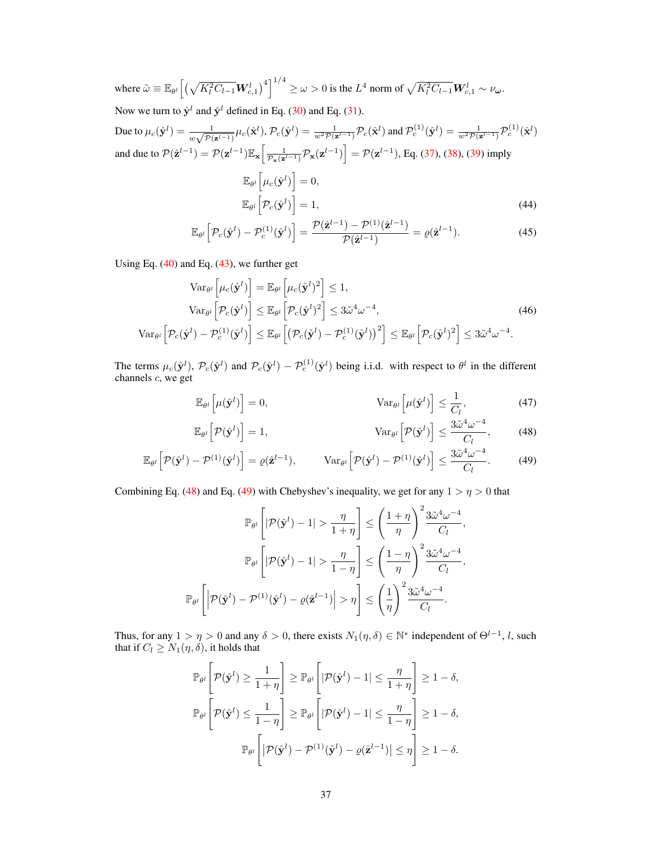where  $\tilde{\omega} \equiv \mathbb{E}_{\theta^l} \Big[ \big( \sqrt{K_l^2 C_{l-1}} \boldsymbol{W}_{c,1}^l \big)^4 \Big]^{1/4} \geq \omega > 0$  is the  $L^4$  norm of  $\sqrt{K_l^2 C_{l-1}} \boldsymbol{W}_{c,1}^l \sim \nu_{\boldsymbol{\omega}}$ .

Now we turn to  $\hat{\mathbf{y}}^l$  and  $\check{\mathbf{y}}^l$  defined in Eq. [\(30\)](#page-16-1) and Eq. [\(31\)](#page-16-3).

Due to  $\mu_c(\hat{\mathbf{y}}^l) = \frac{1}{w\sqrt{\mathcal{P}(\mathbf{z}^{l-1})}}\mu_c(\hat{\mathbf{x}}^l), \mathcal{P}_c(\hat{\mathbf{y}}^l) = \frac{1}{w^2\mathcal{P}(\mathbf{z}^{l-1})}\mathcal{P}_c(\hat{\mathbf{x}}^l)$  and  $\mathcal{P}_c^{(1)}(\hat{\mathbf{y}}^l) = \frac{1}{w^2\mathcal{P}(\mathbf{z}^{l-1})}\mathcal{P}_c^{(1)}(\hat{\mathbf{x}}^l)$ and due to  $\mathcal{P}(\hat{\mathbf{z}}^{l-1}) = \mathcal{P}(\mathbf{z}^{l-1}) \mathbb{E}_{\mathbf{x}} \left[ \frac{1}{\mathcal{P}_{\mathbf{x}}(\mathbf{z}^{l-1})} \mathcal{P}_{\mathbf{x}}(\mathbf{z}^{l-1}) \right] = \mathcal{P}(\mathbf{z}^{l-1})$ , Eq. [\(37\)](#page-17-6), [\(38\)](#page-17-4), [\(39\)](#page-17-5) imply  $\mathbb{E}_{\theta^l}\left[\mu_c(\hat{\mathbf{y}}^l)\right] = 0,$  $\mathbb{E}_{\theta^l}\Big[\mathcal{P}_c(\hat{\mathbf{y}}^l)\Big]$  $= 1,$  (44)

<span id="page-19-4"></span><span id="page-19-3"></span><span id="page-19-2"></span>
$$
\mathbb{E}_{\theta^l} \left[ \mathcal{P}_c(\hat{\mathbf{y}}^l) - \mathcal{P}_c^{(1)}(\hat{\mathbf{y}}^l) \right] = \frac{\mathcal{P}(\hat{\mathbf{z}}^{l-1}) - \mathcal{P}^{(1)}(\hat{\mathbf{z}}^{l-1})}{\mathcal{P}(\hat{\mathbf{z}}^{l-1})} = \varrho(\hat{\mathbf{z}}^{l-1}). \tag{45}
$$

Using Eq.  $(40)$  and Eq.  $(43)$ , we further get

$$
\operatorname{Var}_{\theta^l} \left[ \mu_c(\hat{\mathbf{y}}^l) \right] = \mathbb{E}_{\theta^l} \left[ \mu_c(\hat{\mathbf{y}}^l)^2 \right] \le 1,
$$
\n
$$
\operatorname{Var}_{\theta^l} \left[ \mathcal{P}_c(\hat{\mathbf{y}}^l) \right] \le \mathbb{E}_{\theta^l} \left[ \mathcal{P}_c(\hat{\mathbf{y}}^l)^2 \right] \le 3\tilde{\omega}^4 \omega^{-4},
$$
\n
$$
\operatorname{Var}_{\theta^l} \left[ \mathcal{P}_c(\hat{\mathbf{y}}^l) - \mathcal{P}_c^{(1)}(\hat{\mathbf{y}}^l) \right] \le \mathbb{E}_{\theta^l} \left[ \left( \mathcal{P}_c(\hat{\mathbf{y}}^l) - \mathcal{P}_c^{(1)}(\hat{\mathbf{y}}^l) \right)^2 \right] \le \mathbb{E}_{\theta^l} \left[ \mathcal{P}_c(\hat{\mathbf{y}}^l)^2 \right] \le 3\tilde{\omega}^4 \omega^{-4}.
$$
\n(46)

The terms  $\mu_c(\hat{\mathbf{y}}^l)$ ,  $\mathcal{P}_c(\hat{\mathbf{y}}^l)$  and  $\mathcal{P}_c(\hat{\mathbf{y}}^l) - \mathcal{P}_c^{(1)}(\hat{\mathbf{y}}^l)$  being i.i.d. with respect to  $\theta^l$  in the different channels c, we get

<span id="page-19-5"></span>
$$
\mathbb{E}_{\theta^l}\left[\mu(\hat{\mathbf{y}}^l)\right] = 0, \qquad \qquad \text{Var}_{\theta^l}\left[\mu(\hat{\mathbf{y}}^l)\right] \le \frac{1}{C_l}, \qquad (47)
$$

<span id="page-19-1"></span><span id="page-19-0"></span>
$$
\mathbb{E}_{\theta^l} \left[ \mathcal{P}(\hat{\mathbf{y}}^l) \right] = 1, \qquad \qquad \text{Var}_{\theta^l} \left[ \mathcal{P}(\hat{\mathbf{y}}^l) \right] \le \frac{3\tilde{\omega}^4 \omega^{-4}}{C_l}, \qquad (48)
$$

$$
\mathbb{E}_{\theta^l} \left[ \mathcal{P}(\hat{\mathbf{y}}^l) - \mathcal{P}^{(1)}(\hat{\mathbf{y}}^l) \right] = \varrho(\hat{\mathbf{z}}^{l-1}), \qquad \text{Var}_{\theta^l} \left[ \mathcal{P}(\hat{\mathbf{y}}^l) - \mathcal{P}^{(1)}(\hat{\mathbf{y}}^l) \right] \le \frac{3\tilde{\omega}^4 \omega^{-4}}{C_l}.
$$
 (49)

Combining Eq. [\(48\)](#page-19-0) and Eq. [\(49\)](#page-19-1) with Chebyshev's inequality, we get for any  $1 > \eta > 0$  that

$$
\mathbb{P}_{\theta^l} \left[ |\mathcal{P}(\hat{\mathbf{y}}^l) - 1| > \frac{\eta}{1 + \eta} \right] \le \left( \frac{1 + \eta}{\eta} \right)^2 \frac{3\tilde{\omega}^4 \omega^{-4}}{C_l},
$$

$$
\mathbb{P}_{\theta^l} \left[ |\mathcal{P}(\hat{\mathbf{y}}^l) - 1| > \frac{\eta}{1 - \eta} \right] \le \left( \frac{1 - \eta}{\eta} \right)^2 \frac{3\tilde{\omega}^4 \omega^{-4}}{C_l},
$$

$$
\mathbb{P}_{\theta^l} \left[ |\mathcal{P}(\hat{\mathbf{y}}^l) - \mathcal{P}^{(1)}(\hat{\mathbf{y}}^l) - \varrho(\hat{\mathbf{z}}^{l-1})| > \eta \right] \le \left( \frac{1}{\eta} \right)^2 \frac{3\tilde{\omega}^4 \omega^{-4}}{C_l}.
$$

Thus, for any  $1 > \eta > 0$  and any  $\delta > 0$ , there exists  $N_1(\eta, \delta) \in \mathbb{N}^*$  independent of  $\Theta^{l-1}$ , l, such that if  $C_l \geq N_1(\eta, \delta)$ , it holds that

$$
\mathbb{P}_{\theta^l} \left[ \mathcal{P}(\hat{\mathbf{y}}^l) \ge \frac{1}{1+\eta} \right] \ge \mathbb{P}_{\theta^l} \left[ |\mathcal{P}(\hat{\mathbf{y}}^l) - 1| \le \frac{\eta}{1+\eta} \right] \ge 1 - \delta,
$$
  

$$
\mathbb{P}_{\theta^l} \left[ \mathcal{P}(\hat{\mathbf{y}}^l) \le \frac{1}{1-\eta} \right] \ge \mathbb{P}_{\theta^l} \left[ |\mathcal{P}(\hat{\mathbf{y}}^l) - 1| \le \frac{\eta}{1-\eta} \right] \ge 1 - \delta,
$$
  

$$
\mathbb{P}_{\theta^l} \left[ |\mathcal{P}(\hat{\mathbf{y}}^l) - \mathcal{P}^{(1)}(\hat{\mathbf{y}}^l) - \varrho(\hat{\mathbf{z}}^{l-1})| \le \eta \right] \ge 1 - \delta.
$$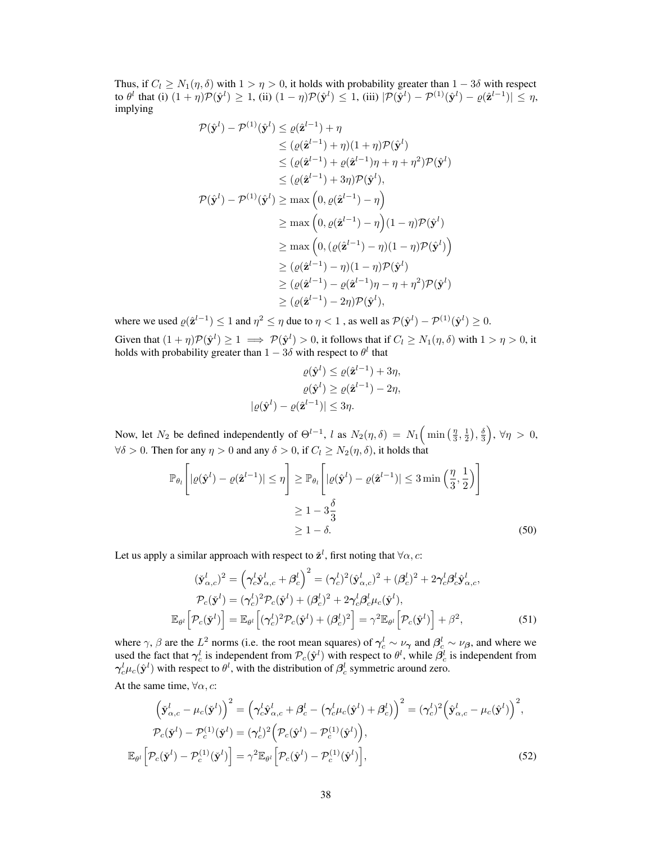Thus, if  $C_l \geq N_1(\eta, \delta)$  with  $1 > \eta > 0$ , it holds with probability greater than  $1 - 3\delta$  with respect to  $\theta^l$  that (i)  $(1 + \eta)\mathcal{P}(\hat{\mathbf{y}}^l) \geq 1$ , (ii)  $(1 - \eta)\mathcal{P}(\hat{\mathbf{y}}^l) \leq 1$ , (iii)  $|\mathcal{P}(\hat{\mathbf{y}}^l) - \mathcal{P}^{(1)}(\hat{\mathbf{y}}^l) - \varrho(\hat{\mathbf{z}}^{l-1})| \leq \eta$ , implying

$$
\mathcal{P}(\hat{\mathbf{y}}^{l}) - \mathcal{P}^{(1)}(\hat{\mathbf{y}}^{l}) \leq \varrho(\hat{\mathbf{z}}^{l-1}) + \eta
$$
\n
$$
\leq (\varrho(\hat{\mathbf{z}}^{l-1}) + \eta)(1 + \eta)\mathcal{P}(\hat{\mathbf{y}}^{l})
$$
\n
$$
\leq (\varrho(\hat{\mathbf{z}}^{l-1}) + \varrho(\hat{\mathbf{z}}^{l-1})\eta + \eta + \eta^{2})\mathcal{P}(\hat{\mathbf{y}}^{l})
$$
\n
$$
\leq (\varrho(\hat{\mathbf{z}}^{l-1}) + 3\eta)\mathcal{P}(\hat{\mathbf{y}}^{l}),
$$
\n
$$
\mathcal{P}(\hat{\mathbf{y}}^{l}) - \mathcal{P}^{(1)}(\hat{\mathbf{y}}^{l}) \geq \max\left(0, \varrho(\hat{\mathbf{z}}^{l-1}) - \eta\right)
$$
\n
$$
\geq \max\left(0, \varrho(\hat{\mathbf{z}}^{l-1}) - \eta\right)(1 - \eta)\mathcal{P}(\hat{\mathbf{y}}^{l})
$$
\n
$$
\geq \max\left(0, (\varrho(\hat{\mathbf{z}}^{l-1}) - \eta)(1 - \eta)\mathcal{P}(\hat{\mathbf{y}}^{l})\right)
$$
\n
$$
\geq (\varrho(\hat{\mathbf{z}}^{l-1}) - \eta)(1 - \eta)\mathcal{P}(\hat{\mathbf{y}}^{l})
$$
\n
$$
\geq (\varrho(\hat{\mathbf{z}}^{l-1}) - \varrho(\hat{\mathbf{z}}^{l-1})\eta - \eta + \eta^{2})\mathcal{P}(\hat{\mathbf{y}}^{l})
$$
\n
$$
\geq (\varrho(\hat{\mathbf{z}}^{l-1}) - 2\eta)\mathcal{P}(\hat{\mathbf{y}}^{l}),
$$

where we used  $\varrho(\hat{\mathbf{z}}^{l-1}) \leq 1$  and  $\eta^2 \leq \eta$  due to  $\eta < 1$  , as well as  $\mathcal{P}(\hat{\mathbf{y}}^l) - \mathcal{P}^{(1)}(\hat{\mathbf{y}}^l) \geq 0$ . Given that  $(1 + \eta)\mathcal{P}(\hat{\mathbf{y}}^{l}) \ge 1 \implies \mathcal{P}(\hat{\mathbf{y}}^{l}) > 0$ , it follows that if  $C_l \ge N_1(\eta, \delta)$  with  $1 > \eta > 0$ , it holds with probability greater than  $1 - 3\delta$  with respect to  $\theta^l$  that

<span id="page-20-2"></span>
$$
\varrho(\hat{\mathbf{y}}^l) \le \varrho(\hat{\mathbf{z}}^{l-1}) + 3\eta,
$$
  
\n
$$
\varrho(\hat{\mathbf{y}}^l) \ge \varrho(\hat{\mathbf{z}}^{l-1}) - 2\eta,
$$
  
\n
$$
|\varrho(\hat{\mathbf{y}}^l) - \varrho(\hat{\mathbf{z}}^{l-1})| \le 3\eta.
$$

Now, let  $N_2$  be defined independently of  $\Theta^{l-1}$ , l as  $N_2(\eta, \delta) = N_1\left(\min\left(\frac{\eta}{3}, \frac{1}{2}\right), \frac{\delta}{3}\right)$  $\Big), \forall \eta > 0,$  $\forall \delta > 0$ . Then for any  $\eta > 0$  and any  $\delta > 0$ , if  $C_l \geq N_2(\eta, \delta)$ , it holds that

$$
\mathbb{P}_{\theta_l} \left[ |\varrho(\hat{\mathbf{y}}^l) - \varrho(\hat{\mathbf{z}}^{l-1})| \leq \eta \right] \geq \mathbb{P}_{\theta_l} \left[ |\varrho(\hat{\mathbf{y}}^l) - \varrho(\hat{\mathbf{z}}^{l-1})| \leq 3 \min\left(\frac{\eta}{3}, \frac{1}{2}\right) \right]
$$
  

$$
\geq 1 - 3\frac{\delta}{3}
$$
  

$$
\geq 1 - \delta.
$$
 (50)

Let us apply a similar approach with respect to  $\check{\mathbf{z}}^l$ , first noting that  $\forall \alpha, c$ :

<span id="page-20-1"></span><span id="page-20-0"></span>
$$
(\dot{\mathbf{y}}_{\alpha,c}^{l})^2 = \left(\gamma_c^l \hat{\mathbf{y}}_{\alpha,c}^{l} + \beta_c^l\right)^2 = (\gamma_c^l)^2 (\hat{\mathbf{y}}_{\alpha,c}^{l})^2 + (\beta_c^l)^2 + 2\gamma_c^l \beta_c^l \hat{\mathbf{y}}_{\alpha,c}^{l},
$$
  
\n
$$
\mathcal{P}_c(\dot{\mathbf{y}}^l) = (\gamma_c^l)^2 \mathcal{P}_c(\dot{\mathbf{y}}^l) + (\beta_c^l)^2 + 2\gamma_c^l \beta_c^l \mu_c(\dot{\mathbf{y}}^l),
$$
  
\n
$$
\mathbb{E}_{\theta^l} \left[ \mathcal{P}_c(\dot{\mathbf{y}}^l) \right] = \mathbb{E}_{\theta^l} \left[ (\gamma_c^l)^2 \mathcal{P}_c(\dot{\mathbf{y}}^l) + (\beta_c^l)^2 \right] = \gamma^2 \mathbb{E}_{\theta^l} \left[ \mathcal{P}_c(\dot{\mathbf{y}}^l) \right] + \beta^2,
$$
\n(51)

where  $\gamma$ ,  $\beta$  are the  $L^2$  norms (i.e. the root mean squares) of  $\gamma_c^l \sim \nu_{\gamma}$  and  $\beta_c^l \sim \nu_{\beta}$ , and where we used the fact that  $\gamma_c^l$  is independent from  $\mathcal{P}_c(\hat{\mathbf{y}}^l)$  with respect to  $\theta^l$ , while  $\beta_c^l$  is independent from  $\gamma_c^l \mu_c(\hat{\mathbf{y}}^l)$  with respect to  $\theta^l$ , with the distribution of  $\beta_c^l$  symmetric around zero.

At the same time,  $\forall \alpha$ , c:

$$
\left(\tilde{\mathbf{y}}_{\alpha,c}^{l} - \mu_c(\tilde{\mathbf{y}}^{l})\right)^2 = \left(\gamma_c^l \hat{\mathbf{y}}_{\alpha,c}^{l} + \beta_c^l - \left(\gamma_c^l \mu_c(\hat{\mathbf{y}}^{l}) + \beta_c^l\right)\right)^2 = (\gamma_c^l)^2 \left(\hat{\mathbf{y}}_{\alpha,c}^{l} - \mu_c(\hat{\mathbf{y}}^{l})\right)^2,
$$
\n
$$
\mathcal{P}_c(\tilde{\mathbf{y}}^{l}) - \mathcal{P}_c^{(1)}(\tilde{\mathbf{y}}^{l}) = (\gamma_c^l)^2 \left(\mathcal{P}_c(\hat{\mathbf{y}}^{l}) - \mathcal{P}_c^{(1)}(\hat{\mathbf{y}}^{l})\right),
$$
\n
$$
\mathbb{E}_{\theta^l} \left[\mathcal{P}_c(\tilde{\mathbf{y}}^{l}) - \mathcal{P}_c^{(1)}(\tilde{\mathbf{y}}^{l})\right] = \gamma^2 \mathbb{E}_{\theta^l} \left[\mathcal{P}_c(\hat{\mathbf{y}}^{l}) - \mathcal{P}_c^{(1)}(\hat{\mathbf{y}}^{l})\right],
$$
\n(52)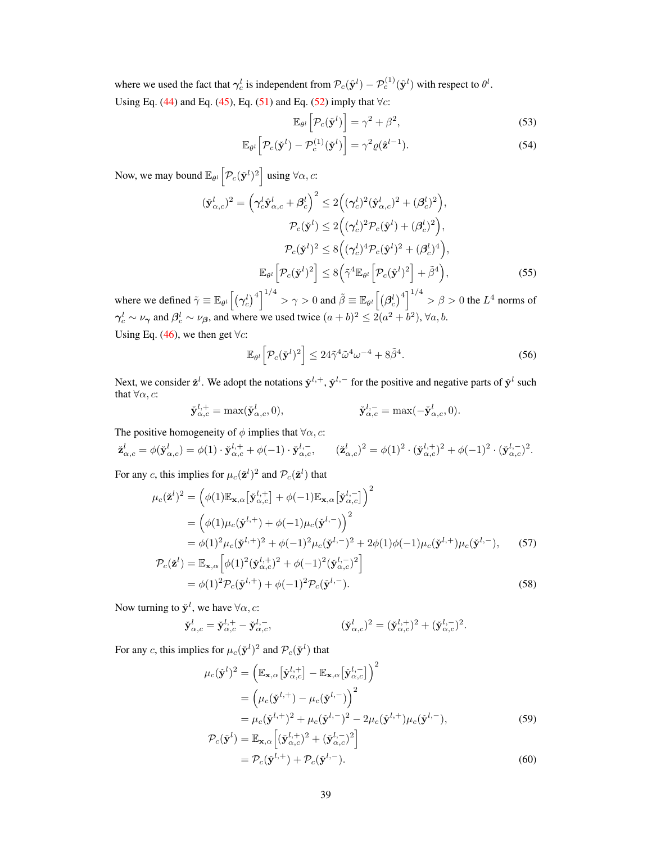where we used the fact that  $\gamma_c^l$  is independent from  $\mathcal{P}_c(\hat{\mathbf{y}}^l) - \mathcal{P}_c^{(1)}(\hat{\mathbf{y}}^l)$  with respect to  $\theta^l$ . Using Eq. [\(44\)](#page-19-2) and Eq. [\(45\)](#page-19-3), Eq. [\(51\)](#page-20-0) and Eq. [\(52\)](#page-20-1) imply that  $\forall c$ :

<span id="page-21-5"></span><span id="page-21-4"></span>
$$
\mathbb{E}_{\theta^l} \left[ \mathcal{P}_c(\check{\mathbf{y}}^l) \right] = \gamma^2 + \beta^2, \tag{53}
$$

$$
\mathbb{E}_{\theta^l} \left[ \mathcal{P}_c(\check{\mathbf{y}}^l) - \mathcal{P}_c^{(1)}(\check{\mathbf{y}}^l) \right] = \gamma^2 \varrho(\hat{\mathbf{z}}^{l-1}). \tag{54}
$$

Now, we may bound  $\mathbb{E}_{\theta^l} \left[ \mathcal{P}_c(\check{\mathbf{y}}^l)^2 \right]$  using  $\forall \alpha, c$ :

$$
(\check{\mathbf{y}}_{\alpha,c}^{l})^2 = \left(\gamma_c^l \hat{\mathbf{y}}_{\alpha,c}^{l} + \beta_c^l\right)^2 \le 2\left((\gamma_c^l)^2 (\hat{\mathbf{y}}_{\alpha,c}^{l})^2 + (\beta_c^l)^2\right),
$$
  
\n
$$
\mathcal{P}_c(\check{\mathbf{y}}^l) \le 2\left((\gamma_c^l)^2 \mathcal{P}_c(\hat{\mathbf{y}}^l) + (\beta_c^l)^2\right),
$$
  
\n
$$
\mathcal{P}_c(\check{\mathbf{y}}^l)^2 \le 8\left((\gamma_c^l)^4 \mathcal{P}_c(\hat{\mathbf{y}}^l)^2 + (\beta_c^l)^4\right),
$$
  
\n
$$
\mathbb{E}_{\theta^l} \left[\mathcal{P}_c(\check{\mathbf{y}}^l)^2\right] \le 8\left(\tilde{\gamma}^4 \mathbb{E}_{\theta^l} \left[\mathcal{P}_c(\hat{\mathbf{y}}^l)^2\right] + \tilde{\beta}^4\right),
$$
\n(55)

where we defined  $\tilde{\gamma} \equiv \mathbb{E}_{\theta^l}\Big[\big(\boldsymbol{\gamma}_c^l\big)^4\Big]^{1/4} > \gamma > 0$  and  $\tilde{\beta} \equiv \mathbb{E}_{\theta^l}\Big[\big(\boldsymbol{\beta}_c^l\big)^4\Big]^{1/4} > \beta > 0$  the  $L^4$  norms of  $\gamma_c^l \sim \nu_\gamma$  and  $\beta_c^l \sim \nu_\beta$ , and where we used twice  $(a+b)^2 \leq 2(a^2+b^2)$ ,  $\forall a, b$ .

Using Eq. [\(46\)](#page-19-4), we then get  $\forall c$ :

<span id="page-21-6"></span><span id="page-21-0"></span>
$$
\mathbb{E}_{\theta^l} \left[ \mathcal{P}_c(\check{\mathbf{y}}^l)^2 \right] \le 24\tilde{\gamma}^4 \tilde{\omega}^4 \omega^{-4} + 8\tilde{\beta}^4. \tag{56}
$$

Next, we consider  $\check{\mathbf{z}}^l$ . We adopt the notations  $\check{\mathbf{y}}^{l,+}$ ,  $\check{\mathbf{y}}^{l,-}$  for the positive and negative parts of  $\check{\mathbf{y}}^l$  such that  $\forall \alpha$ , c:

$$
\check{\mathbf{y}}_{\alpha,c}^{l,+} = \max(\check{\mathbf{y}}_{\alpha,c}^l, 0), \qquad \qquad \check{\mathbf{y}}_{\alpha,c}^{l,-} = \max(-\check{\mathbf{y}}_{\alpha,c}^l, 0).
$$

The positive homogeneity of  $\phi$  implies that  $\forall \alpha$ , c:

$$
\check{\mathbf{z}}_{\alpha,c}^{l} = \phi(\check{\mathbf{y}}_{\alpha,c}^{l}) = \phi(1) \cdot \check{\mathbf{y}}_{\alpha,c}^{l,+} + \phi(-1) \cdot \check{\mathbf{y}}_{\alpha,c}^{l,-}, \qquad (\check{\mathbf{z}}_{\alpha,c}^{l})^2 = \phi(1)^2 \cdot (\check{\mathbf{y}}_{\alpha,c}^{l,+})^2 + \phi(-1)^2 \cdot (\check{\mathbf{y}}_{\alpha,c}^{l,-})^2.
$$

For any c, this implies for  $\mu_c(\check{z}^l)^2$  and  $\mathcal{P}_c(\check{z}^l)$  that

$$
\mu_c(\check{\mathbf{z}}^l)^2 = (\phi(1)\mathbb{E}_{\mathbf{x},\alpha}[\check{\mathbf{y}}_{\alpha,c}^{l,+}] + \phi(-1)\mathbb{E}_{\mathbf{x},\alpha}[\check{\mathbf{y}}_{\alpha,c}^{l,-}]^2
$$
\n
$$
= (\phi(1)\mu_c(\check{\mathbf{y}}^{l,+}) + \phi(-1)\mu_c(\check{\mathbf{y}}^{l,-})^2
$$
\n
$$
= \phi(1)^2 \mu_c(\check{\mathbf{y}}^{l,+})^2 + \phi(-1)^2 \mu_c(\check{\mathbf{y}}^{l,-})^2 + 2\phi(1)\phi(-1)\mu_c(\check{\mathbf{y}}^{l,+})\mu_c(\check{\mathbf{y}}^{l,-}), \qquad (57)
$$
\n
$$
\mathcal{P}_c(\check{\mathbf{z}}^l) = \mathbb{E}_{\mathbf{x},\alpha} [\phi(1)^2(\check{\mathbf{y}}_{\alpha,c}^{l,+})^2 + \phi(-1)^2(\check{\mathbf{y}}_{\alpha,c}^{l,-})^2]
$$
\n
$$
= \phi(1)^2 \mathcal{P}_c(\check{\mathbf{y}}^{l,+}) + \phi(-1)^2 \mathcal{P}_c(\check{\mathbf{y}}^{l,-}). \qquad (58)
$$

Now turning to 
$$
\check{\mathbf{y}}^l
$$
, we have  $\forall \alpha, c$ :

$$
\check{\mathbf{y}}_{\alpha,c}^{l} = \check{\mathbf{y}}_{\alpha,c}^{l,+} - \check{\mathbf{y}}_{\alpha,c}^{l,-}, \qquad (\check{\mathbf{y}}_{\alpha,c}^{l})^2 = (\check{\mathbf{y}}_{\alpha,c}^{l,+})^2 + (\check{\mathbf{y}}_{\alpha,c}^{l,-})^2.
$$

For any c, this implies for  $\mu_c(\tilde{\mathbf{y}}^l)^2$  and  $\mathcal{P}_c(\tilde{\mathbf{y}}^l)$  that

<span id="page-21-1"></span>
$$
\mu_c(\check{\mathbf{y}}^l)^2 = \left(\mathbb{E}_{\mathbf{x},\alpha}[\check{\mathbf{y}}_{\alpha,c}^{l,+}] - \mathbb{E}_{\mathbf{x},\alpha}[\check{\mathbf{y}}_{\alpha,c}^{l,-}] \right)^2
$$
  
\n
$$
= \left(\mu_c(\check{\mathbf{y}}^{l,+}) - \mu_c(\check{\mathbf{y}}^{l,-})\right)^2
$$
  
\n
$$
= \mu_c(\check{\mathbf{y}}^{l,+})^2 + \mu_c(\check{\mathbf{y}}^{l,-})^2 - 2\mu_c(\check{\mathbf{y}}^{l,+})\mu_c(\check{\mathbf{y}}^{l,-}),
$$
  
\n
$$
\mathcal{P}_c(\check{\mathbf{y}}^l) = \mathbb{E}_{\mathbf{x},\alpha}[(\check{\mathbf{y}}_{\alpha,c}^{l,+})^2 + (\check{\mathbf{y}}_{\alpha,c}^{l,-})^2]
$$
\n(59)

<span id="page-21-3"></span><span id="page-21-2"></span>
$$
P_c(\check{\mathbf{y}}^l) = \mathbb{E}_{\mathbf{x},\alpha} \left[ (\check{\mathbf{y}}_{\alpha,c}^{l,+})^2 + (\check{\mathbf{y}}_{\alpha,c}^{l,-})^2 \right]
$$
  
=  $\mathcal{P}_c(\check{\mathbf{y}}^{l,+}) + \mathcal{P}_c(\check{\mathbf{y}}^{l,-}).$  (60)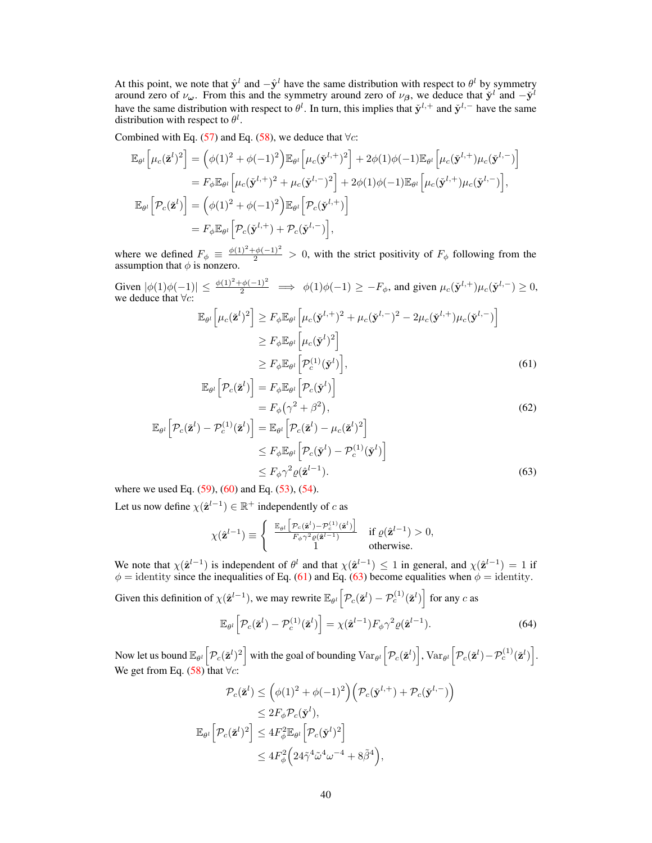At this point, we note that  $\hat{\mathbf{y}}^{l}$  and  $-\hat{\mathbf{y}}^{l}$  have the same distribution with respect to  $\theta^{l}$  by symmetry around zero of  $\nu_{\omega}$ . From this and the symmetry around zero of  $\nu_{\beta}$ , we deduce that  $\dot{y}^l$  and  $-\dot{y}^l$ have the same distribution with respect to  $\theta^l$ . In turn, this implies that  $\check{\mathbf{y}}^{l,+}$  and  $\check{\mathbf{y}}^{l,-}$  have the same distribution with respect to  $\theta^l$ .

Combined with Eq. [\(57\)](#page-21-0) and Eq. [\(58\)](#page-21-1), we deduce that  $\forall c$ :

$$
\mathbb{E}_{\theta^l} \left[ \mu_c(\check{\mathbf{z}}^l)^2 \right] = \left( \phi(1)^2 + \phi(-1)^2 \right) \mathbb{E}_{\theta^l} \left[ \mu_c(\check{\mathbf{y}}^{l,+})^2 \right] + 2\phi(1)\phi(-1)\mathbb{E}_{\theta^l} \left[ \mu_c(\check{\mathbf{y}}^{l,+})\mu_c(\check{\mathbf{y}}^{l,-}) \right]
$$
\n
$$
= F_{\phi} \mathbb{E}_{\theta^l} \left[ \mu_c(\check{\mathbf{y}}^{l,+})^2 + \mu_c(\check{\mathbf{y}}^{l,-})^2 \right] + 2\phi(1)\phi(-1)\mathbb{E}_{\theta^l} \left[ \mu_c(\check{\mathbf{y}}^{l,+})\mu_c(\check{\mathbf{y}}^{l,-}) \right],
$$
\n
$$
\mathbb{E}_{\theta^l} \left[ \mathcal{P}_c(\check{\mathbf{z}}^l) \right] = \left( \phi(1)^2 + \phi(-1)^2 \right) \mathbb{E}_{\theta^l} \left[ \mathcal{P}_c(\check{\mathbf{y}}^{l,+}) \right]
$$
\n
$$
= F_{\phi} \mathbb{E}_{\theta^l} \left[ \mathcal{P}_c(\check{\mathbf{y}}^{l,+}) + \mathcal{P}_c(\check{\mathbf{y}}^{l,-}) \right],
$$

where we defined  $F_{\phi} \equiv \frac{\phi(1)^2 + \phi(-1)^2}{2} > 0$ , with the strict positivity of  $F_{\phi}$  following from the assumption that  $\phi$  is nonzero.

Given  $|\phi(1)\phi(-1)| \le \frac{\phi(1)^2 + \phi(-1)^2}{2} \implies \phi(1)\phi(-1) \ge -F_\phi$ , and given  $\mu_c(\check{\mathbf{y}}^{l,+})\mu_c(\check{\mathbf{y}}^{l,-}) \ge 0$ , we deduce that  $\forall c$ :

<span id="page-22-0"></span>
$$
\mathbb{E}_{\theta^l} \left[ \mu_c(\check{\mathbf{z}}^l)^2 \right] \ge F_{\phi} \mathbb{E}_{\theta^l} \left[ \mu_c(\check{\mathbf{y}}^{l,+})^2 + \mu_c(\check{\mathbf{y}}^{l,-})^2 - 2\mu_c(\check{\mathbf{y}}^{l,+})\mu_c(\check{\mathbf{y}}^{l,-}) \right]
$$
  
\n
$$
\ge F_{\phi} \mathbb{E}_{\theta^l} \left[ \mu_c(\check{\mathbf{y}}^l)^2 \right]
$$
  
\n
$$
\ge F_{\phi} \mathbb{E}_{\theta^l} \left[ \mathcal{P}_c^{(1)}(\check{\mathbf{y}}^l) \right],
$$
\n(61)

<span id="page-22-2"></span>
$$
\mathbb{E}_{\theta^l} \left[ \mathcal{P}_c(\check{\mathbf{z}}^l) \right] = F_{\phi} \mathbb{E}_{\theta^l} \left[ \mathcal{P}_c(\check{\mathbf{y}}^l) \right]
$$

$$
= F_{\phi} \left( \gamma^2 + \beta^2 \right), \tag{62}
$$

$$
\mathbb{E}_{\theta^l} \left[ \mathcal{P}_c(\check{\mathbf{z}}^l) - \mathcal{P}_c^{(1)}(\check{\mathbf{z}}^l) \right] = \mathbb{E}_{\theta^l} \left[ \mathcal{P}_c(\check{\mathbf{z}}^l) - \mu_c(\check{\mathbf{z}}^l)^2 \right] \\
\leq F_{\phi} \mathbb{E}_{\theta^l} \left[ \mathcal{P}_c(\check{\mathbf{y}}^l) - \mathcal{P}_c^{(1)}(\check{\mathbf{y}}^l) \right] \\
\leq F_{\phi} \gamma^2 \varrho(\hat{\mathbf{z}}^{l-1}).
$$
\n(63)

where we used Eq.  $(59)$ ,  $(60)$  and Eq.  $(53)$ ,  $(54)$ .

Let us now define  $\chi(\hat{\mathbf{z}}^{l-1}) \in \mathbb{R}^+$  independently of c as

<span id="page-22-1"></span>
$$
\chi(\hat{\mathbf{z}}^{l-1}) \equiv \begin{cases} \begin{array}{c} \mathbb{E}_{\theta^l} \left[ \mathcal{P}_c(\check{\mathbf{z}}^l) - \mathcal{P}_c^{(1)}(\check{\mathbf{z}}^l) \right] \\ \frac{F_{\phi} \gamma^2 \varrho(\check{\mathbf{z}}^{l-1})}{1} \end{array} & \text{if } \varrho(\hat{\mathbf{z}}^{l-1}) > 0, \\ 1 & \text{otherwise.} \end{array} \end{cases}
$$

We note that  $\chi(\hat{\mathbf{z}}^{l-1})$  is independent of  $\theta^l$  and that  $\chi(\hat{\mathbf{z}}^{l-1}) \leq 1$  in general, and  $\chi(\hat{\mathbf{z}}^{l-1}) = 1$  if  $\phi$  = identity since the inequalities of Eq. [\(61\)](#page-22-0) and Eq. [\(63\)](#page-22-1) become equalities when  $\phi$  = identity.

Given this definition of  $\chi(\hat{\mathbf{z}}^{l-1})$ , we may rewrite  $\mathbb{E}_{\theta^l} \left[ \mathcal{P}_c(\check{\mathbf{z}}^l) - \mathcal{P}_c^{(1)}(\check{\mathbf{z}}^l) \right]$  for any c as

<span id="page-22-3"></span>
$$
\mathbb{E}_{\theta^l} \left[ \mathcal{P}_c(\check{\mathbf{z}}^l) - \mathcal{P}_c^{(1)}(\check{\mathbf{z}}^l) \right] = \chi(\hat{\mathbf{z}}^{l-1}) F_{\phi} \gamma^2 \varrho(\hat{\mathbf{z}}^{l-1}). \tag{64}
$$

Now let us bound  $\mathbb{E}_{\theta^l} \left[ \mathcal{P}_c(\check{\mathbf{z}}^l)^2 \right]$  with the goal of bounding  $\text{Var}_{\theta^l} \left[ \mathcal{P}_c(\check{\mathbf{z}}^l) \right]$ ,  $\text{Var}_{\theta^l} \left[ \mathcal{P}_c(\check{\mathbf{z}}^l) - \mathcal{P}_c^{(1)}(\check{\mathbf{z}}^l) \right]$ . We get from Eq. [\(58\)](#page-21-1) that  $\forall c$ :

$$
\mathcal{P}_c(\check{\mathbf{z}}^l) \leq \left(\phi(1)^2 + \phi(-1)^2\right) \left(\mathcal{P}_c(\check{\mathbf{y}}^{l,+}) + \mathcal{P}_c(\check{\mathbf{y}}^{l,-})\right)
$$
  
\n
$$
\leq 2F_{\phi}\mathcal{P}_c(\check{\mathbf{y}}^l),
$$
  
\n
$$
\mathbb{E}_{\theta^l} \left[\mathcal{P}_c(\check{\mathbf{z}}^l)^2\right] \leq 4F_{\phi}^2 \mathbb{E}_{\theta^l} \left[\mathcal{P}_c(\check{\mathbf{y}}^l)^2\right]
$$
  
\n
$$
\leq 4F_{\phi}^2 \left(24\tilde{\gamma}^4\tilde{\omega}^4\omega^{-4} + 8\tilde{\beta}^4\right),
$$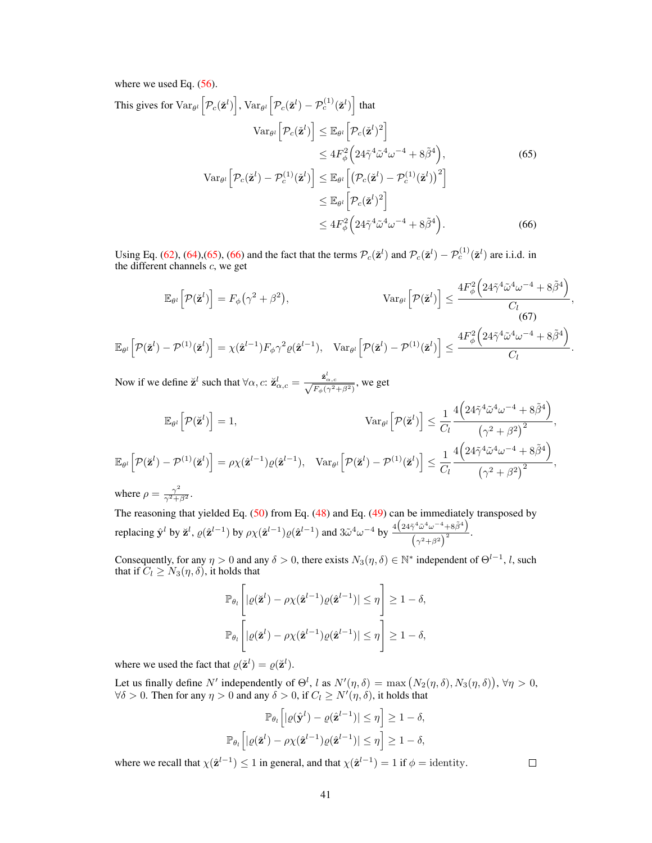where we used Eq.  $(56)$ .

<span id="page-23-0"></span>This gives for 
$$
\operatorname{Var}_{\theta^l} \left[ \mathcal{P}_c(\check{\mathbf{z}}^l) \right]
$$
,  $\operatorname{Var}_{\theta^l} \left[ \mathcal{P}_c(\check{\mathbf{z}}^l) - \mathcal{P}_c^{(1)}(\check{\mathbf{z}}^l) \right]$  that  
\n
$$
\operatorname{Var}_{\theta^l} \left[ \mathcal{P}_c(\check{\mathbf{z}}^l) \right] \leq \mathbb{E}_{\theta^l} \left[ \mathcal{P}_c(\check{\mathbf{z}}^l)^2 \right]
$$
\n
$$
\leq 4F_{\phi}^2 \left( 24\tilde{\gamma}^4 \tilde{\omega}^4 \omega^{-4} + 8\tilde{\beta}^4 \right), \qquad (65)
$$
\n
$$
\operatorname{Var}_{\theta^l} \left[ \mathcal{P}_c(\check{\mathbf{z}}^l) - \mathcal{P}_c^{(1)}(\check{\mathbf{z}}^l) \right] \leq \mathbb{E}_{\theta^l} \left[ \left( \mathcal{P}_c(\check{\mathbf{z}}^l) - \mathcal{P}_c^{(1)}(\check{\mathbf{z}}^l) \right)^2 \right]
$$
\n
$$
\leq \mathbb{E}_{\theta^l} \left[ \mathcal{P}_c(\check{\mathbf{z}}^l)^2 \right]
$$
\n
$$
\leq 4F_{\phi}^2 \left( 24\tilde{\gamma}^4 \tilde{\omega}^4 \omega^{-4} + 8\tilde{\beta}^4 \right).
$$
\n(66)

<span id="page-23-1"></span>Using Eq. [\(62\)](#page-22-2), [\(64\)](#page-22-3), [\(65\)](#page-23-0), [\(66\)](#page-23-1) and the fact that the terms  $\mathcal{P}_c(\check{\mathbf{z}}^l)$  and  $\mathcal{P}_c(\check{\mathbf{z}}^l) - \mathcal{P}_c^{(1)}(\check{\mathbf{z}}^l)$  are i.i.d. in the different channels c, we get

<span id="page-23-2"></span>
$$
\mathbb{E}_{\theta^l}\Big[\mathcal{P}(\check{\mathbf{z}}^l)\Big] = F_{\phi}\big(\gamma^2 + \beta^2\big), \qquad \text{Var}_{\theta^l}\Big[\mathcal{P}(\check{\mathbf{z}}^l)\Big] \leq \frac{4F_{\phi}^2\Big(24\tilde{\gamma}^4\tilde{\omega}^4\omega^{-4} + 8\tilde{\beta}^4\Big)}{C_l},
$$
\n
$$
\mathbb{E}_{\theta^l}\Big[\mathcal{P}(\check{\mathbf{z}}^l) - \mathcal{P}^{(1)}(\check{\mathbf{z}}^l)\Big] = \chi(\hat{\mathbf{z}}^{l-1})F_{\phi}\gamma^2\varrho(\hat{\mathbf{z}}^{l-1}), \quad \text{Var}_{\theta^l}\Big[\mathcal{P}(\check{\mathbf{z}}^l) - \mathcal{P}^{(1)}(\check{\mathbf{z}}^l)\Big] \leq \frac{4F_{\phi}^2\Big(24\tilde{\gamma}^4\tilde{\omega}^4\omega^{-4} + 8\tilde{\beta}^4\Big)}{C_l}.
$$

Now if we define  $\breve{\mathbf{z}}^l$  such that  $\forall \alpha, c: \breve{\mathbf{z}}_{\alpha,c}^l = \frac{\breve{\mathbf{z}}_{\alpha,c}^l}{\sqrt{F_{\phi}(\gamma^2 + \beta^2)}},$  we get

$$
\mathbb{E}_{\theta^l}\Big[\mathcal{P}(\breve{\mathbf{z}}^l)\Big] = 1, \qquad \qquad \operatorname{Var}_{\theta^l}\Big[\mathcal{P}(\breve{\mathbf{z}}^l)\Big] \le \frac{1}{C_l} \frac{4\Big(24\tilde{\gamma}^4 \tilde{\omega}^4 \omega^{-4} + 8\tilde{\beta}^4\Big)}{\left(\gamma^2 + \beta^2\right)^2},
$$
\n
$$
\mathbb{E}_{\theta^l}\Big[\mathcal{P}(\breve{\mathbf{z}}^l) - \mathcal{P}^{(1)}(\breve{\mathbf{z}}^l)\Big] = \rho \chi(\hat{\mathbf{z}}^{l-1}) \varrho(\hat{\mathbf{z}}^{l-1}), \quad \operatorname{Var}_{\theta^l}\Big[\mathcal{P}(\breve{\mathbf{z}}^l) - \mathcal{P}^{(1)}(\breve{\mathbf{z}}^l)\Big] \le \frac{1}{C_l} \frac{4\Big(24\tilde{\gamma}^4 \tilde{\omega}^4 \omega^{-4} + 8\tilde{\beta}^4\Big)}{\left(\gamma^2 + \beta^2\right)^2},
$$
\nwhere  $c = -\gamma^2$ .

where  $\rho = \frac{\gamma^2}{\gamma^2 + \beta^2}$ .

The reasoning that yielded Eq. [\(50\)](#page-20-2) from Eq. [\(48\)](#page-19-0) and Eq. [\(49\)](#page-19-1) can be immediately transposed by replacing  $\hat{\mathbf{y}}^l$  by  $\breve{\mathbf{z}}^l$ ,  $\varrho(\hat{\mathbf{z}}^{l-1})$  by  $\rho \chi(\hat{\mathbf{z}}^{l-1}) \varrho(\hat{\mathbf{z}}^{l-1})$  and  $3\tilde{\omega}^4 \omega^{-4}$  by  $\frac{4(24\tilde{\gamma}^4 \tilde{\omega}^4 \omega^{-4} + 8\tilde{\beta}^4)}{2}$  $\frac{\pi}{(\gamma^2+\beta^2)^2}$ .

Consequently, for any  $\eta > 0$  and any  $\delta > 0$ , there exists  $N_3(\eta, \delta) \in \mathbb{N}^*$  independent of  $\Theta^{l-1}$ , l, such that if  $C_l \geq N_3(\eta, \delta)$ , it holds that

$$
\mathbb{P}_{\theta_l}\left[|\varrho(\check{\mathbf{z}}^l) - \rho \chi(\hat{\mathbf{z}}^{l-1})\varrho(\hat{\mathbf{z}}^{l-1})| \leq \eta\right] \geq 1 - \delta,
$$
  

$$
\mathbb{P}_{\theta_l}\left[|\varrho(\check{\mathbf{z}}^l) - \rho \chi(\hat{\mathbf{z}}^{l-1})\varrho(\hat{\mathbf{z}}^{l-1})| \leq \eta\right] \geq 1 - \delta,
$$

where we used the fact that  $\varrho(\check{z}^l) = \varrho(\check{z}^l)$ .

Let us finally define N' independently of  $\Theta^l$ , l as  $N'(\eta, \delta) = \max (N_2(\eta, \delta), N_3(\eta, \delta)), \forall \eta > 0$ ,  $\forall \delta > 0$ . Then for any  $\eta > 0$  and any  $\delta > 0$ , if  $C_l \ge N'(\eta, \delta)$ , it holds that

$$
\mathbb{P}_{\theta_l}\left[|\varrho(\hat{\mathbf{y}}^l) - \varrho(\hat{\mathbf{z}}^{l-1})| \leq \eta\right] \geq 1 - \delta,
$$
  

$$
\mathbb{P}_{\theta_l}\left[|\varrho(\check{\mathbf{z}}^l) - \rho\chi(\hat{\mathbf{z}}^{l-1})\varrho(\hat{\mathbf{z}}^{l-1})| \leq \eta\right] \geq 1 - \delta,
$$

41

where we recall that  $\chi(\hat{\mathbf{z}}^{l-1}) \leq 1$  in general, and that  $\chi(\hat{\mathbf{z}}^{l-1}) = 1$  if  $\phi =$  identity.

 $\Box$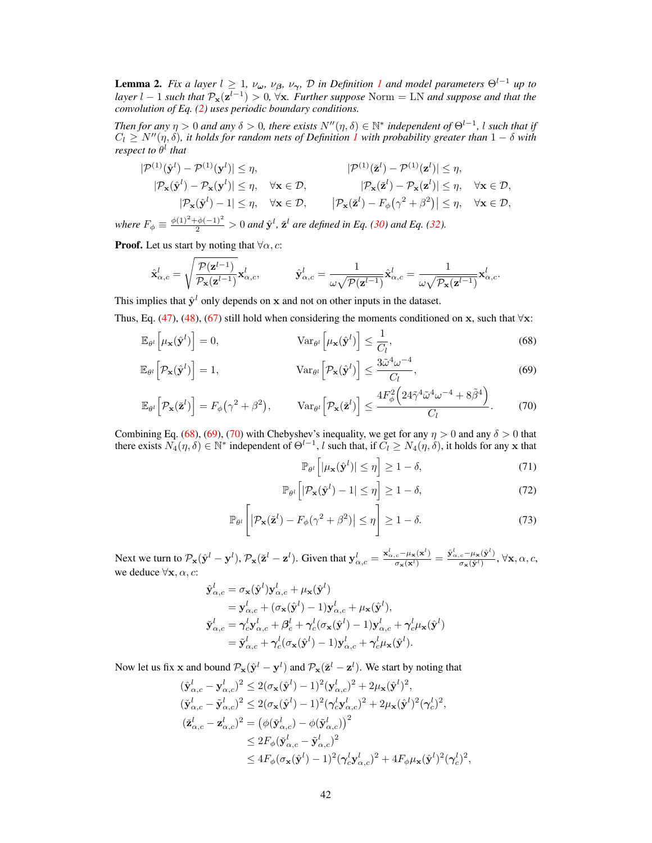<span id="page-24-3"></span>**Lemma 2.** *Fix a layer*  $l \geq 1$  $l \geq 1$ *,*  $\nu_{\omega}$ *,*  $\nu_{\beta}$ *,*  $\nu_{\gamma}$ *,*  $\mathcal{D}$  *<i>in Definition 1 and model parameters*  $\Theta^{l-1}$  *up to layer* l − 1 *such that*  $\mathcal{P}_x(z^{l-1}) > 0$ ,  $\forall x$ *. Further suppose* Norm = LN *and suppose and that the convolution of Eq. [\(2\)](#page--1-18) uses periodic boundary conditions.*

*Then for any*  $\eta > 0$  *and any*  $\delta > 0$ , there exists  $N''(\eta, \delta) \in \mathbb{N}^*$  independent of  $\Theta^{l-1}$ , *l such that if*  $C_l \geq N''(\eta, \delta)$ , it holds for random nets of Definition  $1$  with probability greater than  $1-\delta$  with *respect to* θ l *that*

$$
|\mathcal{P}^{(1)}(\hat{\mathbf{y}}^l) - \mathcal{P}^{(1)}(\mathbf{y}^l)| \leq \eta, \qquad |\mathcal{P}^{(1)}(\check{\mathbf{z}}^l) - \mathcal{P}^{(1)}(\mathbf{z}^l)| \leq \eta, |\mathcal{P}_{\mathbf{x}}(\hat{\mathbf{y}}^l) - \mathcal{P}_{\mathbf{x}}(\mathbf{y}^l)| \leq \eta, \quad \forall \mathbf{x} \in \mathcal{D}, |\mathcal{P}_{\mathbf{x}}(\check{\mathbf{z}}^l) - \mathcal{P}_{\mathbf{x}}(\mathbf{z}^l)| \leq \eta, \quad \forall \mathbf{x} \in \mathcal{D}, |\mathcal{P}_{\mathbf{x}}(\check{\mathbf{z}}^l) - F_{\phi}(\gamma^2 + \beta^2)| \leq \eta, \quad \forall \mathbf{x} \in \mathcal{D},
$$

*where*  $F_{\phi} \equiv \frac{\phi(1)^2 + \phi(-1)^2}{2} > 0$  *and*  $\hat{\mathbf{y}}^l$ *,*  $\check{\mathbf{z}}^l$  *are defined in Eq.* [\(30\)](#page-16-1) *and Eq.* [\(32\)](#page-16-2)*.* 

**Proof.** Let us start by noting that  $\forall \alpha, c$ :

$$
\label{eq:1} \hat{\textbf{x}}_{\alpha,c}^{l} = \sqrt{\frac{\mathcal{P}(\textbf{z}^{l-1})}{\mathcal{P}_{\textbf{x}}(\textbf{z}^{l-1})}}\textbf{x}_{\alpha,c}^{l}, \hspace{10mm} \hat{\textbf{y}}_{\alpha,c}^{l} = \frac{1}{\omega\sqrt{\mathcal{P}(\textbf{z}^{l-1})}}\hat{\textbf{x}}_{\alpha,c}^{l} = \frac{1}{\omega\sqrt{\mathcal{P}_{\textbf{x}}(\textbf{z}^{l-1})}}\textbf{x}_{\alpha,c}^{l}.
$$

This implies that  $\hat{y}^l$  only depends on x and not on other inputs in the dataset.

Thus, Eq. [\(47\)](#page-19-5), [\(48\)](#page-19-0), [\(67\)](#page-23-2) still hold when considering the moments conditioned on x, such that  $\forall$ x:

$$
\mathbb{E}_{\theta^l} \left[ \mu_{\mathbf{x}}(\hat{\mathbf{y}}^l) \right] = 0, \qquad \qquad \text{Var}_{\theta^l} \left[ \mu_{\mathbf{x}}(\hat{\mathbf{y}}^l) \right] \le \frac{1}{C_l}, \qquad (68)
$$

$$
\mathbb{E}_{\theta^l} \left[ \mathcal{P}_{\mathbf{x}}(\hat{\mathbf{y}}^l) \right] = 1, \qquad \text{Var}_{\theta^l} \left[ \mathcal{P}_{\mathbf{x}}(\hat{\mathbf{y}}^l) \right] \le \frac{3\tilde{\omega}^4 \omega^{-4}}{C_l}, \tag{69}
$$

$$
\mathbb{E}_{\theta^l}\Big[\mathcal{P}_{\mathbf{x}}(\check{\mathbf{z}}^l)\Big] = F_{\phi}\big(\gamma^2 + \beta^2\big), \qquad \text{Var}_{\theta^l}\Big[\mathcal{P}_{\mathbf{x}}(\check{\mathbf{z}}^l)\Big] \le \frac{4F_{\phi}^2\Big(24\tilde{\gamma}^4\tilde{\omega}^4\omega^{-4} + 8\tilde{\beta}^4\Big)}{C_l}.\tag{70}
$$

Combining Eq. [\(68\)](#page-24-0), [\(69\)](#page-24-1), [\(70\)](#page-24-2) with Chebyshev's inequality, we get for any  $\eta > 0$  and any  $\delta > 0$  that there exists  $N_4(\eta, \delta) \in \mathbb{N}^*$  independent of  $\Theta^{l-1}$ , l such that, if  $\tilde{C}_l \geq N_4(\eta, \delta)$ , it holds for any x that

<span id="page-24-2"></span><span id="page-24-1"></span><span id="page-24-0"></span>
$$
\mathbb{P}_{\theta^l}\left[|\mu_{\mathbf{x}}(\hat{\mathbf{y}}^l)| \le \eta\right] \ge 1 - \delta,\tag{71}
$$

$$
\mathbb{P}_{\theta^l}\left[|\mathcal{P}_{\mathbf{x}}(\hat{\mathbf{y}}^l) - 1| \leq \eta\right] \geq 1 - \delta,\tag{72}
$$

$$
\mathbb{P}_{\theta^l} \left[ \left| \mathcal{P}_{\mathbf{x}}(\check{\mathbf{z}}^l) - F_{\phi}(\gamma^2 + \beta^2) \right| \le \eta \right] \ge 1 - \delta. \tag{73}
$$

Next we turn to  $\mathcal{P}_\mathbf{x}(\hat{\mathbf{y}}^l - \mathbf{y}^l)$ ,  $\mathcal{P}_\mathbf{x}(\check{\mathbf{z}}^l - \mathbf{z}^l)$ . Given that  $\mathbf{y}^l_{\alpha,c} = \frac{\mathbf{x}^l_{\alpha,c} - \mu_\mathbf{x}(\check{\mathbf{x}}^l)}{\sigma_\mathbf{x}(\check{\mathbf{x}}^l)} = \frac{\hat{\mathbf{y}}^l_{\alpha,c} - \mu_\mathbf{x}(\hat{\mathbf{y}}^l)}{\sigma_\mathbf{x}(\check{\mathbf{y}}^l)}$  $\frac{c^{-\mu_{\mathbf{x}}(\mathbf{y})}}{\sigma_{\mathbf{x}}(\hat{\mathbf{y}}^l)}, \forall \mathbf{x}, \alpha, c,$ we deduce  $\forall \mathbf{x}, \alpha, c$ :

$$
\hat{\mathbf{y}}_{\alpha,c}^{l} = \sigma_{\mathbf{x}}(\hat{\mathbf{y}}^{l}) \mathbf{y}_{\alpha,c}^{l} + \mu_{\mathbf{x}}(\hat{\mathbf{y}}^{l}) \n= \mathbf{y}_{\alpha,c}^{l} + (\sigma_{\mathbf{x}}(\hat{\mathbf{y}}^{l}) - 1) \mathbf{y}_{\alpha,c}^{l} + \mu_{\mathbf{x}}(\hat{\mathbf{y}}^{l}), \n\check{\mathbf{y}}_{\alpha,c}^{l} = \gamma_{c}^{l} \mathbf{y}_{\alpha,c}^{l} + \beta_{c}^{l} + \gamma_{c}^{l} (\sigma_{\mathbf{x}}(\hat{\mathbf{y}}^{l}) - 1) \mathbf{y}_{\alpha,c}^{l} + \gamma_{c}^{l} \mu_{\mathbf{x}}(\hat{\mathbf{y}}^{l}) \n= \tilde{\mathbf{y}}_{\alpha,c}^{l} + \gamma_{c}^{l} (\sigma_{\mathbf{x}}(\hat{\mathbf{y}}^{l}) - 1) \mathbf{y}_{\alpha,c}^{l} + \gamma_{c}^{l} \mu_{\mathbf{x}}(\hat{\mathbf{y}}^{l}).
$$

Now let us fix x and bound  $\mathcal{P}_x(\hat{\mathbf{y}}^l - \mathbf{y}^l)$  and  $\mathcal{P}_x(\check{\mathbf{z}}^l - \mathbf{z}^l)$ . We start by noting that

$$
\begin{split} (\hat{\mathbf{y}}_{\alpha,c}^{l} - \mathbf{y}_{\alpha,c}^{l})^2 &\leq 2(\sigma_{\mathbf{x}}(\hat{\mathbf{y}}^{l}) - 1)^2(\mathbf{y}_{\alpha,c}^{l})^2 + 2\mu_{\mathbf{x}}(\hat{\mathbf{y}}^{l})^2, \\ (\check{\mathbf{y}}_{\alpha,c}^{l} - \tilde{\mathbf{y}}_{\alpha,c}^{l})^2 &\leq 2(\sigma_{\mathbf{x}}(\hat{\mathbf{y}}^{l}) - 1)^2(\gamma_c^l \mathbf{y}_{\alpha,c}^{l})^2 + 2\mu_{\mathbf{x}}(\hat{\mathbf{y}}^{l})^2(\gamma_c^l)^2, \\ (\check{\mathbf{z}}_{\alpha,c}^{l} - \mathbf{z}_{\alpha,c}^{l})^2 &= (\phi(\check{\mathbf{y}}_{\alpha,c}^{l}) - \phi(\check{\mathbf{y}}_{\alpha,c}^{l})^2 \\ &\leq 2F_{\phi}(\check{\mathbf{y}}_{\alpha,c}^{l} - \check{\mathbf{y}}_{\alpha,c}^{l})^2 \\ &\leq 4F_{\phi}(\sigma_{\mathbf{x}}(\hat{\mathbf{y}}^{l}) - 1)^2(\gamma_c^l \mathbf{y}_{\alpha,c}^{l})^2 + 4F_{\phi}\mu_{\mathbf{x}}(\hat{\mathbf{y}}^{l})^2(\gamma_c^l)^2, \end{split}
$$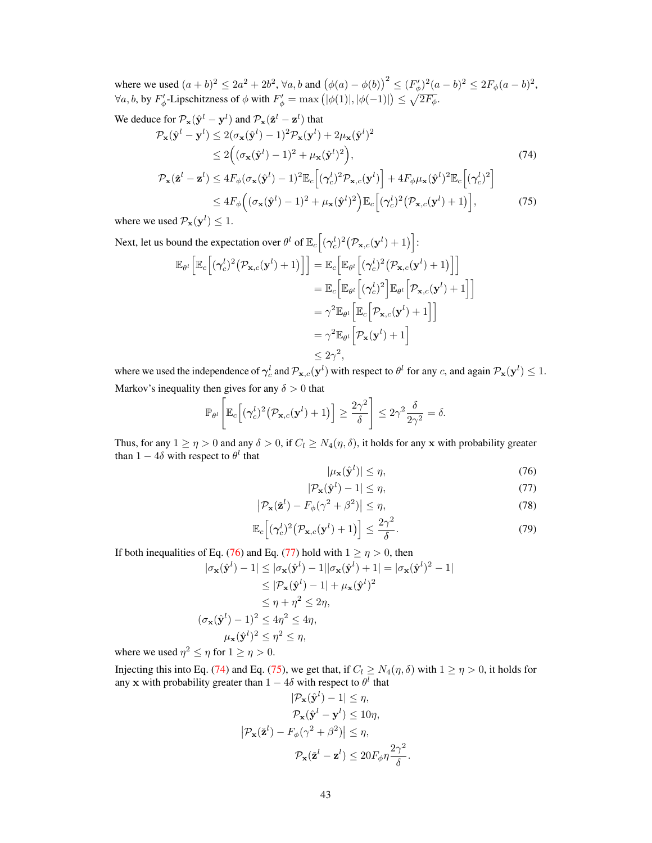where we used  $(a + b)^2 \le 2a^2 + 2b^2$ ,  $\forall a, b$  and  $(\phi(a) - \phi(b))^2 \le (F'_{\phi})^2 (a - b)^2 \le 2F_{\phi}(a - b)^2$ ,  $\forall a, b$ , by  $F'_\phi$ -Lipschitzness of  $\phi$  with  $F'_\phi = \max\left(|\phi(1)|, |\phi(-1)|\right) \leq \sqrt{2F_\phi}$ .

We deduce for  $\mathcal{P}_{\mathbf{x}}(\hat{\mathbf{y}}^l - \mathbf{y}^l)$  and  $\mathcal{P}_{\mathbf{x}}(\check{\mathbf{z}}^l - \mathbf{z}^l)$  that

<span id="page-25-2"></span>
$$
\mathcal{P}_{\mathbf{x}}(\hat{\mathbf{y}}^{l} - \mathbf{y}^{l}) \le 2(\sigma_{\mathbf{x}}(\hat{\mathbf{y}}^{l}) - 1)^{2} \mathcal{P}_{\mathbf{x}}(\mathbf{y}^{l}) + 2\mu_{\mathbf{x}}(\hat{\mathbf{y}}^{l})^{2}
$$
\n
$$
\le 2((\sigma_{\mathbf{x}}(\hat{\mathbf{y}}^{l}) - 1)^{2} + \mu_{\mathbf{x}}(\hat{\mathbf{y}}^{l})^{2}),
$$
\n
$$
\mathcal{P}_{\mathbf{x}}(\check{\mathbf{z}}^{l} - \mathbf{z}^{l}) \le 4F_{\phi}(\sigma_{\mathbf{x}}(\hat{\mathbf{y}}^{l}) - 1)^{2} \mathbb{E}_{c}[(\gamma_{c}^{l})^{2} \mathcal{P}_{\mathbf{x},c}(\mathbf{y}^{l})] + 4F_{\phi}\mu_{\mathbf{x}}(\hat{\mathbf{y}}^{l})^{2} \mathbb{E}_{c}[(\gamma_{c}^{l})^{2}]
$$
\n
$$
\le 4F_{\phi}\Big((\sigma_{\mathbf{x}}(\hat{\mathbf{y}}^{l}) - 1)^{2} + \mu_{\mathbf{x}}(\hat{\mathbf{y}}^{l})^{2}\Big) \mathbb{E}_{c}[(\gamma_{c}^{l})^{2} (\mathcal{P}_{\mathbf{x},c}(\mathbf{y}^{l}) + 1)], \qquad (75)
$$

where we used  $\mathcal{P}_{\mathbf{x}}(\mathbf{y}^l) \leq 1$ .

Next, let us bound the expectation over  $\theta^l$  of  $\mathbb{E}_c \left[ (\gamma_c^l)^2 (\mathcal{P}_{\mathbf{x},c}(\mathbf{y}^l)+1) \right]$ :  $\mathbb{E}_{\theta^l}\Big[\mathbb{E}_c\Big[\big(\boldsymbol{\gamma}_c^l)^2\big(\mathcal{P}_{\mathbf{x},c}(\mathbf{y}^l)+1\big)\Big]\Big]=\mathbb{E}_c\Big[\mathbb{E}_{\theta^l}\Big[\big(\boldsymbol{\gamma}_c^l)^2\big(\mathcal{P}_{\mathbf{x},c}(\mathbf{y}^l)+1\big)\Big]\Big]$  $=\mathbb{E}_c\Big[\mathbb{E}_{\theta^l}\Big[(\boldsymbol{\gamma}_c^l)^2\Big]\mathbb{E}_{\theta^l}\Big[\mathcal{P}_{\mathbf{x},c}(\mathbf{y}^l)+1\Big]\Big]$  $= \gamma^2 \mathbb{E}_{\theta^l} \left[ \mathbb{E}_c \left[ \mathcal{P}_{\mathbf{x},c}(\mathbf{y}^l) + 1 \right] \right]$  $= \gamma^2 \mathbb{E}_{\theta^l} \left[ \mathcal{P}_{\mathbf{x}}(\mathbf{y}^l)+1 \right]$  $\leq 2\gamma^2$ ,

where we used the independence of  $\gamma_c^l$  and  $\mathcal{P}_{\mathbf{x},c}(\mathbf{y}^l)$  with respect to  $\theta^l$  for any c, and again  $\mathcal{P}_{\mathbf{x}}(\mathbf{y}^l) \leq 1$ . Markov's inequality then gives for any  $\delta > 0$  that

$$
\mathbb{P}_{\theta^l}\Bigg[\mathbb{E}_c\Big[(\gamma_c^l)^2(\mathcal{P}_{\mathbf{x},c}(\mathbf{y}^l)+1)\Big]\geq \frac{2\gamma^2}{\delta}\Bigg]\leq 2\gamma^2\frac{\delta}{2\gamma^2}=\delta.
$$

Thus, for any  $1 \ge \eta > 0$  and any  $\delta > 0$ , if  $C_l \ge N_4(\eta, \delta)$ , it holds for any x with probability greater than  $1 - 4\delta$  with respect to  $\theta^l$  that

<span id="page-25-3"></span><span id="page-25-1"></span><span id="page-25-0"></span>
$$
|\mu_{\mathbf{x}}(\hat{\mathbf{y}}^l)| \le \eta,\tag{76}
$$

$$
|\mathcal{P}_{\mathbf{x}}(\hat{\mathbf{y}}^l) - 1| \le \eta,\tag{77}
$$

$$
\left|\mathcal{P}_{\mathbf{x}}(\check{\mathbf{z}}^l) - F_{\phi}(\gamma^2 + \beta^2)\right| \le \eta,\tag{78}
$$

$$
\mathbb{E}_c\Big[(\gamma_c^l)^2 \big(\mathcal{P}_{\mathbf{x},c}(\mathbf{y}^l)+1\big)\Big] \le \frac{2\gamma^2}{\delta}.\tag{79}
$$

If both inequalities of Eq. [\(76\)](#page-25-0) and Eq. [\(77\)](#page-25-1) hold with  $1 \ge \eta > 0$ , then

$$
|\sigma_{\mathbf{x}}(\hat{\mathbf{y}}^{l}) - 1| \leq |\sigma_{\mathbf{x}}(\hat{\mathbf{y}}^{l}) - 1| |\sigma_{\mathbf{x}}(\hat{\mathbf{y}}^{l}) + 1| = |\sigma_{\mathbf{x}}(\hat{\mathbf{y}}^{l})^{2} - 1|
$$
  
\n
$$
\leq |\mathcal{P}_{\mathbf{x}}(\hat{\mathbf{y}}^{l}) - 1| + \mu_{\mathbf{x}}(\hat{\mathbf{y}}^{l})^{2}
$$
  
\n
$$
\leq \eta + \eta^{2} \leq 2\eta,
$$
  
\n
$$
(\sigma_{\mathbf{x}}(\hat{\mathbf{y}}^{l}) - 1)^{2} \leq 4\eta^{2} \leq 4\eta,
$$
  
\n
$$
\mu_{\mathbf{x}}(\hat{\mathbf{y}}^{l})^{2} \leq \eta^{2} \leq \eta,
$$

where we used  $\eta^2 \leq \eta$  for  $1 \geq \eta > 0$ .

Injecting this into Eq. [\(74\)](#page-25-2) and Eq. [\(75\)](#page-25-3), we get that, if  $C_l \geq N_4(\eta, \delta)$  with  $1 \geq \eta > 0$ , it holds for any x with probability greater than  $1 - 4\delta$  with respect to  $\theta^l$  that

$$
|\mathcal{P}_{\mathbf{x}}(\hat{\mathbf{y}}^l) - 1| \le \eta,
$$
  
\n
$$
\mathcal{P}_{\mathbf{x}}(\hat{\mathbf{y}}^l - \mathbf{y}^l) \le 10\eta,
$$
  
\n
$$
|\mathcal{P}_{\mathbf{x}}(\tilde{\mathbf{z}}^l) - F_{\phi}(\gamma^2 + \beta^2)| \le \eta,
$$
  
\n
$$
\mathcal{P}_{\mathbf{x}}(\tilde{\mathbf{z}}^l - \mathbf{z}^l) \le 20F_{\phi}\eta \frac{2\gamma^2}{\delta}.
$$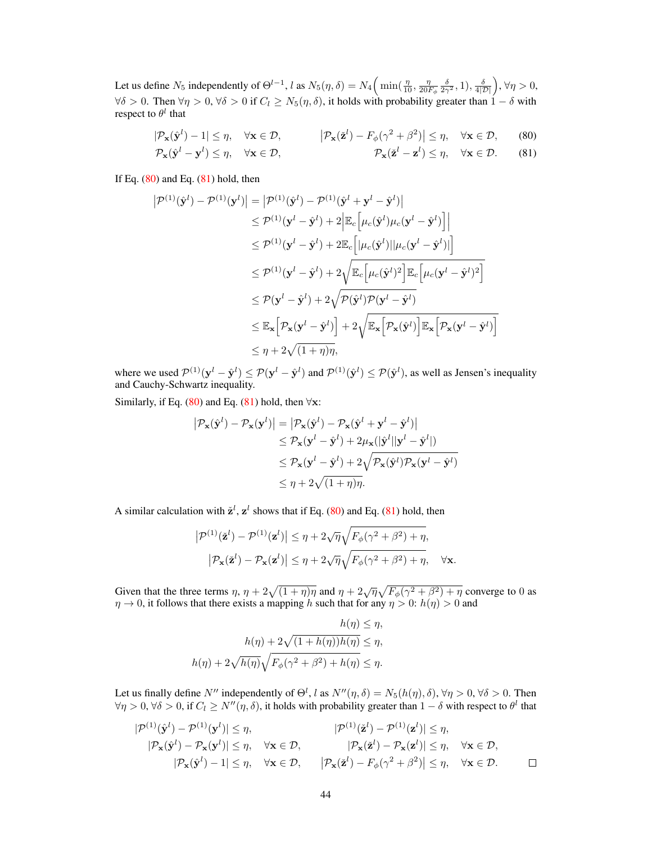Let us define  $N_5$  independently of  $\Theta^{l-1}$ , l as  $N_5(\eta, \delta) = N_4\left(\min(\frac{\eta}{10}, \frac{\eta}{20F_\phi} \frac{\delta}{2\gamma^2}, 1), \frac{\delta}{4|\mathcal{D}|}\right), \forall \eta > 0$ ,  $\forall \delta > 0$ . Then  $\forall \eta > 0$ ,  $\forall \delta > 0$  if  $C_l \geq N_5(\eta, \delta)$ , it holds with probability greater than  $1 - \delta$  with respect to  $\theta^l$  that

<span id="page-26-1"></span><span id="page-26-0"></span>
$$
|\mathcal{P}_{\mathbf{x}}(\hat{\mathbf{y}}^l) - 1| \le \eta, \quad \forall \mathbf{x} \in \mathcal{D}, \qquad |\mathcal{P}_{\mathbf{x}}(\check{\mathbf{z}}^l) - F_{\phi}(\gamma^2 + \beta^2)| \le \eta, \quad \forall \mathbf{x} \in \mathcal{D}, \qquad (80)
$$
  

$$
\mathcal{P}_{\mathbf{x}}(\hat{\mathbf{y}}^l - \mathbf{y}^l) \le \eta, \quad \forall \mathbf{x} \in \mathcal{D}, \qquad \mathcal{P}_{\mathbf{x}}(\check{\mathbf{z}}^l - \mathbf{z}^l) \le \eta, \quad \forall \mathbf{x} \in \mathcal{D}. \qquad (81)
$$

If Eq.  $(80)$  and Eq.  $(81)$  hold, then

$$
|\mathcal{P}^{(1)}(\hat{\mathbf{y}}^{l}) - \mathcal{P}^{(1)}(\mathbf{y}^{l})| = |\mathcal{P}^{(1)}(\hat{\mathbf{y}}^{l}) - \mathcal{P}^{(1)}(\hat{\mathbf{y}}^{l} + \mathbf{y}^{l} - \hat{\mathbf{y}}^{l})|
$$
  
\n
$$
\leq \mathcal{P}^{(1)}(\mathbf{y}^{l} - \hat{\mathbf{y}}^{l}) + 2 \Big| \mathbb{E}_{c} \Big[ \mu_{c}(\hat{\mathbf{y}}^{l}) \mu_{c}(\mathbf{y}^{l} - \hat{\mathbf{y}}^{l}) \Big] \Big|
$$
  
\n
$$
\leq \mathcal{P}^{(1)}(\mathbf{y}^{l} - \hat{\mathbf{y}}^{l}) + 2 \mathbb{E}_{c} \Big[ |\mu_{c}(\hat{\mathbf{y}}^{l})| |\mu_{c}(\mathbf{y}^{l} - \hat{\mathbf{y}}^{l})| \Big]
$$
  
\n
$$
\leq \mathcal{P}^{(1)}(\mathbf{y}^{l} - \hat{\mathbf{y}}^{l}) + 2 \sqrt{\mathbb{E}_{c} \Big[ \mu_{c}(\hat{\mathbf{y}}^{l})^{2} \Big] \mathbb{E}_{c} \Big[ \mu_{c}(\mathbf{y}^{l} - \hat{\mathbf{y}}^{l})^{2} \Big]}
$$
  
\n
$$
\leq \mathcal{P}(\mathbf{y}^{l} - \hat{\mathbf{y}}^{l}) + 2 \sqrt{\mathcal{P}(\hat{\mathbf{y}}^{l}) \mathcal{P}(\mathbf{y}^{l} - \hat{\mathbf{y}}^{l})}
$$
  
\n
$$
\leq \mathbb{E}_{\mathbf{x}} \Big[ \mathcal{P}_{\mathbf{x}}(\mathbf{y}^{l} - \hat{\mathbf{y}}^{l}) \Big] + 2 \sqrt{\mathbb{E}_{\mathbf{x}} \Big[ \mathcal{P}_{\mathbf{x}}(\hat{\mathbf{y}}^{l}) \Big] \mathbb{E}_{\mathbf{x}} \Big[ \mathcal{P}_{\mathbf{x}}(\mathbf{y}^{l} - \hat{\mathbf{y}}^{l}) \Big]}
$$
  
\n
$$
\leq \eta + 2 \sqrt{(1 + \eta)\eta},
$$

where we used  $\mathcal{P}^{(1)}(\mathbf{y}^l - \hat{\mathbf{y}}^l) \le \mathcal{P}(\mathbf{y}^l - \hat{\mathbf{y}}^l)$  and  $\mathcal{P}^{(1)}(\hat{\mathbf{y}}^l) \le \mathcal{P}(\hat{\mathbf{y}}^l)$ , as well as Jensen's inequality and Cauchy-Schwartz inequality.

Similarly, if Eq. [\(80\)](#page-26-0) and Eq. [\(81\)](#page-26-1) hold, then  $\forall x$ :

$$
|\mathcal{P}_{\mathbf{x}}(\hat{\mathbf{y}}^{l}) - \mathcal{P}_{\mathbf{x}}(\mathbf{y}^{l})| = |\mathcal{P}_{\mathbf{x}}(\hat{\mathbf{y}}^{l}) - \mathcal{P}_{\mathbf{x}}(\hat{\mathbf{y}}^{l} + \mathbf{y}^{l} - \hat{\mathbf{y}}^{l})|
$$
  
\n
$$
\leq \mathcal{P}_{\mathbf{x}}(\mathbf{y}^{l} - \hat{\mathbf{y}}^{l}) + 2\mu_{\mathbf{x}}(|\hat{\mathbf{y}}^{l}||\mathbf{y}^{l} - \hat{\mathbf{y}}^{l}|)
$$
  
\n
$$
\leq \mathcal{P}_{\mathbf{x}}(\mathbf{y}^{l} - \hat{\mathbf{y}}^{l}) + 2\sqrt{\mathcal{P}_{\mathbf{x}}(\hat{\mathbf{y}}^{l})\mathcal{P}_{\mathbf{x}}(\mathbf{y}^{l} - \hat{\mathbf{y}}^{l})}
$$
  
\n
$$
\leq \eta + 2\sqrt{(1 + \eta)\eta}.
$$

A similar calculation with  $\check{\mathbf{z}}^l$ ,  $\mathbf{z}^l$  shows that if Eq. [\(80\)](#page-26-0) and Eq. [\(81\)](#page-26-1) hold, then

$$
\left| \mathcal{P}^{(1)}(\check{\mathbf{z}}^l) - \mathcal{P}^{(1)}(\mathbf{z}^l) \right| \leq \eta + 2\sqrt{\eta} \sqrt{F_{\phi}(\gamma^2 + \beta^2) + \eta},
$$
  

$$
\left| \mathcal{P}_{\mathbf{x}}(\check{\mathbf{z}}^l) - \mathcal{P}_{\mathbf{x}}(\mathbf{z}^l) \right| \leq \eta + 2\sqrt{\eta} \sqrt{F_{\phi}(\gamma^2 + \beta^2) + \eta}, \quad \forall \mathbf{x}.
$$

Given that the three terms  $\eta$ ,  $\eta + 2\sqrt{(1 + \eta)\eta}$  and  $\eta + 2\sqrt{\eta}\sqrt{F_\phi(\gamma^2 + \beta^2) + \eta}$  converge to 0 as  $\eta \to 0$ , it follows that there exists a mapping h such that for any  $\eta > 0$ :  $h(\eta) > 0$  and

$$
h(\eta) \leq \eta,
$$
  
\n
$$
h(\eta) + 2\sqrt{(1 + h(\eta))h(\eta)} \leq \eta,
$$
  
\n
$$
h(\eta) + 2\sqrt{h(\eta)}\sqrt{F_{\phi}(\gamma^2 + \beta^2) + h(\eta)} \leq \eta.
$$

Let us finally define N'' independently of  $\Theta^l$ , l as  $N''(\eta, \delta) = N_5(h(\eta), \delta)$ ,  $\forall \eta > 0$ ,  $\forall \delta > 0$ . Then  $\forall \eta > 0, \forall \delta > 0$ , if  $C_l \ge N''(\eta, \delta)$ , it holds with probability greater than  $1 - \delta$  with respect to  $\theta^l$  that

$$
|\mathcal{P}^{(1)}(\hat{\mathbf{y}}^l) - \mathcal{P}^{(1)}(\mathbf{y}^l)| \leq \eta, \qquad |\mathcal{P}^{(1)}(\check{\mathbf{z}}^l) - \mathcal{P}^{(1)}(\mathbf{z}^l)| \leq \eta, |\mathcal{P}_{\mathbf{x}}(\hat{\mathbf{y}}^l) - \mathcal{P}_{\mathbf{x}}(\mathbf{y}^l)| \leq \eta, \qquad \forall \mathbf{x} \in \mathcal{D}, \qquad |\mathcal{P}_{\mathbf{x}}(\check{\mathbf{z}}^l) - \mathcal{P}_{\mathbf{x}}(\mathbf{z}^l)| \leq \eta, \quad \forall \mathbf{x} \in \mathcal{D}, |\mathcal{P}_{\mathbf{x}}(\check{\mathbf{y}}^l) - 1| \leq \eta, \quad \forall \mathbf{x} \in \mathcal{D}, \qquad |\mathcal{P}_{\mathbf{x}}(\check{\mathbf{z}}^l) - F_{\phi}(\gamma^2 + \beta^2)| \leq \eta, \quad \forall \mathbf{x} \in \mathcal{D}.
$$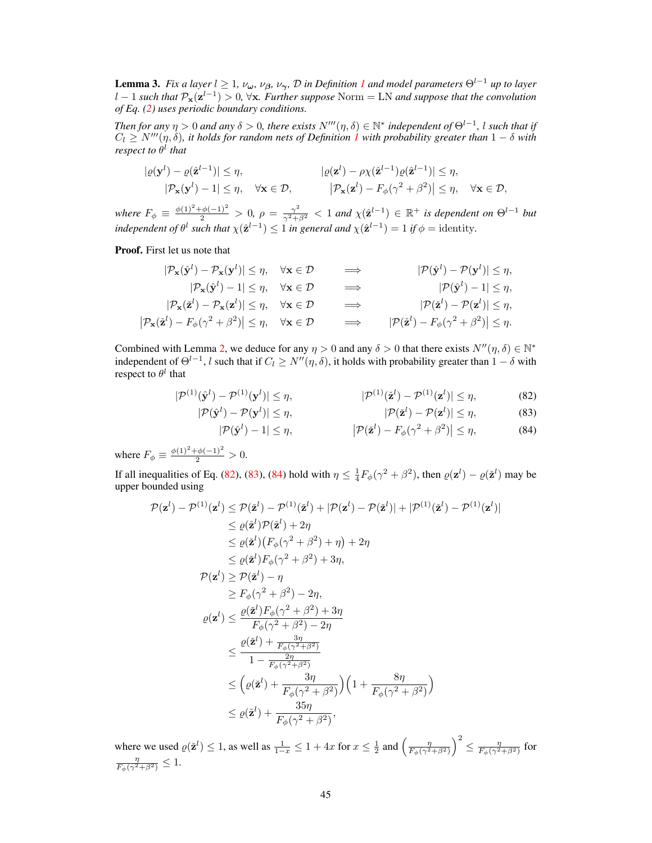<span id="page-27-3"></span>**Lemma 3.** *Fix a layer*  $l \geq 1$  $l \geq 1$ *,*  $\nu_{\omega}$ *,*  $\nu_{\beta}$ *,*  $\nu_{\gamma}$ *,*  $\mathcal{D}$  *<i>in Definition 1 and model parameters*  $\Theta^{l-1}$  *up to layer* l − 1 *such that* Px(z l−1 ) > 0*,* ∀x*. Further suppose* Norm = LN *and suppose that the convolution of Eq. [\(2\)](#page--1-18) uses periodic boundary conditions.*

*Then for any*  $\eta > 0$  *and any*  $\delta > 0$ , there exists  $N'''(\eta, \delta) \in \mathbb{N}^*$  independent of  $\Theta^{l-1}$ , l such that if  $C_l \ge N'''(\eta,\delta)$ , it holds for random nets of Definition  $1$  with probability greater than  $1-\delta$  with *respect to* θ l *that*

$$
\begin{aligned} |\varrho(\mathbf{y}^l) - \varrho(\hat{\mathbf{z}}^{l-1})| &\leq \eta, & |\varrho(\mathbf{z}^l) - \rho \chi(\hat{\mathbf{z}}^{l-1})\varrho(\hat{\mathbf{z}}^{l-1})| &\leq \eta, \\ |\mathcal{P}_{\mathbf{x}}(\mathbf{y}^l) - 1| &\leq \eta, & \forall \mathbf{x} \in \mathcal{D}, & |\mathcal{P}_{\mathbf{x}}(\mathbf{z}^l) - F_{\phi}(\gamma^2 + \beta^2)| &\leq \eta, \quad \forall \mathbf{x} \in \mathcal{D}, \end{aligned}
$$

*where*  $F_{\phi} \equiv \frac{\phi(1)^2 + \phi(-1)^2}{2} > 0$ ,  $\rho = \frac{\gamma^2}{\gamma^2 + \beta^2} < 1$  and  $\chi(\hat{\mathbf{z}}^{l-1}) \in \mathbb{R}^+$  *is dependent on*  $\Theta^{l-1}$  *but independent of*  $\theta^l$  *such that*  $\chi(\hat{\mathbf{z}}^{l-1}) \leq 1$  *in general and*  $\chi(\hat{\mathbf{z}}^{l-1}) = 1$  *if*  $\phi =$  identity.

Proof. First let us note that

 $\begin{array}{c} \hline \end{array}$ 

$$
|\mathcal{P}_{\mathbf{x}}(\hat{\mathbf{y}}^{l}) - \mathcal{P}_{\mathbf{x}}(\mathbf{y}^{l})| \leq \eta, \quad \forall \mathbf{x} \in \mathcal{D} \implies |\mathcal{P}(\hat{\mathbf{y}}^{l}) - \mathcal{P}(\mathbf{y}^{l})| \leq \eta, |\mathcal{P}_{\mathbf{x}}(\hat{\mathbf{y}}^{l}) - 1| \leq \eta, \quad \forall \mathbf{x} \in \mathcal{D} \implies |\mathcal{P}(\hat{\mathbf{y}}^{l}) - \mathcal{P}(\mathbf{y}^{l})| \leq \eta, |\mathcal{P}_{\mathbf{x}}(\hat{\mathbf{z}}^{l}) - \mathcal{P}_{\mathbf{x}}(\mathbf{z}^{l})| \leq \eta, \quad \forall \mathbf{x} \in \mathcal{D} \implies |\mathcal{P}(\hat{\mathbf{z}}^{l}) - \mathcal{P}(\mathbf{z}^{l})| \leq \eta, |\mathcal{P}_{\mathbf{x}}(\hat{\mathbf{z}}^{l}) - F_{\phi}(\gamma^{2} + \beta^{2})| \leq \eta, \quad \forall \mathbf{x} \in \mathcal{D} \implies |\mathcal{P}(\hat{\mathbf{z}}^{l}) - F_{\phi}(\gamma^{2} + \beta^{2})| \leq \eta.
$$

Combined with Lemma [2,](#page-24-3) we deduce for any  $\eta > 0$  and any  $\delta > 0$  that there exists  $N''(\eta, \delta) \in \mathbb{N}^*$ independent of  $\Theta^{l-1}$ , l such that if  $C_l \geq N''(\eta, \delta)$ , it holds with probability greater than  $1 - \delta$  with respect to  $\theta^l$  that

$$
|\mathcal{P}^{(1)}(\hat{\mathbf{y}}^l) - \mathcal{P}^{(1)}(\mathbf{y}^l)| \le \eta, \qquad |\mathcal{P}^{(1)}(\check{\mathbf{z}}^l) - \mathcal{P}^{(1)}(\mathbf{z}^l)| \le \eta, \qquad (82)
$$

<span id="page-27-2"></span><span id="page-27-1"></span><span id="page-27-0"></span>
$$
|\mathcal{P}(\check{\mathbf{z}}^l) - \mathcal{P}(\mathbf{z}^l)| \le \eta,\tag{83}
$$

$$
|\mathcal{P}(\hat{\mathbf{y}}^l) - 1| \le \eta, \qquad |\mathcal{P}(\check{\mathbf{z}}^l) - F_{\phi}(\gamma^2 + \beta^2)| \le \eta, \qquad (84)
$$

where  $F_{\phi} \equiv \frac{\phi(1)^2 + \phi(-1)^2}{2} > 0$ .

 $|\mathcal{P}(\hat{\mathbf{y}}^l)-\mathcal{P}(\mathbf{y}^l)|$ 

If all inequalities of Eq. [\(82\)](#page-27-0), [\(83\)](#page-27-1), [\(84\)](#page-27-2) hold with  $\eta \leq \frac{1}{4}F_{\phi}(\gamma^2 + \beta^2)$ , then  $\varrho(\mathbf{z}^l) - \varrho(\mathbf{z}^l)$  may be upper bounded using

$$
\mathcal{P}(\mathbf{z}^{l}) - \mathcal{P}^{(1)}(\mathbf{z}^{l}) \leq \mathcal{P}(\check{\mathbf{z}}^{l}) - \mathcal{P}^{(1)}(\check{\mathbf{z}}^{l}) + |\mathcal{P}(\mathbf{z}^{l}) - \mathcal{P}(\check{\mathbf{z}}^{l})| + |\mathcal{P}^{(1)}(\check{\mathbf{z}}^{l}) - \mathcal{P}^{(1)}(\mathbf{z}^{l})|
$$
\n
$$
\leq \varrho(\check{\mathbf{z}}^{l})\mathcal{P}(\check{\mathbf{z}}^{l}) + 2\eta
$$
\n
$$
\leq \varrho(\check{\mathbf{z}}^{l})\left(F_{\phi}(\gamma^{2} + \beta^{2}) + \eta\right) + 2\eta
$$
\n
$$
\leq \varrho(\check{\mathbf{z}}^{l})F_{\phi}(\gamma^{2} + \beta^{2}) + 3\eta,
$$
\n
$$
\mathcal{P}(\mathbf{z}^{l}) \geq \mathcal{P}(\check{\mathbf{z}}^{l}) - \eta
$$
\n
$$
\geq F_{\phi}(\gamma^{2} + \beta^{2}) - 2\eta,
$$
\n
$$
\varrho(\mathbf{z}^{l}) \leq \frac{\varrho(\check{\mathbf{z}}^{l})F_{\phi}(\gamma^{2} + \beta^{2}) + 3\eta}{F_{\phi}(\gamma^{2} + \beta^{2}) - 2\eta}
$$
\n
$$
\leq \frac{\varrho(\check{\mathbf{z}}^{l}) + \frac{3\eta}{F_{\phi}(\gamma^{2} + \beta^{2})}}{1 - \frac{2\eta}{F_{\phi}(\gamma^{2} + \beta^{2})}}
$$
\n
$$
\leq \left(\varrho(\check{\mathbf{z}}^{l}) + \frac{3\eta}{F_{\phi}(\gamma^{2} + \beta^{2})}\right)\left(1 + \frac{8\eta}{F_{\phi}(\gamma^{2} + \beta^{2})}\right)
$$
\n
$$
\leq \varrho(\check{\mathbf{z}}^{l}) + \frac{35\eta}{F_{\phi}(\gamma^{2} + \beta^{2})},
$$

where we used  $\varrho(\check{z}^l) \leq 1$ , as well as  $\frac{1}{1-x} \leq 1 + 4x$  for  $x \leq \frac{1}{2}$  and  $\left(\frac{\eta}{F_{\phi}(\gamma^2 + \beta^2)}\right)$  $\setminus^2$  $\leq \frac{\eta}{F_{\phi}(\gamma^2+\beta^2)}$  for  $\frac{\eta}{F_{\phi}(\gamma^2+\beta^2)} \leq 1.$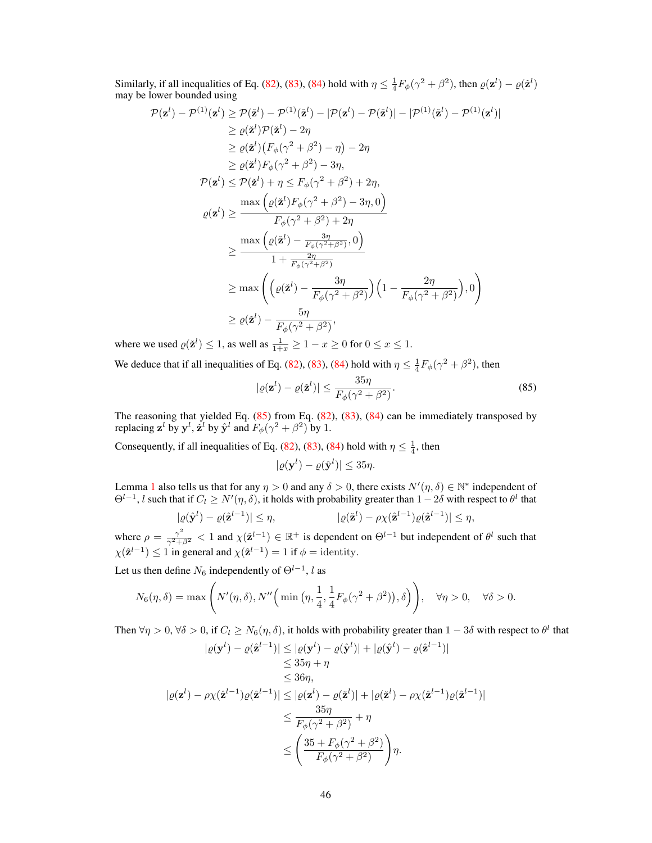Similarly, if all inequalities of Eq. [\(82\)](#page-27-0), [\(83\)](#page-27-1), [\(84\)](#page-27-2) hold with  $\eta \leq \frac{1}{4}F_{\phi}(\gamma^2 + \beta^2)$ , then  $\varrho(\mathbf{z}^l) - \varrho(\mathbf{z}^l)$ may be lower bounded using

$$
(\mathbf{z}^{l}) - \mathcal{P}^{(1)}(\mathbf{z}^{l}) \geq \mathcal{P}(\tilde{\mathbf{z}}^{l}) - \mathcal{P}^{(1)}(\tilde{\mathbf{z}}^{l}) - |\mathcal{P}(\mathbf{z}^{l}) - \mathcal{P}(\tilde{\mathbf{z}}^{l})| - |\mathcal{P}^{(1)}(\tilde{\mathbf{z}}^{l}) - \mathcal{P}^{(1)}(\mathbf{z}^{l})|
$$
  
\n
$$
\geq \varrho(\tilde{\mathbf{z}}^{l})\mathcal{P}(\tilde{\mathbf{z}}^{l}) - 2\eta
$$
  
\n
$$
\geq \varrho(\tilde{\mathbf{z}}^{l})\left(F_{\phi}(\gamma^{2} + \beta^{2}) - \eta\right) - 2\eta
$$
  
\n
$$
\geq \varrho(\tilde{\mathbf{z}}^{l})F_{\phi}(\gamma^{2} + \beta^{2}) - 3\eta,
$$
  
\n
$$
\mathcal{P}(\mathbf{z}^{l}) \leq \mathcal{P}(\tilde{\mathbf{z}}^{l}) + \eta \leq F_{\phi}(\gamma^{2} + \beta^{2}) + 2\eta,
$$
  
\n
$$
\varrho(\mathbf{z}^{l}) \geq \frac{\max\left(\varrho(\tilde{\mathbf{z}}^{l})F_{\phi}(\gamma^{2} + \beta^{2}) - 3\eta, 0\right)}{F_{\phi}(\gamma^{2} + \beta^{2}) + 2\eta}
$$
  
\n
$$
\geq \frac{\max\left(\varrho(\tilde{\mathbf{z}}^{l}) - \frac{3\eta}{F_{\phi}(\gamma^{2} + \beta^{2})}, 0\right)}{1 + \frac{2\eta}{F_{\phi}(\gamma^{2} + \beta^{2})}}
$$
  
\n
$$
\geq \max\left(\left(\varrho(\tilde{\mathbf{z}}^{l}) - \frac{3\eta}{F_{\phi}(\gamma^{2} + \beta^{2})}\right)\left(1 - \frac{2\eta}{F_{\phi}(\gamma^{2} + \beta^{2})}\right), 0\right)
$$
  
\n
$$
\geq \varrho(\tilde{\mathbf{z}}^{l}) - \frac{5\eta}{F_{\phi}(\gamma^{2} + \beta^{2})},
$$

where we used  $\varrho(\check{\mathbf{z}}^l) \leq 1$ , as well as  $\frac{1}{1+x} \geq 1 - x \geq 0$  for  $0 \leq x \leq 1$ .

 $\mathcal{P}$ 

We deduce that if all inequalities of Eq. [\(82\)](#page-27-0), [\(83\)](#page-27-1), [\(84\)](#page-27-2) hold with  $\eta \leq \frac{1}{4}F_{\phi}(\gamma^2 + \beta^2)$ , then

$$
|\varrho(\mathbf{z}^l) - \varrho(\check{\mathbf{z}}^l)| \le \frac{35\eta}{F_{\phi}(\gamma^2 + \beta^2)}.
$$
\n(85)

The reasoning that yielded Eq.  $(85)$  from Eq.  $(82)$ ,  $(83)$ ,  $(84)$  can be immediately transposed by replacing  $\mathbf{z}^l$  by  $\mathbf{y}^l$ ,  $\dot{\mathbf{z}}^l$  by  $\hat{\mathbf{y}}^l$  and  $F_{\phi}(\gamma^2 + \beta^2)$  by 1.

Consequently, if all inequalities of Eq. [\(82\)](#page-27-0), [\(83\)](#page-27-1), [\(84\)](#page-27-2) hold with  $\eta \leq \frac{1}{4}$ , then

<span id="page-28-0"></span>
$$
|\varrho(\mathbf{y}^l) - \varrho(\hat{\mathbf{y}}^l)| \le 35\eta.
$$

Lemma [1](#page-16-4) also tells us that for any  $\eta > 0$  and any  $\delta > 0$ , there exists  $N'(\eta, \delta) \in \mathbb{N}^*$  independent of  $\Theta^{l-1}$ , l such that if  $C_l \ge N'(\eta, \delta)$ , it holds with probability greater than  $1-2\delta$  with respect to  $\theta^l$  that

$$
|\varrho(\hat{\mathbf{y}}^l) - \varrho(\hat{\mathbf{z}}^{l-1})| \le \eta, \qquad |\varrho(\check{\mathbf{z}}^l) - \rho \chi(\hat{\mathbf{z}}^{l-1})\varrho(\hat{\mathbf{z}}^{l-1})| \le \eta,
$$

where  $\rho = \frac{\gamma^2}{\gamma^2 + \beta^2} < 1$  and  $\chi(\hat{\mathbf{z}}^{l-1}) \in \mathbb{R}^+$  is dependent on  $\Theta^{l-1}$  but independent of  $\theta^l$  such that  $\chi(\hat{\mathbf{z}}^{l-1}) \leq 1$  in general and  $\chi(\hat{\mathbf{z}}^{l-1}) = 1$  if  $\phi = \text{identity}$ .

Let us then define  $N_6$  independently of  $\Theta^{l-1}$ , l as

$$
N_6(\eta, \delta) = \max\left(N'(\eta, \delta), N''\Big(\min\big(\eta, \frac{1}{4}, \frac{1}{4}F_\phi(\gamma^2 + \beta^2)\big), \delta\Big)\right), \quad \forall \eta > 0, \quad \forall \delta > 0.
$$

Then  $\forall \eta > 0$ ,  $\forall \delta > 0$ , if  $C_l \ge N_6(\eta, \delta)$ , it holds with probability greater than  $1 - 3\delta$  with respect to  $\theta^l$  that

$$
|\varrho(\mathbf{y}^{l}) - \varrho(\hat{\mathbf{z}}^{l-1})| \leq |\varrho(\mathbf{y}^{l}) - \varrho(\hat{\mathbf{y}}^{l})| + |\varrho(\hat{\mathbf{y}}^{l}) - \varrho(\hat{\mathbf{z}}^{l-1})|
$$
  
\n
$$
\leq 35\eta + \eta
$$
  
\n
$$
\leq 36\eta,
$$
  
\n
$$
|\varrho(\mathbf{z}^{l}) - \rho\chi(\hat{\mathbf{z}}^{l-1})\varrho(\hat{\mathbf{z}}^{l-1})| \leq |\varrho(\mathbf{z}^{l}) - \varrho(\check{\mathbf{z}}^{l})| + |\varrho(\check{\mathbf{z}}^{l}) - \rho\chi(\hat{\mathbf{z}}^{l-1})\varrho(\hat{\mathbf{z}}^{l-1})|
$$
  
\n
$$
\leq \frac{35\eta}{F_{\phi}(\gamma^{2} + \beta^{2})} + \eta
$$
  
\n
$$
\leq \left(\frac{35 + F_{\phi}(\gamma^{2} + \beta^{2})}{F_{\phi}(\gamma^{2} + \beta^{2})}\right)\eta.
$$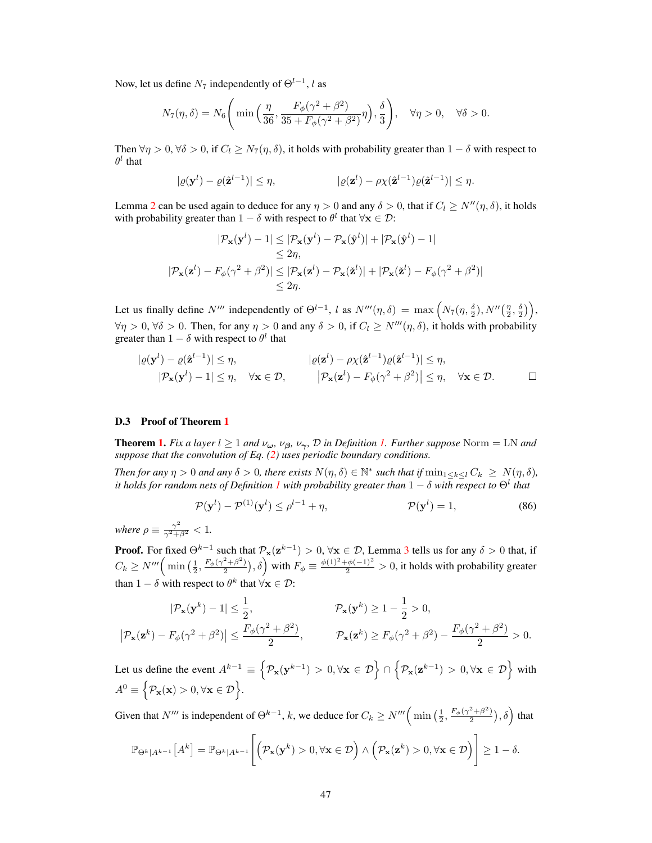Now, let us define  $N_7$  independently of  $\Theta^{l-1}$ , l as

$$
N_7(\eta, \delta) = N_6 \left( \min \left( \frac{\eta}{36}, \frac{F_{\phi}(\gamma^2 + \beta^2)}{35 + F_{\phi}(\gamma^2 + \beta^2)} \eta \right), \frac{\delta}{3} \right), \quad \forall \eta > 0, \quad \forall \delta > 0.
$$

Then  $\forall \eta > 0$ ,  $\forall \delta > 0$ , if  $C_l \geq N_7(\eta, \delta)$ , it holds with probability greater than  $1 - \delta$  with respect to  $\theta^l$  that

$$
|\varrho(\mathbf{y}^l) - \varrho(\hat{\mathbf{z}}^{l-1})| \leq \eta, \qquad |\varrho(\mathbf{z}^l) - \rho \chi(\hat{\mathbf{z}}^{l-1})\varrho(\hat{\mathbf{z}}^{l-1})| \leq \eta.
$$

Lemma [2](#page-24-3) can be used again to deduce for any  $\eta > 0$  and any  $\delta > 0$ , that if  $C_l \ge N''(\eta, \delta)$ , it holds with probability greater than  $1 - \delta$  with respect to  $\theta^l$  that  $\forall \mathbf{x} \in \mathcal{D}$ :

$$
|\mathcal{P}_{\mathbf{x}}(\mathbf{y}^{l}) - 1| \leq |\mathcal{P}_{\mathbf{x}}(\mathbf{y}^{l}) - \mathcal{P}_{\mathbf{x}}(\hat{\mathbf{y}}^{l})| + |\mathcal{P}_{\mathbf{x}}(\hat{\mathbf{y}}^{l}) - 1|
$$
  
\n
$$
\leq 2\eta,
$$
  
\n
$$
|\mathcal{P}_{\mathbf{x}}(\mathbf{z}^{l}) - F_{\phi}(\gamma^{2} + \beta^{2})| \leq |\mathcal{P}_{\mathbf{x}}(\mathbf{z}^{l}) - \mathcal{P}_{\mathbf{x}}(\mathbf{z}^{l})| + |\mathcal{P}_{\mathbf{x}}(\mathbf{z}^{l}) - F_{\phi}(\gamma^{2} + \beta^{2})|
$$
  
\n
$$
\leq 2\eta.
$$

Let us finally define  $N'''$  independently of  $\Theta^{l-1}$ , l as  $N'''(\eta, \delta) = \max \left( N_7(\eta, \frac{\delta}{2}), N''(\frac{\eta}{2}, \frac{\delta}{2}) \right)$ ,  $\forall \eta > 0, \forall \delta > 0$ . Then, for any  $\eta > 0$  and any  $\delta > 0$ , if  $C_l \geq N'''(\eta, \delta)$ , it holds with probability greater than  $1 - \delta$  with respect to  $\theta^l$  that

$$
|\varrho(\mathbf{y}^l) - \varrho(\hat{\mathbf{z}}^{l-1})| \leq \eta, \qquad |\varrho(\mathbf{z}^l) - \varrho \chi(\hat{\mathbf{z}}^{l-1})\varrho(\hat{\mathbf{z}}^{l-1})| \leq \eta, |\mathcal{P}_{\mathbf{x}}(\mathbf{y}^l) - 1| \leq \eta, \quad \forall \mathbf{x} \in \mathcal{D}, \qquad |\mathcal{P}_{\mathbf{x}}(\mathbf{z}^l) - F_{\phi}(\gamma^2 + \beta^2)| \leq \eta, \quad \forall \mathbf{x} \in \mathcal{D}.
$$

### D.3 Proof of Theorem [1](#page--1-22)

**Theorem [1.](#page--1-17)** *Fix a layer*  $l \geq 1$  *and*  $\nu_{\omega}$ *,*  $\nu_{\beta}$ *,*  $\nu_{\gamma}$ *,*  $\mathcal{D}$  *in Definition 1. Further suppose* Norm = LN *and suppose that the convolution of Eq. [\(2\)](#page--1-18) uses periodic boundary conditions.*

*Then for any*  $\eta > 0$  *and any*  $\delta > 0$ *, there exists*  $N(\eta, \delta) \in \mathbb{N}^*$  *such that if*  $\min_{1 \leq k \leq l} C_k \geq N(\eta, \delta)$ *,* it holds for random nets of Definition  $1$  with probability greater than  $1-\delta$  with respect to  $\Theta^l$  that

$$
\mathcal{P}(\mathbf{y}^l) - \mathcal{P}^{(1)}(\mathbf{y}^l) \le \rho^{l-1} + \eta, \qquad \mathcal{P}(\mathbf{y}^l) = 1,\tag{86}
$$

*where*  $\rho \equiv \frac{\gamma^2}{\gamma^2 + \beta^2} < 1$ .

**Proof.** For fixed  $\Theta^{k-1}$  such that  $\mathcal{P}_{\mathbf{x}}(\mathbf{z}^{k-1}) > 0$ ,  $\forall \mathbf{x} \in \mathcal{D}$ , Lemma [3](#page-27-3) tells us for any  $\delta > 0$  that, if  $C_k \ge N''' \left( \min\left( \frac{1}{2}, \frac{F_\phi(\gamma^2 + \beta^2)}{2} \right) \right)$  $(\frac{2+\beta^2}{2}), \delta$  with  $F_{\phi} \equiv \frac{\phi(1)^2 + \phi(-1)^2}{2} > 0$ , it holds with probability greater than  $1 - \delta$  with respect to  $\theta^k$  that  $\forall \mathbf{x} \in \mathcal{D}$ :

$$
|\mathcal{P}_{\mathbf{x}}(\mathbf{y}^k) - 1| \le \frac{1}{2}, \qquad \qquad \mathcal{P}_{\mathbf{x}}(\mathbf{y}^k) \ge 1 - \frac{1}{2} > 0,
$$
\n
$$
|\mathcal{P}_{\mathbf{x}}(\mathbf{z}^k) - F_{\phi}(\gamma^2 + \beta^2)| \le \frac{F_{\phi}(\gamma^2 + \beta^2)}{2}, \qquad \qquad \mathcal{P}_{\mathbf{x}}(\mathbf{z}^k) \ge F_{\phi}(\gamma^2 + \beta^2) - \frac{F_{\phi}(\gamma^2 + \beta^2)}{2} > 0.
$$

Let us define the event  $A^{k-1} \equiv \left\{ \mathcal{P}_{\mathbf{x}}(\mathbf{y}^{k-1}) > 0, \forall \mathbf{x} \in \mathcal{D} \right\} \cap$  $\left\{ \mathcal{P}_{\mathbf{x}}(\mathbf{z}^{k-1}) > 0, \forall \mathbf{x} \in \mathcal{D} \right\}$  with  $A^0 \equiv \{ \mathcal{P}_\mathbf{x}(\mathbf{x}) > 0, \forall \mathbf{x} \in \mathcal{D} \}.$ 

Given that N<sup>*m*</sup> is independent of  $\Theta^{k-1}$ , k, we deduce for  $C_k \ge N^m \left( \min\left(\frac{1}{2}, \frac{F_\phi(\gamma^2 + \beta^2)}{2}\right) \right)$  $\left(\frac{2+\beta^2}{2}\right), \delta$  that  $\sqrt{ }$ 1

$$
\mathbb{P}_{\Theta^k|A^{k-1}}\left[A^k\right] = \mathbb{P}_{\Theta^k|A^{k-1}}\left[\left(\mathcal{P}_{\mathbf{x}}(\mathbf{y}^k) > 0, \forall \mathbf{x} \in \mathcal{D}\right) \land \left(\mathcal{P}_{\mathbf{x}}(\mathbf{z}^k) > 0, \forall \mathbf{x} \in \mathcal{D}\right)\right] \ge 1 - \delta.
$$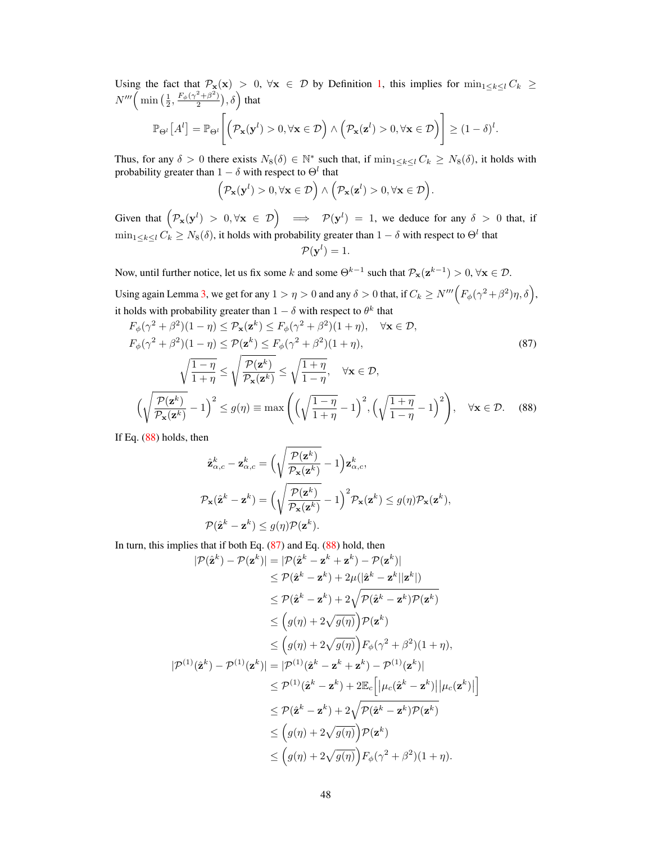Using the fact that  $\mathcal{P}_{\mathbf{x}}(\mathbf{x}) > 0$ ,  $\forall \mathbf{x} \in \mathcal{D}$  by Definition [1,](#page--1-17) this implies for  $\min_{1 \leq k \leq l} C_k \geq$  $N'''$  $\left( \min\left( \frac{1}{2}, \frac{F_{\phi}(\gamma^2 + \beta^2)}{2} \right) \right.$  $\left(\frac{2+\beta^2}{2}\right), \delta$  that

$$
\mathbb{P}_{\Theta^l}\left[A^l\right] = \mathbb{P}_{\Theta^l}\Bigg[\Big(\mathcal{P}_{\mathbf{x}}(\mathbf{y}^l) > 0, \forall \mathbf{x} \in \mathcal{D}\Big) \land \Big(\mathcal{P}_{\mathbf{x}}(\mathbf{z}^l) > 0, \forall \mathbf{x} \in \mathcal{D}\Big)\Bigg] \geq (1 - \delta)^l.
$$

Thus, for any  $\delta > 0$  there exists  $N_8(\delta) \in \mathbb{N}^*$  such that, if  $\min_{1 \leq k \leq l} C_k \geq N_8(\delta)$ , it holds with probability greater than  $1 - \delta$  with respect to  $\Theta^l$  that

<span id="page-30-1"></span>
$$
\Big(\mathcal{P}_{\mathbf{x}}(\mathbf{y}^l)>0,\forall \mathbf{x}\in\mathcal{D}\Big)\wedge\Big(\mathcal{P}_{\mathbf{x}}(\mathbf{z}^l)>0,\forall \mathbf{x}\in\mathcal{D}\Big).
$$

Given that  $\left(\mathcal{P}_{\mathbf{x}}(\mathbf{y}^l) > 0, \forall \mathbf{x} \in \mathcal{D}\right) \implies \mathcal{P}(\mathbf{y}^l) = 1$ , we deduce for any  $\delta > 0$  that, if  $\min_{1 \leq k \leq l} C_k \geq N_8(\delta)$ , it holds with probability greater than  $1 - \delta$  with respect to  $\Theta^l$  that  $\mathcal{P}(\mathbf{y}^l)=1.$ 

Now, until further notice, let us fix some k and some  $\Theta^{k-1}$  such that  $\mathcal{P}_{\mathbf{x}}(\mathbf{z}^{k-1}) > 0$ ,  $\forall \mathbf{x} \in \mathcal{D}$ .

Using again Lemma [3,](#page-27-3) we get for any  $1 > \eta > 0$  and any  $\delta > 0$  that, if  $C_k \ge N''' \Big( F_\phi(\gamma^2 + \beta^2) \eta, \delta \Big)$ , it holds with probability greater than  $1 - \delta$  with respect to  $\theta^k$  that

$$
F_{\phi}(\gamma^2 + \beta^2)(1 - \eta) \le \mathcal{P}_{\mathbf{x}}(\mathbf{z}^k) \le F_{\phi}(\gamma^2 + \beta^2)(1 + \eta), \quad \forall \mathbf{x} \in \mathcal{D},
$$
  
\n
$$
F_{\phi}(\gamma^2 + \beta^2)(1 - \eta) \le \mathcal{P}(\mathbf{z}^k) \le F_{\phi}(\gamma^2 + \beta^2)(1 + \eta),
$$
  
\n
$$
\sqrt{\frac{1 - \eta}{1 + \eta}} \le \sqrt{\frac{\mathcal{P}(\mathbf{z}^k)}{\mathcal{P}_{\mathbf{x}}(\mathbf{z}^k)}} \le \sqrt{\frac{1 + \eta}{1 - \eta}}, \quad \forall \mathbf{x} \in \mathcal{D},
$$
  
\n
$$
\left(\sqrt{\frac{\mathcal{P}(\mathbf{z}^k)}{\mathcal{P}_{\mathbf{x}}(\mathbf{z}^k)}} - 1\right)^2 \le g(\eta) \equiv \max\left(\left(\sqrt{\frac{1 - \eta}{1 + \eta}} - 1\right)^2, \left(\sqrt{\frac{1 + \eta}{1 - \eta}} - 1\right)^2\right), \quad \forall \mathbf{x} \in \mathcal{D}. \tag{88}
$$

If Eq. [\(88\)](#page-30-0) holds, then

<span id="page-30-0"></span>
$$
\hat{\mathbf{z}}_{\alpha,c}^{k} - \mathbf{z}_{\alpha,c}^{k} = \Big(\sqrt{\frac{\mathcal{P}(\mathbf{z}^{k})}{\mathcal{P}_{\mathbf{x}}(\mathbf{z}^{k})}} - 1\Big)\mathbf{z}_{\alpha,c}^{k},
$$
\n
$$
\mathcal{P}_{\mathbf{x}}(\hat{\mathbf{z}}^{k} - \mathbf{z}^{k}) = \Big(\sqrt{\frac{\mathcal{P}(\mathbf{z}^{k})}{\mathcal{P}_{\mathbf{x}}(\mathbf{z}^{k})}} - 1\Big)^{2} \mathcal{P}_{\mathbf{x}}(\mathbf{z}^{k}) \le g(\eta)\mathcal{P}_{\mathbf{x}}(\mathbf{z}^{k}),
$$
\n
$$
\mathcal{P}(\hat{\mathbf{z}}^{k} - \mathbf{z}^{k}) \le g(\eta)\mathcal{P}(\mathbf{z}^{k}).
$$

In turn, this implies that if both Eq.  $(87)$  and Eq.  $(88)$  hold, then

$$
|\mathcal{P}(\hat{\mathbf{z}}^{k}) - \mathcal{P}(\mathbf{z}^{k})| = |\mathcal{P}(\hat{\mathbf{z}}^{k} - \mathbf{z}^{k} + \mathbf{z}^{k}) - \mathcal{P}(\mathbf{z}^{k})|
$$
  
\n
$$
\leq \mathcal{P}(\hat{\mathbf{z}}^{k} - \mathbf{z}^{k}) + 2\mu(|\hat{\mathbf{z}}^{k} - \mathbf{z}^{k}||\mathbf{z}^{k}|)
$$
  
\n
$$
\leq \mathcal{P}(\hat{\mathbf{z}}^{k} - \mathbf{z}^{k}) + 2\sqrt{\mathcal{P}(\hat{\mathbf{z}}^{k} - \mathbf{z}^{k})\mathcal{P}(\mathbf{z}^{k})}
$$
  
\n
$$
\leq (g(\eta) + 2\sqrt{g(\eta)})\mathcal{P}(\mathbf{z}^{k})
$$
  
\n
$$
\leq (g(\eta) + 2\sqrt{g(\eta)})F_{\phi}(\gamma^{2} + \beta^{2})(1 + \eta),
$$
  
\n
$$
|\mathcal{P}^{(1)}(\hat{\mathbf{z}}^{k}) - \mathcal{P}^{(1)}(\mathbf{z}^{k})| = |\mathcal{P}^{(1)}(\hat{\mathbf{z}}^{k} - \mathbf{z}^{k} + \mathbf{z}^{k}) - \mathcal{P}^{(1)}(\mathbf{z}^{k})|
$$
  
\n
$$
\leq \mathcal{P}^{(1)}(\hat{\mathbf{z}}^{k} - \mathbf{z}^{k}) + 2\mathbb{E}_{c} [|\mu_{c}(\hat{\mathbf{z}}^{k} - \mathbf{z}^{k})| |\mu_{c}(\mathbf{z}^{k})|]
$$
  
\n
$$
\leq \mathcal{P}(\hat{\mathbf{z}}^{k} - \mathbf{z}^{k}) + 2\sqrt{\mathcal{P}(\hat{\mathbf{z}}^{k} - \mathbf{z}^{k})\mathcal{P}(\mathbf{z}^{k})}
$$
  
\n
$$
\leq (g(\eta) + 2\sqrt{g(\eta)})\mathcal{P}(\mathbf{z}^{k})
$$
  
\n
$$
\leq (g(\eta) + 2\sqrt{g(\eta)})\mathcal{F}_{\phi}(\gamma^{2} + \beta^{2})(1 + \eta).
$$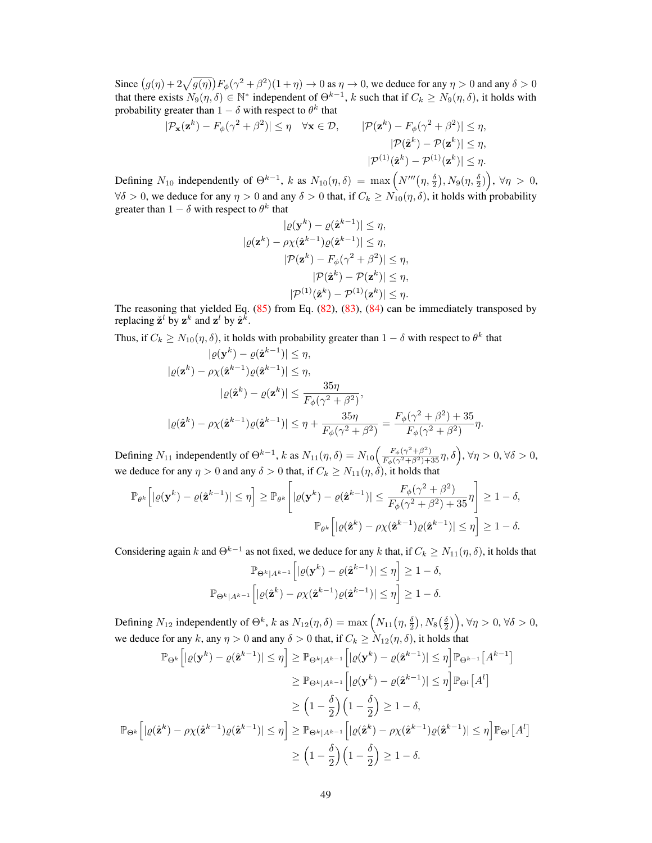Since  $(g(\eta) + 2\sqrt{g(\eta)}) F_{\phi}(\gamma^2 + \beta^2)(1 + \eta) \to 0$  as  $\eta \to 0$ , we deduce for any  $\eta > 0$  and any  $\delta > 0$ that there exists  $N_9(\eta, \delta) \in \mathbb{N}^*$  independent of  $\Theta^{k-1}$ , k such that if  $C_k \ge N_9(\eta, \delta)$ , it holds with probability greater than  $1 - \delta$  with respect to  $\theta^k$  that

$$
|\mathcal{P}_{\mathbf{x}}(\mathbf{z}^k) - F_{\phi}(\gamma^2 + \beta^2)| \le \eta \quad \forall \mathbf{x} \in \mathcal{D}, \qquad |\mathcal{P}(\mathbf{z}^k) - F_{\phi}(\gamma^2 + \beta^2)| \le \eta, |\mathcal{P}(\hat{\mathbf{z}}^k) - \mathcal{P}(\mathbf{z}^k)| \le \eta, |\mathcal{P}^{(1)}(\hat{\mathbf{z}}^k) - \mathcal{P}^{(1)}(\mathbf{z}^k)| \le \eta.
$$

Defining  $N_{10}$  independently of  $\Theta^{k-1}$ , k as  $N_{10}(\eta, \delta) = \max \left( N'''(\eta, \frac{\delta}{2}), N_9(\eta, \frac{\delta}{2}) \right)$ ,  $\forall \eta > 0$ ,  $\forall \delta > 0$ , we deduce for any  $\eta > 0$  and any  $\delta > 0$  that, if  $C_k \ge N_{10}(\eta, \delta)$ , it holds with probability greater than  $1 - \delta$  with respect to  $\theta^k$  that

$$
|\varrho(\mathbf{y}^k) - \varrho(\hat{\mathbf{z}}^{k-1})| \leq \eta,
$$
  
\n
$$
|\varrho(\mathbf{z}^k) - \rho \chi(\hat{\mathbf{z}}^{k-1})\varrho(\hat{\mathbf{z}}^{k-1})| \leq \eta,
$$
  
\n
$$
|\mathcal{P}(\mathbf{z}^k) - F_{\phi}(\gamma^2 + \beta^2)| \leq \eta,
$$
  
\n
$$
|\mathcal{P}(\hat{\mathbf{z}}^k) - \mathcal{P}(\mathbf{z}^k)| \leq \eta,
$$
  
\n
$$
|\mathcal{P}^{(1)}(\hat{\mathbf{z}}^k) - \mathcal{P}^{(1)}(\mathbf{z}^k)| \leq \eta.
$$

The reasoning that yielded Eq.  $(85)$  from Eq.  $(82)$ ,  $(83)$ ,  $(84)$  can be immediately transposed by replacing  $\check{\mathbf{z}}^l$  by  $\mathbf{z}^k$  and  $\mathbf{z}^l$  by  $\hat{\mathbf{z}}^{\bar{k}}$ .

Thus, if  $C_k \ge N_{10}(\eta, \delta)$ , it holds with probability greater than  $1 - \delta$  with respect to  $\theta^k$  that

$$
|\varrho(\mathbf{y}^k) - \varrho(\hat{\mathbf{z}}^{k-1})| \leq \eta,
$$
  
\n
$$
|\varrho(\mathbf{z}^k) - \rho \chi(\hat{\mathbf{z}}^{k-1})\varrho(\hat{\mathbf{z}}^{k-1})| \leq \eta,
$$
  
\n
$$
|\varrho(\hat{\mathbf{z}}^k) - \varrho(\mathbf{z}^k)| \leq \frac{35\eta}{F_{\phi}(\gamma^2 + \beta^2)},
$$
  
\n
$$
|\varrho(\hat{\mathbf{z}}^k) - \rho \chi(\hat{\mathbf{z}}^{k-1})\varrho(\hat{\mathbf{z}}^{k-1})| \leq \eta + \frac{35\eta}{F_{\phi}(\gamma^2 + \beta^2)} = \frac{F_{\phi}(\gamma^2 + \beta^2) + 35}{F_{\phi}(\gamma^2 + \beta^2)}\eta.
$$

Defining  $N_{11}$  independently of  $\Theta^{k-1}$ , k as  $N_{11}(\eta, \delta) = N_{10}\left(\frac{F_{\phi}(\gamma^2 + \beta^2)}{F_{\phi}(\gamma^2 + \beta^2) + 35}\eta, \delta\right)$ ,  $\forall \eta > 0$ ,  $\forall \delta > 0$ , we deduce for any  $\eta > 0$  and any  $\delta > 0$  that, if  $C_k \geq N_{11}(\eta, \delta)$ , it holds that

$$
\mathbb{P}_{\theta^k} \Big[ |\varrho(\mathbf{y}^k) - \varrho(\hat{\mathbf{z}}^{k-1})| \leq \eta \Big] \geq \mathbb{P}_{\theta^k} \Big[ |\varrho(\mathbf{y}^k) - \varrho(\hat{\mathbf{z}}^{k-1})| \leq \frac{F_{\phi}(\gamma^2 + \beta^2)}{F_{\phi}(\gamma^2 + \beta^2) + 35} \eta \Big] \geq 1 - \delta,
$$
  

$$
\mathbb{P}_{\theta^k} \Big[ |\varrho(\hat{\mathbf{z}}^k) - \rho \chi(\hat{\mathbf{z}}^{k-1}) \varrho(\hat{\mathbf{z}}^{k-1})| \leq \eta \Big] \geq 1 - \delta.
$$

Considering again k and  $\Theta^{k-1}$  as not fixed, we deduce for any k that, if  $C_k \ge N_{11}(\eta, \delta)$ , it holds that

$$
\mathbb{P}_{\Theta^k|A^{k-1}}\Big[|\varrho(\mathbf{y}^k) - \varrho(\hat{\mathbf{z}}^{k-1})| \le \eta\Big] \ge 1 - \delta,
$$
  

$$
\mathbb{P}_{\Theta^k|A^{k-1}}\Big[|\varrho(\hat{\mathbf{z}}^k) - \rho\chi(\hat{\mathbf{z}}^{k-1})\varrho(\hat{\mathbf{z}}^{k-1})| \le \eta\Big] \ge 1 - \delta.
$$

Defining  $N_{12}$  independently of  $\Theta^k$ , k as  $N_{12}(\eta, \delta) = \max\left(N_{11}(\eta, \frac{\delta}{2}), N_8(\frac{\delta}{2})\right)$ ,  $\forall \eta > 0$ ,  $\forall \delta > 0$ , we deduce for any k, any  $\eta > 0$  and any  $\delta > 0$  that, if  $C_k \ge N_{12}(\eta, \delta)$ , it holds that

$$
\mathbb{P}_{\Theta^k} \Big[ |\varrho(\mathbf{y}^k) - \varrho(\hat{\mathbf{z}}^{k-1})| \leq \eta \Big] \geq \mathbb{P}_{\Theta^k | A^{k-1}} \Big[ |\varrho(\mathbf{y}^k) - \varrho(\hat{\mathbf{z}}^{k-1})| \leq \eta \Big] \mathbb{P}_{\Theta^{k-1}} \Big[ A^{k-1} \Big] \n\geq \mathbb{P}_{\Theta^k | A^{k-1}} \Big[ |\varrho(\mathbf{y}^k) - \varrho(\hat{\mathbf{z}}^{k-1})| \leq \eta \Big] \mathbb{P}_{\Theta^l} \Big[ A^l \Big] \n\geq \Big( 1 - \frac{\delta}{2} \Big) \Big( 1 - \frac{\delta}{2} \Big) \geq 1 - \delta,
$$
\n
$$
\mathbb{P}_{\Theta^k} \Big[ |\varrho(\hat{\mathbf{z}}^k) - \rho \chi(\hat{\mathbf{z}}^{k-1}) \varrho(\hat{\mathbf{z}}^{k-1})| \leq \eta \Big] \geq \mathbb{P}_{\Theta^k | A^{k-1}} \Big[ |\varrho(\hat{\mathbf{z}}^k) - \rho \chi(\hat{\mathbf{z}}^{k-1}) \varrho(\hat{\mathbf{z}}^{k-1})| \leq \eta \Big] \mathbb{P}_{\Theta^l} \Big[ A^l \Big] \n\geq \Big( 1 - \frac{\delta}{2} \Big) \Big( 1 - \frac{\delta}{2} \Big) \geq 1 - \delta.
$$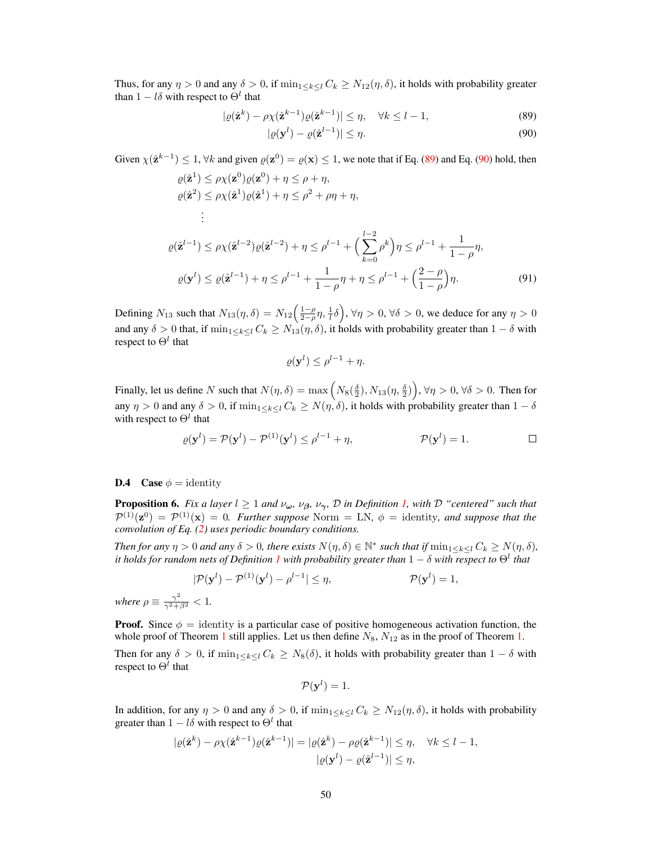Thus, for any  $\eta > 0$  and any  $\delta > 0$ , if  $\min_{1 \leq k \leq l} C_k \geq N_{12}(\eta, \delta)$ , it holds with probability greater than  $1 - l\delta$  with respect to  $\Theta^l$  that

$$
|\varrho(\hat{\mathbf{z}}^k) - \rho \chi(\hat{\mathbf{z}}^{k-1})\varrho(\hat{\mathbf{z}}^{k-1})| \le \eta, \quad \forall k \le l-1,
$$
\n(89)

<span id="page-32-1"></span><span id="page-32-0"></span>
$$
|\varrho(\mathbf{y}^l) - \varrho(\hat{\mathbf{z}}^{l-1})| \le \eta.
$$
\n(90)

Given  $\chi(\hat{\mathbf{z}}^{k-1}) \leq 1$ ,  $\forall k$  and given  $\varrho(\mathbf{z}^0) = \varrho(\mathbf{x}) \leq 1$ , we note that if Eq. [\(89\)](#page-32-0) and Eq. [\(90\)](#page-32-1) hold, then

$$
\rho(\hat{\mathbf{z}}^{1}) \leq \rho \chi(\mathbf{z}^{0}) \rho(\mathbf{z}^{0}) + \eta \leq \rho + \eta,
$$
  
\n
$$
\rho(\hat{\mathbf{z}}^{2}) \leq \rho \chi(\hat{\mathbf{z}}^{1}) \rho(\hat{\mathbf{z}}^{1}) + \eta \leq \rho^{2} + \rho \eta + \eta,
$$
  
\n
$$
\vdots
$$
  
\n
$$
\rho(\hat{\mathbf{z}}^{l-1}) \leq \rho \chi(\hat{\mathbf{z}}^{l-2}) \rho(\hat{\mathbf{z}}^{l-2}) + \eta \leq \rho^{l-1} + \left(\sum_{k=0}^{l-2} \rho^{k}\right) \eta \leq \rho^{l-1} + \frac{1}{1-\rho} \eta,
$$
  
\n
$$
\rho(\mathbf{y}^{l}) \leq \rho(\hat{\mathbf{z}}^{l-1}) + \eta \leq \rho^{l-1} + \frac{1}{1-\rho} \eta + \eta \leq \rho^{l-1} + \left(\frac{2-\rho}{1-\rho}\right) \eta.
$$
\n(91)

Defining  $N_{13}$  such that  $N_{13}(\eta, \delta) = N_{12} \left( \frac{1-\rho}{2-\rho} \eta, \frac{1}{\ell} \delta \right)$ ,  $\forall \eta > 0$ ,  $\forall \delta > 0$ , we deduce for any  $\eta > 0$ and any  $\delta > 0$  that, if  $\min_{1 \leq k \leq l} C_k \geq N_{13}(\eta, \delta)$ , it holds with probability greater than  $1 - \delta$  with respect to  $\Theta^l$  that

<span id="page-32-2"></span>
$$
\varrho(\mathbf{y}^l) \leq \rho^{l-1} + \eta.
$$

Finally, let us define N such that  $N(\eta, \delta) = \max\left(N_8(\frac{\delta}{2}), N_{13}(\eta, \frac{\delta}{2})\right)$ ,  $\forall \eta > 0$ ,  $\forall \delta > 0$ . Then for any  $\eta > 0$  and any  $\delta > 0$ , if  $\min_{1 \leq k \leq l} C_k \geq N(\eta, \delta)$ , it holds with probability greater than  $1 - \delta$ with respect to  $\Theta^l$  that

$$
\varrho(\mathbf{y}^l) = \mathcal{P}(\mathbf{y}^l) - \mathcal{P}^{(1)}(\mathbf{y}^l) \le \rho^{l-1} + \eta, \qquad \mathcal{P}(\mathbf{y}^l) = 1. \qquad \Box
$$

### **D.4** Case  $\phi$  = identity

**Proposition 6.** *Fix a layer*  $l \geq 1$  *and*  $\nu_{\omega}$ *,*  $\nu_{\beta}$ *,*  $\nu_{\gamma}$ *,*  $\mathcal{D}$  *in Definition [1,](#page--1-17) with*  $\mathcal{D}$  *"centered" such that*  $\mathcal{P}^{(1)}(\mathbf{z}^0) = \mathcal{P}^{(1)}(\mathbf{x}) = 0$ . Further suppose Norm = LN,  $\phi$  = identity, and suppose that the *convolution of Eq. [\(2\)](#page--1-18) uses periodic boundary conditions.*

*Then for any*  $\eta > 0$  *and any*  $\delta > 0$ *, there exists*  $N(\eta, \delta) \in \mathbb{N}^*$  *such that if*  $\min_{1 \leq k \leq l} C_k \geq N(\eta, \delta)$ *,* it holds for random nets of Definition  $1$  with probability greater than  $1-\delta$  with respect to  $\Theta^l$  that

$$
|\mathcal{P}(\mathbf{y}^l) - \mathcal{P}^{(1)}(\mathbf{y}^l) - \rho^{l-1}| \le \eta, \qquad \mathcal{P}(\mathbf{y}^l) = 1,
$$
  
where  $\rho \equiv \frac{\gamma^2}{\gamma^2 + \beta^2} < 1$ .

**Proof.** Since  $\phi$  = identity is a particular case of positive homogeneous activation function, the whole proof of Theorem [1](#page--1-22) still applies. Let us then define  $N_8$ ,  $N_{12}$  as in the proof of Theorem [1.](#page--1-22)

Then for any  $\delta > 0$ , if  $\min_{1 \le k \le l} C_k \ge N_8(\delta)$ , it holds with probability greater than  $1 - \delta$  with respect to  $\Theta^l$  that

$$
\mathcal{P}(\mathbf{y}^l)=1.
$$

In addition, for any  $\eta > 0$  and any  $\delta > 0$ , if  $\min_{1 \leq k \leq l} C_k \geq N_{12}(\eta, \delta)$ , it holds with probability greater than  $1 - l\delta$  with respect to  $\Theta^l$  that

$$
|\varrho(\hat{\mathbf{z}}^k) - \rho \chi(\hat{\mathbf{z}}^{k-1})\varrho(\hat{\mathbf{z}}^{k-1})| = |\varrho(\hat{\mathbf{z}}^k) - \rho \varrho(\hat{\mathbf{z}}^{k-1})| \le \eta, \quad \forall k \le l-1,
$$
  

$$
|\varrho(\mathbf{y}^l) - \varrho(\hat{\mathbf{z}}^{l-1})| \le \eta,
$$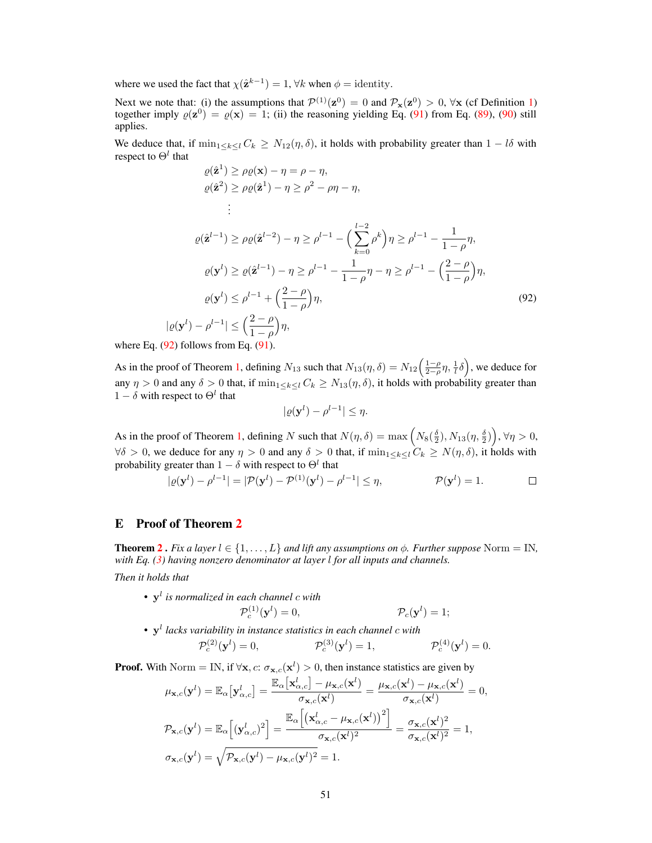where we used the fact that  $\chi(\hat{\mathbf{z}}^{k-1}) = 1$ ,  $\forall k$  when  $\phi =$  identity.

Next we note that: (i) the assumptions that  $\mathcal{P}^{(1)}(\mathbf{z}^0) = 0$  $\mathcal{P}^{(1)}(\mathbf{z}^0) = 0$  $\mathcal{P}^{(1)}(\mathbf{z}^0) = 0$  and  $\mathcal{P}_{\mathbf{x}}(\mathbf{z}^0) > 0$ ,  $\forall \mathbf{x}$  (cf Definition 1) together imply  $\varrho(\mathbf{z}^0) = \varrho(\mathbf{x}) = 1$ ; (ii) the reasoning yielding Eq. [\(91\)](#page-32-2) from Eq. [\(89\)](#page-32-0) applies.

We deduce that, if  $\min_{1 \leq k \leq l} C_k \geq N_{12}(\eta, \delta)$ , it holds with probability greater than  $1 - l\delta$  with respect to  $\Theta^l$  that

$$
\varrho(\hat{\mathbf{z}}^1) \ge \rho \varrho(\mathbf{x}) - \eta = \rho - \eta,
$$
  

$$
\varrho(\hat{\mathbf{z}}^2) \ge \rho \varrho(\hat{\mathbf{z}}^1) - \eta \ge \rho^2 - \rho \eta - \eta,
$$
  

$$
\vdots
$$

$$
\varrho(\hat{\mathbf{z}}^{l-1}) \ge \rho \varrho(\hat{\mathbf{z}}^{l-2}) - \eta \ge \rho^{l-1} - \left(\sum_{k=0}^{l-2} \rho^k\right) \eta \ge \rho^{l-1} - \frac{1}{1-\rho} \eta,
$$
  
\n
$$
\varrho(\mathbf{y}^l) \ge \varrho(\hat{\mathbf{z}}^{l-1}) - \eta \ge \rho^{l-1} - \frac{1}{1-\rho} \eta - \eta \ge \rho^{l-1} - \left(\frac{2-\rho}{1-\rho}\right) \eta,
$$
  
\n
$$
\varrho(\mathbf{y}^l) \le \rho^{l-1} + \left(\frac{2-\rho}{1-\rho}\right) \eta,
$$
  
\n
$$
|\varrho(\mathbf{y}^l) - \rho^{l-1}| \le \left(\frac{2-\rho}{1-\rho}\right) \eta,
$$
  
\n(92)

where Eq.  $(92)$  follows from Eq.  $(91)$ .

As in the proof of Theorem [1,](#page--1-22) defining  $N_{13}$  such that  $N_{13}(\eta, \delta) = N_{12} \left( \frac{1-\rho}{2-\rho} \eta, \frac{1}{l} \delta \right)$ , we deduce for any  $\eta > 0$  and any  $\delta > 0$  that, if  $\min_{1 \leq k \leq l} C_k \geq N_{13}(\eta, \delta)$ , it holds with probability greater than  $1 - \delta$  with respect to  $\Theta^l$  that

<span id="page-33-0"></span>
$$
|\varrho(\mathbf{y}^l) - \rho^{l-1}| \leq \eta.
$$

As in the proof of Theorem [1,](#page--1-22) defining N such that  $N(\eta, \delta) = \max \left( N_8(\frac{\delta}{2}), N_{13}(\eta, \frac{\delta}{2}) \right)$ ,  $\forall \eta > 0$ ,  $\forall \delta > 0$ , we deduce for any  $\eta > 0$  and any  $\delta > 0$  that, if  $\min_{1 \leq k \leq l} C_k \geq N(\eta, \delta)$ , it holds with probability greater than  $1 - \delta$  with respect to  $\Theta^l$  that

$$
|\varrho(\mathbf{y}^l) - \rho^{l-1}| = |\mathcal{P}(\mathbf{y}^l) - \mathcal{P}^{(1)}(\mathbf{y}^l) - \rho^{l-1}| \le \eta, \qquad \mathcal{P}(\mathbf{y}^l) = 1. \qquad \Box
$$

# E Proof of Theorem [2](#page--1-34)

**Theorem [2](#page--1-34).** *Fix a layer*  $l \in \{1, \ldots, L\}$  *and lift any assumptions on*  $\phi$ *. Further suppose* Norm = IN, *with Eq. [\(3\)](#page--1-19) having nonzero denominator at layer* l *for all inputs and channels.*

*Then it holds that*

• y l *is normalized in each channel* c *with*

$$
\mathcal{P}_c^{(1)}(\mathbf{y}^l) = 0, \qquad \qquad \mathcal{P}_c(\mathbf{y}^l) = 1;
$$

• y l *lacks variability in instance statistics in each channel* c *with*  $\mathcal{P}_c^{(2)}(\mathbf{y}^l) = 0,$   $\mathcal{P}_c^{(3)}(\mathbf{y}^l) = 1,$   $\mathcal{P}_c^{(3)}(\mathbf{y}^l) = 1,$  $c^{(4)}(\mathbf{y}^l)=0.$ 

**Proof.** With Norm = IN, if  $\forall x, c: \sigma_{x,c}(x^l) > 0$ , then instance statistics are given by

$$
\mu_{\mathbf{x},c}(\mathbf{y}^l) = \mathbb{E}_{\alpha} \left[ \mathbf{y}_{\alpha,c}^l \right] = \frac{\mathbb{E}_{\alpha} \left[ \mathbf{x}_{\alpha,c}^l \right] - \mu_{\mathbf{x},c}(\mathbf{x}^l)}{\sigma_{\mathbf{x},c}(\mathbf{x}^l)} = \frac{\mu_{\mathbf{x},c}(\mathbf{x}^l) - \mu_{\mathbf{x},c}(\mathbf{x}^l)}{\sigma_{\mathbf{x},c}(\mathbf{x}^l)} = 0,
$$
\n
$$
\mathcal{P}_{\mathbf{x},c}(\mathbf{y}^l) = \mathbb{E}_{\alpha} \left[ (\mathbf{y}_{\alpha,c}^l)^2 \right] = \frac{\mathbb{E}_{\alpha} \left[ \left( \mathbf{x}_{\alpha,c}^l - \mu_{\mathbf{x},c}(\mathbf{x}^l) \right)^2 \right]}{\sigma_{\mathbf{x},c}(\mathbf{x}^l)^2} = \frac{\sigma_{\mathbf{x},c}(\mathbf{x}^l)^2}{\sigma_{\mathbf{x},c}(\mathbf{x}^l)^2} = 1,
$$
\n
$$
\sigma_{\mathbf{x},c}(\mathbf{y}^l) = \sqrt{\mathcal{P}_{\mathbf{x},c}(\mathbf{y}^l) - \mu_{\mathbf{x},c}(\mathbf{y}^l)^2} = 1.
$$